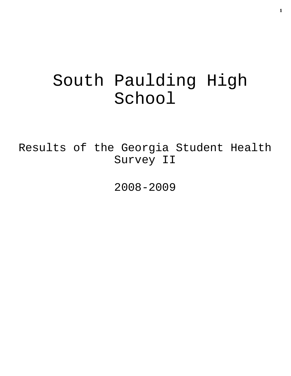# South Paulding High School

Results of the Georgia Student Health Survey II

2008-2009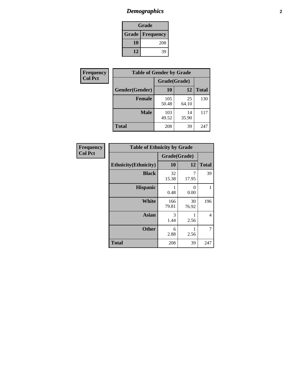# *Demographics* **2**

| Grade                    |     |  |  |  |
|--------------------------|-----|--|--|--|
| <b>Grade   Frequency</b> |     |  |  |  |
| 10                       | 208 |  |  |  |
| 12                       | 39  |  |  |  |

| <b>Frequency</b> | <b>Table of Gender by Grade</b> |              |             |              |  |  |
|------------------|---------------------------------|--------------|-------------|--------------|--|--|
| <b>Col Pct</b>   |                                 | Grade(Grade) |             |              |  |  |
|                  | Gender(Gender)                  | 10           | 12          | <b>Total</b> |  |  |
|                  | <b>Female</b>                   | 105<br>50.48 | 25<br>64.10 | 130          |  |  |
|                  | <b>Male</b>                     | 103<br>49.52 | 14<br>35.90 | 117          |  |  |
|                  | <b>Total</b>                    | 208          | 39          | 247          |  |  |

| <b>Frequency</b><br>Col Pct |
|-----------------------------|
|                             |

| <b>Table of Ethnicity by Grade</b> |              |             |              |  |  |  |
|------------------------------------|--------------|-------------|--------------|--|--|--|
|                                    | Grade(Grade) |             |              |  |  |  |
| <b>Ethnicity</b> (Ethnicity)       | 10           | 12          | <b>Total</b> |  |  |  |
| <b>Black</b>                       | 32<br>15.38  | 7<br>17.95  | 39           |  |  |  |
| <b>Hispanic</b>                    | 0.48         | 0<br>0.00   | 1            |  |  |  |
| White                              | 166<br>79.81 | 30<br>76.92 | 196          |  |  |  |
| <b>Asian</b>                       | 3<br>1.44    | 2.56        | 4            |  |  |  |
| <b>Other</b>                       | 6<br>2.88    | 1<br>2.56   | 7            |  |  |  |
| <b>Total</b>                       | 208          | 39          | 247          |  |  |  |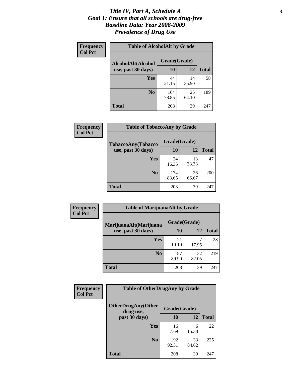#### *Title IV, Part A, Schedule A* **3** *Goal 1: Ensure that all schools are drug-free Baseline Data: Year 2008-2009 Prevalence of Drug Use*

| Frequency<br><b>Col Pct</b> | <b>Table of AlcoholAlt by Grade</b> |              |             |              |  |
|-----------------------------|-------------------------------------|--------------|-------------|--------------|--|
|                             | AlcoholAlt(Alcohol                  | Grade(Grade) |             |              |  |
|                             | use, past 30 days)                  | <b>10</b>    | 12          | <b>Total</b> |  |
|                             | Yes                                 | 44<br>21.15  | 14<br>35.90 | 58           |  |
|                             | N <sub>0</sub>                      | 164<br>78.85 | 25<br>64.10 | 189          |  |
|                             | Total                               | 208          | 39          | 247          |  |

| Frequency      | <b>Table of TobaccoAny by Grade</b> |              |             |              |  |  |
|----------------|-------------------------------------|--------------|-------------|--------------|--|--|
| <b>Col Pct</b> | TobaccoAny(Tobacco                  | Grade(Grade) |             |              |  |  |
|                | use, past 30 days)                  | 10           | 12          | <b>Total</b> |  |  |
|                | Yes                                 | 34<br>16.35  | 13<br>33.33 | 47           |  |  |
|                | N <sub>0</sub>                      | 174<br>83.65 | 26<br>66.67 | 200          |  |  |
|                | <b>Total</b>                        | 208          | 39          | 247          |  |  |

| Frequency<br><b>Col Pct</b> | <b>Table of MarijuanaAlt by Grade</b> |              |             |              |  |
|-----------------------------|---------------------------------------|--------------|-------------|--------------|--|
|                             | MarijuanaAlt(Marijuana                | Grade(Grade) |             |              |  |
|                             | use, past 30 days)                    | <b>10</b>    | 12          | <b>Total</b> |  |
|                             | Yes                                   | 21<br>10.10  | 17.95       | 28           |  |
|                             | N <sub>0</sub>                        | 187<br>89.90 | 32<br>82.05 | 219          |  |
|                             | <b>Total</b>                          | 208          | 39          | 247          |  |

| Frequency      | <b>Table of OtherDrugAny by Grade</b>  |              |             |              |  |
|----------------|----------------------------------------|--------------|-------------|--------------|--|
| <b>Col Pct</b> | <b>OtherDrugAny(Other</b><br>drug use, | Grade(Grade) |             |              |  |
|                | past 30 days)                          | 10           | 12          | <b>Total</b> |  |
|                | Yes                                    | 16<br>7.69   | 6<br>15.38  | 22           |  |
|                | N <sub>0</sub>                         | 192<br>92.31 | 33<br>84.62 | 225          |  |
|                | <b>Total</b>                           | 208          | 39          | 247          |  |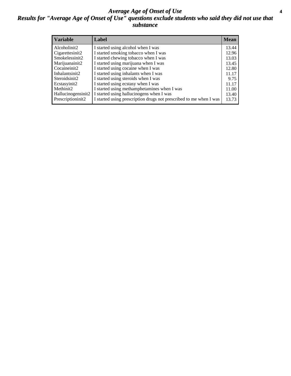#### *Average Age of Onset of Use* **4** *Results for "Average Age of Onset of Use" questions exclude students who said they did not use that substance*

| <b>Variable</b>    | Label                                                              | <b>Mean</b> |
|--------------------|--------------------------------------------------------------------|-------------|
| Alcoholinit2       | I started using alcohol when I was                                 | 13.44       |
| Cigarettesinit2    | I started smoking tobacco when I was                               | 12.96       |
| Smokelessinit2     | I started chewing tobacco when I was                               | 13.03       |
| Marijuanainit2     | I started using marijuana when I was                               | 13.45       |
| Cocaineinit2       | I started using cocaine when I was                                 | 12.80       |
| Inhalantsinit2     | I started using inhalants when I was                               | 11.17       |
| Steroidsinit2      | I started using steroids when I was                                | 9.75        |
| Ecstasyinit2       | I started using ecstasy when I was                                 | 11.17       |
| Methinit2          | I started using methamphetamines when I was                        | 11.00       |
| Hallucinogensinit2 | I started using hallucinogens when I was                           | 13.40       |
| Prescriptioninit2  | I started using prescription drugs not prescribed to me when I was | 13.73       |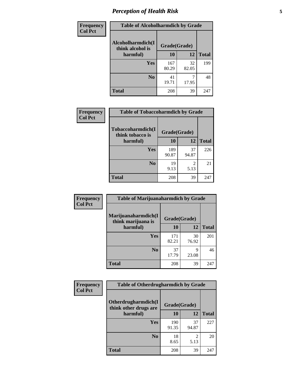# *Perception of Health Risk* **5**

| <b>Frequency</b> | <b>Table of Alcoholharmdich by Grade</b> |              |             |              |  |
|------------------|------------------------------------------|--------------|-------------|--------------|--|
| <b>Col Pct</b>   | Alcoholharmdich(I<br>think alcohol is    | Grade(Grade) |             |              |  |
|                  | harmful)                                 | 10           | 12          | <b>Total</b> |  |
|                  | Yes                                      | 167<br>80.29 | 32<br>82.05 | 199          |  |
|                  | N <sub>0</sub>                           | 41<br>19.71  | 17.95       | 48           |  |
|                  | <b>Total</b>                             | 208          | 39          | 247          |  |

| <b>Frequency</b> |                                                   | <b>Table of Tobaccoharmdich by Grade</b> |             |              |  |
|------------------|---------------------------------------------------|------------------------------------------|-------------|--------------|--|
| <b>Col Pct</b>   | Tobaccoharmdich(I<br>think tobacco is<br>harmful) | Grade(Grade)                             |             |              |  |
|                  |                                                   | 10                                       | 12          | <b>Total</b> |  |
|                  | Yes                                               | 189<br>90.87                             | 37<br>94.87 | 226          |  |
|                  | N <sub>0</sub>                                    | 19<br>9.13                               | 2<br>5.13   | 21           |  |
|                  | <b>Total</b>                                      | 208                                      | 39          | 247          |  |

| Frequency<br><b>Col Pct</b> | <b>Table of Marijuanaharmdich by Grade</b> |              |             |              |  |  |
|-----------------------------|--------------------------------------------|--------------|-------------|--------------|--|--|
|                             | Marijuanaharmdich(I<br>think marijuana is  | Grade(Grade) |             |              |  |  |
|                             | harmful)                                   | 10           | 12          | <b>Total</b> |  |  |
|                             | <b>Yes</b>                                 | 171<br>82.21 | 30<br>76.92 | 201          |  |  |
|                             | N <sub>0</sub>                             | 37<br>17.79  | 9<br>23.08  | 46           |  |  |
|                             | <b>Total</b>                               | 208          | 39          | 247          |  |  |

| Frequency      | <b>Table of Otherdrugharmdich by Grade</b>                   |              |             |              |  |  |  |  |
|----------------|--------------------------------------------------------------|--------------|-------------|--------------|--|--|--|--|
| <b>Col Pct</b> | Otherdrugharmdich(I<br>Grade(Grade)<br>think other drugs are |              |             |              |  |  |  |  |
|                | harmful)                                                     | 10           | 12          | <b>Total</b> |  |  |  |  |
|                | <b>Yes</b>                                                   | 190<br>91.35 | 37<br>94.87 | 227          |  |  |  |  |
|                | N <sub>0</sub>                                               | 18<br>8.65   | 5.13        | 20           |  |  |  |  |
|                | <b>Total</b>                                                 | 208          | 39          | 247          |  |  |  |  |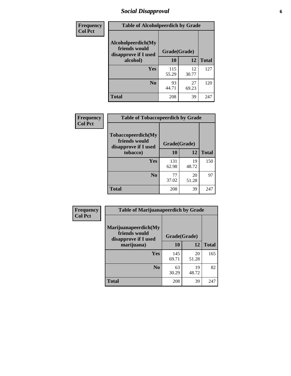# *Social Disapproval* **6**

| Frequency      | <b>Table of Alcoholpeerdich by Grade</b>                    |              |              |     |
|----------------|-------------------------------------------------------------|--------------|--------------|-----|
| <b>Col Pct</b> | Alcoholpeerdich(My<br>friends would<br>disapprove if I used | Grade(Grade) |              |     |
|                | alcohol)                                                    | 10           | <b>Total</b> |     |
|                | <b>Yes</b>                                                  | 115<br>55.29 | 12<br>30.77  | 127 |
|                | N <sub>0</sub>                                              | 93<br>44.71  | 27<br>69.23  | 120 |
|                | <b>Total</b>                                                | 208          | 39           | 247 |

| <b>Frequency</b> |
|------------------|
| <b>Col Pct</b>   |

| <b>Table of Tobaccopeerdich by Grade</b>                            |              |             |              |  |  |  |  |
|---------------------------------------------------------------------|--------------|-------------|--------------|--|--|--|--|
| <b>Tobaccopeerdich</b> (My<br>friends would<br>disapprove if I used | Grade(Grade) |             |              |  |  |  |  |
| tobacco)                                                            | 10           | 12          | <b>Total</b> |  |  |  |  |
| Yes                                                                 | 131<br>62.98 | 19<br>48.72 | 150          |  |  |  |  |
| N <sub>0</sub>                                                      | 77<br>37.02  | 20<br>51.28 | 97           |  |  |  |  |
| <b>Total</b>                                                        | 208          | 39          | 247          |  |  |  |  |

| Frequency      | <b>Table of Marijuanapeerdich by Grade</b>                    |              |              |              |  |  |  |  |
|----------------|---------------------------------------------------------------|--------------|--------------|--------------|--|--|--|--|
| <b>Col Pct</b> | Marijuanapeerdich(My<br>friends would<br>disapprove if I used |              | Grade(Grade) |              |  |  |  |  |
|                | marijuana)                                                    | 10           | 12           | <b>Total</b> |  |  |  |  |
|                | <b>Yes</b>                                                    | 145<br>69.71 | 20<br>51.28  | 165          |  |  |  |  |
|                | N <sub>0</sub>                                                | 63<br>30.29  | 19<br>48.72  | 82           |  |  |  |  |
|                | <b>Total</b>                                                  | 208          | 39           | 247          |  |  |  |  |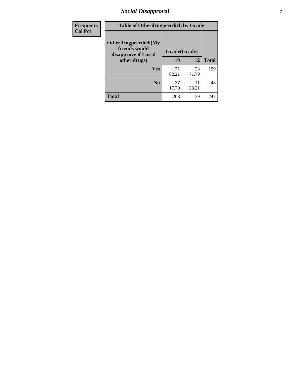# *Social Disapproval* **7**

| Frequency      | <b>Table of Otherdrugpeerdich by Grade</b>                    |              |              |     |  |  |  |  |
|----------------|---------------------------------------------------------------|--------------|--------------|-----|--|--|--|--|
| <b>Col Pct</b> | Otherdrugpeerdich(My<br>friends would<br>disapprove if I used | Grade(Grade) |              |     |  |  |  |  |
|                | other drugs)                                                  | 10           | <b>Total</b> |     |  |  |  |  |
|                | Yes                                                           | 171<br>82.21 | 28<br>71.79  | 199 |  |  |  |  |
|                | N <sub>0</sub>                                                | 37<br>17.79  | 11<br>28.21  | 48  |  |  |  |  |
|                | <b>Total</b>                                                  | 208          | 39           | 247 |  |  |  |  |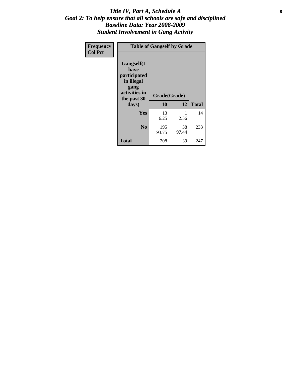#### Title IV, Part A, Schedule A **8** *Goal 2: To help ensure that all schools are safe and disciplined Baseline Data: Year 2008-2009 Student Involvement in Gang Activity*

| Frequency      | <b>Table of Gangself by Grade</b>                                                                 |                    |             |              |  |  |
|----------------|---------------------------------------------------------------------------------------------------|--------------------|-------------|--------------|--|--|
| <b>Col Pct</b> | Gangself(I<br>have<br>participated<br>in illegal<br>gang<br>activities in<br>the past 30<br>days) | Grade(Grade)<br>10 | 12          | <b>Total</b> |  |  |
|                | Yes                                                                                               | 13<br>6.25         | 1<br>2.56   | 14           |  |  |
|                | N <sub>0</sub>                                                                                    | 195<br>93.75       | 38<br>97.44 | 233          |  |  |
|                | Total                                                                                             | 208                | 39          | 247          |  |  |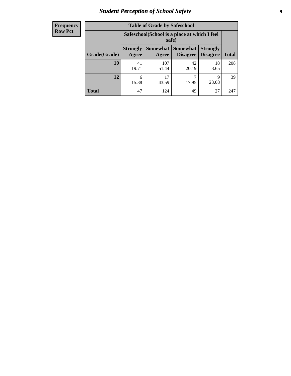# *Student Perception of School Safety* **9**

| <b>Frequency</b><br>Row Pct |
|-----------------------------|
|                             |

| <b>Table of Grade by Safeschool</b> |                          |                                                                                              |             |            |     |  |  |  |
|-------------------------------------|--------------------------|----------------------------------------------------------------------------------------------|-------------|------------|-----|--|--|--|
|                                     |                          | Safeschool (School is a place at which I feel<br>safe)                                       |             |            |     |  |  |  |
| Grade(Grade)                        | <b>Strongly</b><br>Agree | Somewhat Somewhat<br><b>Strongly</b><br><b>Disagree</b><br>Disagree<br><b>Total</b><br>Agree |             |            |     |  |  |  |
| 10                                  | 41<br>19.71              | 107<br>51.44                                                                                 | 42<br>20.19 | 18<br>8.65 | 208 |  |  |  |
| 12                                  | 6<br>15.38               | 17<br>43.59                                                                                  | ┑<br>17.95  | 9<br>23.08 | 39  |  |  |  |
| <b>Total</b>                        | 47                       | 124                                                                                          | 49          | 27         | 247 |  |  |  |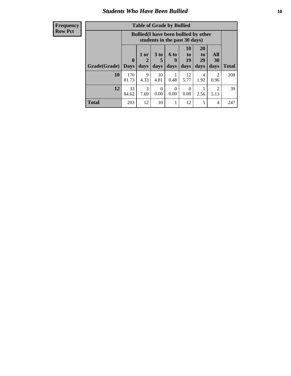#### *Students Who Have Been Bullied* **10**

| <b>Frequency</b> |
|------------------|
| Row Pct          |

| <b>Table of Grade by Bullied</b> |                            |                                                                               |                              |                   |                               |                               |                          |              |
|----------------------------------|----------------------------|-------------------------------------------------------------------------------|------------------------------|-------------------|-------------------------------|-------------------------------|--------------------------|--------------|
|                                  |                            | <b>Bullied</b> (I have been bullied by other<br>students in the past 30 days) |                              |                   |                               |                               |                          |              |
| Grade(Grade)                     | $\mathbf 0$<br><b>Days</b> | 1 or<br>2<br>days                                                             | 3 <sub>to</sub><br>5<br>days | 6 to<br>9<br>days | <b>10</b><br>to<br>19<br>days | <b>20</b><br>to<br>29<br>days | <b>All</b><br>30<br>days | <b>Total</b> |
| 10                               | 170<br>81.73               | 9<br>4.33                                                                     | 10<br>4.81                   | 0.48              | 12<br>5.77                    | 4<br>1.92                     | 2<br>0.96                | 208          |
| 12                               | 33<br>84.62                | 3<br>7.69                                                                     | $\Omega$<br>0.00             | $\theta$<br>0.00  | $\theta$<br>0.00              | 2.56                          | $\mathfrak{D}$<br>5.13   | 39           |
| <b>Total</b>                     | 203                        | 12                                                                            | 10                           |                   | 12                            | 5                             | 4                        | 247          |

 $\blacksquare$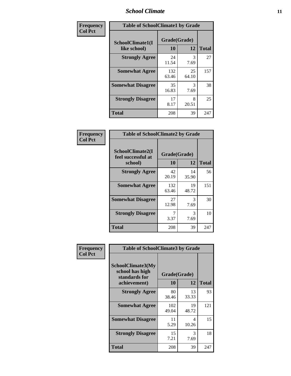### *School Climate* **11**

| Frequency      | <b>Table of SchoolClimate1 by Grade</b> |                    |             |              |  |  |  |
|----------------|-----------------------------------------|--------------------|-------------|--------------|--|--|--|
| <b>Col Pct</b> | SchoolClimate1(I<br>like school)        | Grade(Grade)<br>10 | 12          | <b>Total</b> |  |  |  |
|                | <b>Strongly Agree</b>                   | 24<br>11.54        | 3<br>7.69   | 27           |  |  |  |
|                | <b>Somewhat Agree</b>                   | 132<br>63.46       | 25<br>64.10 | 157          |  |  |  |
|                | <b>Somewhat Disagree</b>                | 35<br>16.83        | 3<br>7.69   | 38           |  |  |  |
|                | <b>Strongly Disagree</b>                | 17<br>8.17         | 8<br>20.51  | 25           |  |  |  |
|                | <b>Total</b>                            | 208                | 39          | 247          |  |  |  |

| Frequency      | <b>Table of SchoolClimate2 by Grade</b>           |                    |             |              |
|----------------|---------------------------------------------------|--------------------|-------------|--------------|
| <b>Col Pct</b> | SchoolClimate2(I<br>feel successful at<br>school) | Grade(Grade)<br>10 | 12          | <b>Total</b> |
|                | <b>Strongly Agree</b>                             | 42<br>20.19        | 14<br>35.90 | 56           |
|                | <b>Somewhat Agree</b>                             | 132<br>63.46       | 19<br>48.72 | 151          |
|                | <b>Somewhat Disagree</b>                          | 27<br>12.98        | 3<br>7.69   | 30           |
|                | <b>Strongly Disagree</b>                          | 7<br>3.37          | 3<br>7.69   | 10           |
|                | <b>Total</b>                                      | 208                | 39          | 247          |

| Frequency      | <b>Table of SchoolClimate3 by Grade</b>                      |              |             |              |  |
|----------------|--------------------------------------------------------------|--------------|-------------|--------------|--|
| <b>Col Pct</b> | <b>SchoolClimate3(My</b><br>school has high<br>standards for | Grade(Grade) |             |              |  |
|                | achievement)                                                 | 10           | 12          | <b>Total</b> |  |
|                | <b>Strongly Agree</b>                                        | 80<br>38.46  | 13<br>33.33 | 93           |  |
|                | <b>Somewhat Agree</b>                                        | 102<br>49.04 | 19<br>48.72 | 121          |  |
|                | <b>Somewhat Disagree</b>                                     | 11<br>5.29   | 4<br>10.26  | 15           |  |
|                | <b>Strongly Disagree</b>                                     | 15<br>7.21   | 3<br>7.69   | 18           |  |
|                | Total                                                        | 208          | 39          | 247          |  |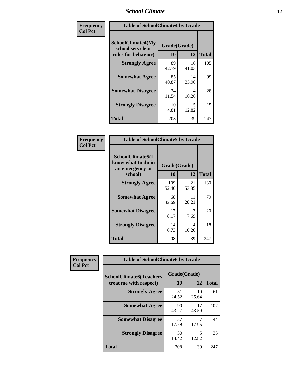### *School Climate* **12**

| Frequency      |                                                               | <b>Table of SchoolClimate4 by Grade</b> |             |              |  |
|----------------|---------------------------------------------------------------|-----------------------------------------|-------------|--------------|--|
| <b>Col Pct</b> | SchoolClimate4(My<br>school sets clear<br>rules for behavior) | Grade(Grade)<br>10                      | 12          | <b>Total</b> |  |
|                | <b>Strongly Agree</b>                                         | 89<br>42.79                             | 16<br>41.03 | 105          |  |
|                | <b>Somewhat Agree</b>                                         | 85<br>40.87                             | 14<br>35.90 | 99           |  |
|                | <b>Somewhat Disagree</b>                                      | 24<br>11.54                             | 4<br>10.26  | 28           |  |
|                | <b>Strongly Disagree</b>                                      | 10<br>4.81                              | 5<br>12.82  | 15           |  |
|                | <b>Total</b>                                                  | 208                                     | 39          | 247          |  |

| <b>Table of SchoolClimate5 by Grade</b>                   |              |             |              |  |  |
|-----------------------------------------------------------|--------------|-------------|--------------|--|--|
| SchoolClimate5(I<br>know what to do in<br>an emergency at | Grade(Grade) |             |              |  |  |
| school)                                                   | 10           | 12          | <b>Total</b> |  |  |
| <b>Strongly Agree</b>                                     | 109<br>52.40 | 21<br>53.85 | 130          |  |  |
| <b>Somewhat Agree</b>                                     | 68<br>32.69  | 11<br>28.21 | 79           |  |  |
| <b>Somewhat Disagree</b>                                  | 17<br>8.17   | 3<br>7.69   | 20           |  |  |
| <b>Strongly Disagree</b>                                  | 14<br>6.73   | 4<br>10.26  | 18           |  |  |
| <b>Total</b>                                              | 208          | 39          | 247          |  |  |

| Frequency      | <b>Table of SchoolClimate6 by Grade</b>                  |                    |             |              |
|----------------|----------------------------------------------------------|--------------------|-------------|--------------|
| <b>Col Pct</b> | <b>SchoolClimate6(Teachers</b><br>treat me with respect) | Grade(Grade)<br>10 | 12          | <b>Total</b> |
|                | <b>Strongly Agree</b>                                    | 51<br>24.52        | 10<br>25.64 | 61           |
|                | <b>Somewhat Agree</b>                                    | 90<br>43.27        | 17<br>43.59 | 107          |
|                | <b>Somewhat Disagree</b>                                 | 37<br>17.79        | 17.95       | 44           |
|                | <b>Strongly Disagree</b>                                 | 30<br>14.42        | 5<br>12.82  | 35           |
|                | <b>Total</b>                                             | 208                | 39          | 247          |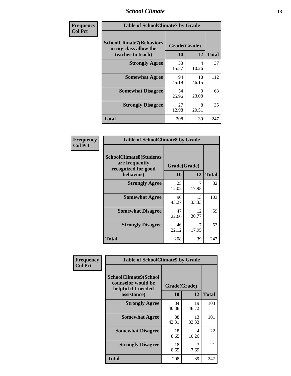### *School Climate* **13**

| Frequency      |                                                                               | <b>Table of SchoolClimate7 by Grade</b> |                      |              |  |
|----------------|-------------------------------------------------------------------------------|-----------------------------------------|----------------------|--------------|--|
| <b>Col Pct</b> | <b>SchoolClimate7(Behaviors</b><br>in my class allow the<br>teacher to teach) | Grade(Grade)<br><b>10</b>               | 12                   | <b>Total</b> |  |
|                | <b>Strongly Agree</b>                                                         | 33<br>15.87                             | 4<br>10.26           | 37           |  |
|                | <b>Somewhat Agree</b>                                                         | 94<br>45.19                             | 18<br>46.15          | 112          |  |
|                | <b>Somewhat Disagree</b>                                                      | 54<br>25.96                             | $\mathbf Q$<br>23.08 | 63           |  |
|                | <b>Strongly Disagree</b>                                                      | 27<br>12.98                             | 8<br>20.51           | 35           |  |
|                | <b>Total</b>                                                                  | 208                                     | 39                   | 247          |  |

| Frequency      | <b>Table of SchoolClimate8 by Grade</b>                                              |                    |             |              |
|----------------|--------------------------------------------------------------------------------------|--------------------|-------------|--------------|
| <b>Col Pct</b> | <b>SchoolClimate8(Students</b><br>are frequently<br>recognized for good<br>behavior) | Grade(Grade)<br>10 | 12          | <b>Total</b> |
|                | <b>Strongly Agree</b>                                                                | 25<br>12.02        | 17.95       | 32           |
|                | <b>Somewhat Agree</b>                                                                | 90<br>43.27        | 13<br>33.33 | 103          |
|                | <b>Somewhat Disagree</b>                                                             | 47<br>22.60        | 12<br>30.77 | 59           |
|                | <b>Strongly Disagree</b>                                                             | 46<br>22.12        | 7<br>17.95  | 53           |
|                | <b>Total</b>                                                                         | 208                | 39          | 247          |

| Frequency      | <b>Table of SchoolClimate9 by Grade</b>                                                  |                    |                       |              |
|----------------|------------------------------------------------------------------------------------------|--------------------|-----------------------|--------------|
| <b>Col Pct</b> | <b>SchoolClimate9(School</b><br>counselor would be<br>helpful if I needed<br>assistance) | Grade(Grade)<br>10 | 12                    | <b>Total</b> |
|                | <b>Strongly Agree</b>                                                                    | 84<br>40.38        | 19<br>48.72           | 103          |
|                | <b>Somewhat Agree</b>                                                                    | 88<br>42.31        | 13<br>33.33           | 101          |
|                | <b>Somewhat Disagree</b>                                                                 | 18<br>8.65         | 4<br>10.26            | 22           |
|                | <b>Strongly Disagree</b>                                                                 | 18<br>8.65         | $\mathcal{R}$<br>7.69 | 21           |
|                | Total                                                                                    | 208                | 39                    | 247          |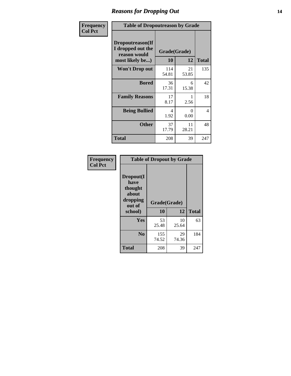### *Reasons for Dropping Out* **14**

| Frequency      | <b>Table of Dropoutreason by Grade</b>                                   |                    |             |              |
|----------------|--------------------------------------------------------------------------|--------------------|-------------|--------------|
| <b>Col Pct</b> | Dropoutreason(If<br>I dropped out the<br>reason would<br>most likely be) | Grade(Grade)<br>10 | 12          | <b>Total</b> |
|                | <b>Won't Drop out</b>                                                    | 114<br>54.81       | 21<br>53.85 | 135          |
|                | <b>Bored</b>                                                             | 36<br>17.31        | 6<br>15.38  | 42           |
|                | <b>Family Reasons</b>                                                    | 17<br>8.17         | 2.56        | 18           |
|                | <b>Being Bullied</b>                                                     | 4<br>1.92          | 0<br>0.00   | 4            |
|                | <b>Other</b>                                                             | 37<br>17.79        | 11<br>28.21 | 48           |
|                | <b>Total</b>                                                             | 208                | 39          | 247          |

| Frequency      | <b>Table of Dropout by Grade</b>                                       |                    |              |     |  |
|----------------|------------------------------------------------------------------------|--------------------|--------------|-----|--|
| <b>Col Pct</b> | Dropout(I<br>have<br>thought<br>about<br>dropping<br>out of<br>school) | Grade(Grade)<br>10 | <b>Total</b> |     |  |
|                |                                                                        |                    | 12           |     |  |
|                | Yes                                                                    | 53<br>25.48        | 10<br>25.64  | 63  |  |
|                | N <sub>0</sub>                                                         | 155<br>74.52       | 29<br>74.36  | 184 |  |
|                | <b>Total</b>                                                           | 208                | 39           | 247 |  |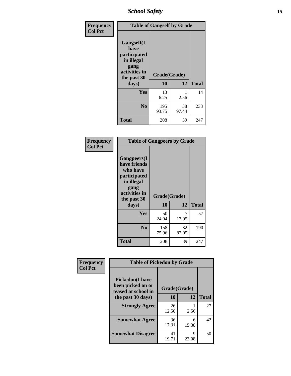*School Safety* **15**

| Frequency      | <b>Table of Gangself by Grade</b>                                                                 |                          |             |              |
|----------------|---------------------------------------------------------------------------------------------------|--------------------------|-------------|--------------|
| <b>Col Pct</b> | Gangself(I<br>have<br>participated<br>in illegal<br>gang<br>activities in<br>the past 30<br>days) | Grade(Grade)<br>10<br>12 |             | <b>Total</b> |
|                | Yes                                                                                               | 13<br>6.25               | 1<br>2.56   | 14           |
|                | N <sub>0</sub>                                                                                    | 195<br>93.75             | 38<br>97.44 | 233          |
|                | <b>Total</b>                                                                                      | 208                      | 39          | 247          |

| Frequency<br><b>Col Pct</b> | <b>Table of Gangpeers by Grade</b>                                                                                             |                    |             |              |
|-----------------------------|--------------------------------------------------------------------------------------------------------------------------------|--------------------|-------------|--------------|
|                             | <b>Gangpeers</b> (I<br>have friends<br>who have<br>participated<br>in illegal<br>gang<br>activities in<br>the past 30<br>days) | Grade(Grade)<br>10 | 12          | <b>Total</b> |
|                             | <b>Yes</b>                                                                                                                     | 50<br>24.04        | 7<br>17.95  | 57           |
|                             | N <sub>0</sub>                                                                                                                 | 158<br>75.96       | 32<br>82.05 | 190          |
|                             | <b>Total</b>                                                                                                                   | 208                | 39          | 247          |

| Frequency      |                                                                    | <b>Table of Pickedon by Grade</b> |            |              |  |  |  |  |  |  |
|----------------|--------------------------------------------------------------------|-----------------------------------|------------|--------------|--|--|--|--|--|--|
| <b>Col Pct</b> | <b>Pickedon(I have</b><br>been picked on or<br>teased at school in | Grade(Grade)                      |            |              |  |  |  |  |  |  |
|                | the past 30 days)                                                  | 10                                | 12         | <b>Total</b> |  |  |  |  |  |  |
|                | <b>Strongly Agree</b>                                              | 26<br>12.50                       | 2.56       | 27           |  |  |  |  |  |  |
|                | <b>Somewhat Agree</b>                                              | 36<br>17.31                       | 6<br>15.38 | 42           |  |  |  |  |  |  |
|                | <b>Somewhat Disagree</b>                                           | 41<br>19.71                       | 9<br>23.08 | 50           |  |  |  |  |  |  |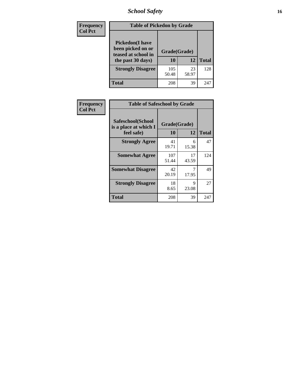# *School Safety* **16**

| Frequency      | <b>Table of Pickedon by Grade</b>                                                        |                    |             |              |
|----------------|------------------------------------------------------------------------------------------|--------------------|-------------|--------------|
| <b>Col Pct</b> | <b>Pickedon</b> (I have<br>been picked on or<br>teased at school in<br>the past 30 days) | Grade(Grade)<br>10 | 12          | <b>Total</b> |
|                | <b>Strongly Disagree</b>                                                                 | 105<br>50.48       | 23<br>58.97 | 128          |
|                | Total                                                                                    | 208                | 39          | 241          |

| Frequency      | <b>Table of Safeschool by Grade</b>                      |                    |              |     |  |  |  |  |  |
|----------------|----------------------------------------------------------|--------------------|--------------|-----|--|--|--|--|--|
| <b>Col Pct</b> | Safeschool(School<br>is a place at which I<br>feel safe) | Grade(Grade)<br>10 | <b>Total</b> |     |  |  |  |  |  |
|                | <b>Strongly Agree</b>                                    | 41<br>19.71        | 6<br>15.38   | 47  |  |  |  |  |  |
|                | <b>Somewhat Agree</b>                                    | 107<br>51.44       | 17<br>43.59  | 124 |  |  |  |  |  |
|                | <b>Somewhat Disagree</b>                                 | 42<br>20.19        | 17.95        | 49  |  |  |  |  |  |
|                | <b>Strongly Disagree</b>                                 | 18<br>8.65         | 9<br>23.08   | 27  |  |  |  |  |  |
|                | <b>Total</b>                                             | 208                | 39           | 247 |  |  |  |  |  |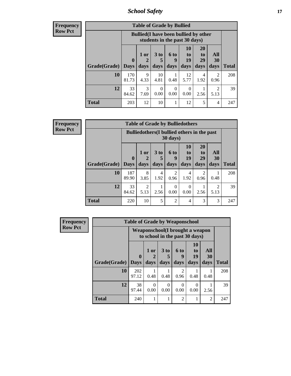*School Safety* **17**

**Frequency Row Pct**

|              | <b>Table of Grade by Bullied</b> |                                                                               |                              |                   |                        |                               |                                  |              |  |
|--------------|----------------------------------|-------------------------------------------------------------------------------|------------------------------|-------------------|------------------------|-------------------------------|----------------------------------|--------------|--|
|              |                                  | <b>Bullied</b> (I have been bullied by other<br>students in the past 30 days) |                              |                   |                        |                               |                                  |              |  |
| Grade(Grade) | 0<br>  Days                      | 1 or<br>2<br>days                                                             | 3 <sub>to</sub><br>5<br>days | 6 to<br>q<br>days | 10<br>to<br>19<br>days | <b>20</b><br>to<br>29<br>days | All<br><b>30</b><br>days         | <b>Total</b> |  |
| <b>10</b>    | 170<br>81.73                     | 9<br>4.33                                                                     | 10<br>4.81                   | 0.48              | 12<br>5.77             | 4<br>1.92                     | 2<br>0.96                        | 208          |  |
| 12           | 33<br>84.62                      | 3<br>7.69                                                                     | $\Omega$<br>0.00             | 0<br>0.00         | 0<br>0.00              | 2.56                          | $\overline{\mathcal{L}}$<br>5.13 | 39           |  |
| <b>Total</b> | 203                              | 12                                                                            | 10                           |                   | 12                     | 5                             | 4                                | 247          |  |

| <b>Frequency</b> |
|------------------|
| <b>Row Pct</b>   |

| <b>Table of Grade by Bulliedothers</b> |                             |                                                                         |                              |                   |                               |                               |                          |              |  |
|----------------------------------------|-----------------------------|-------------------------------------------------------------------------|------------------------------|-------------------|-------------------------------|-------------------------------|--------------------------|--------------|--|
|                                        |                             | <b>Bulliedothers</b> (I bullied others in the past<br>$30 \text{ days}$ |                              |                   |                               |                               |                          |              |  |
| Grade(Grade)                           | $\mathbf{0}$<br><b>Days</b> | 1 or<br>days                                                            | 3 <sub>to</sub><br>5<br>days | 6 to<br>q<br>days | <b>10</b><br>to<br>19<br>days | <b>20</b><br>to<br>29<br>days | <b>All</b><br>30<br>days | <b>Total</b> |  |
| <b>10</b>                              | 187<br>89.90                | 8<br>3.85                                                               | 4<br>1.92                    | 2<br>0.96         | 4<br>1.92                     | 2<br>0.96                     | 0.48                     | 208          |  |
| 12                                     | 33<br>84.62                 | 2<br>5.13                                                               | 2.56                         | 0<br>0.00         | 0<br>0.00                     | 2.56                          | $\mathfrak{D}$<br>5.13   | 39           |  |
| <b>Total</b>                           | 220                         | 10                                                                      | 5                            | $\mathfrak{D}$    | $\overline{4}$                | 3                             | 3                        | 247          |  |

| <b>Frequency</b> | <b>Table of Grade by Weaponschool</b> |                            |                                                                    |                         |                        |                                    |                   |              |  |  |
|------------------|---------------------------------------|----------------------------|--------------------------------------------------------------------|-------------------------|------------------------|------------------------------------|-------------------|--------------|--|--|
| <b>Row Pct</b>   |                                       |                            | Weaponschool (I brought a weapon<br>to school in the past 30 days) |                         |                        |                                    |                   |              |  |  |
|                  | Grade(Grade)                          | $\mathbf 0$<br><b>Days</b> | 1 or<br>days                                                       | 3 <sub>to</sub><br>days | 6 to<br>9<br>days      | 10<br>t <sub>0</sub><br>19<br>days | All<br>30<br>days | <b>Total</b> |  |  |
|                  |                                       |                            |                                                                    |                         |                        |                                    |                   |              |  |  |
|                  | 10                                    | 202<br>97.12               | 0.48                                                               | 0.48                    | $\mathfrak{D}$<br>0.96 | 0.48                               | 0.48              | 208          |  |  |
|                  | 12                                    | 38<br>97.44                | $\Omega$<br>0.00                                                   | ∩<br>0.00               | 0<br>0.00              | $\Omega$<br>0.00                   | 2.56              | 39           |  |  |
|                  | <b>Total</b>                          | 240                        |                                                                    |                         | $\mathfrak{D}$         |                                    | 2                 | 247          |  |  |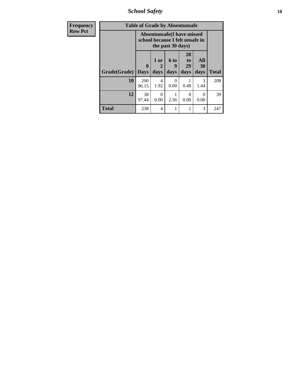*School Safety* **18**

| <b>Frequency</b> | <b>Table of Grade by Absentunsafe</b> |                         |                                                                      |                   |                        |                   |              |  |  |
|------------------|---------------------------------------|-------------------------|----------------------------------------------------------------------|-------------------|------------------------|-------------------|--------------|--|--|
| <b>Row Pct</b>   |                                       |                         | <b>Absentunsafe(I have missed</b><br>school because I felt unsafe in | the past 30 days) |                        |                   |              |  |  |
|                  | Grade(Grade)                          | $\bf{0}$<br><b>Days</b> | 1 or<br>2<br>days                                                    | 6 to<br>9<br>days | 20<br>to<br>29<br>days | All<br>30<br>days | <b>Total</b> |  |  |
|                  | 10                                    | 200<br>96.15            | 4<br>1.92                                                            | 0<br>0.00         | 0.48                   | 3<br>1.44         | 208          |  |  |
|                  | 12                                    | 38<br>97.44             | 0<br>0.00                                                            | 2.56              | 0<br>0.00              | $\Omega$<br>0.00  | 39           |  |  |
|                  | Total                                 | 238                     | $\overline{\mathcal{A}}$                                             |                   | 1                      | 3                 | 247          |  |  |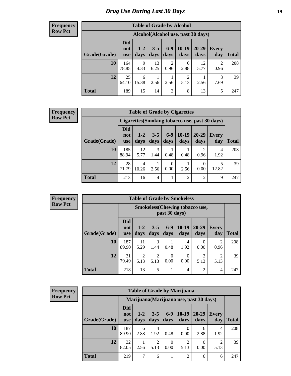# *Drug Use During Last 30 Days* **19**

#### **Frequency Row Pct**

| <b>Table of Grade by Alcohol</b> |                                    |               |                 |                        |                        |               |              |       |  |  |
|----------------------------------|------------------------------------|---------------|-----------------|------------------------|------------------------|---------------|--------------|-------|--|--|
|                                  | Alcohol(Alcohol use, past 30 days) |               |                 |                        |                        |               |              |       |  |  |
| Grade(Grade)                     | <b>Did</b><br>not<br>use           | $1-2$<br>days | $3 - 5$<br>days | $6-9$<br>days          | $10-19$<br>days        | 20-29<br>days | Every<br>day | Total |  |  |
| 10                               | 164<br>78.85                       | 9<br>4.33     | 13<br>6.25      | $\overline{2}$<br>0.96 | 6<br>2.88              | 12<br>5.77    | 2<br>0.96    | 208   |  |  |
| 12                               | 25<br>64.10                        | 6<br>15.38    | 2.56            | 2.56                   | $\overline{2}$<br>5.13 | 2.56          | 3<br>7.69    | 39    |  |  |
| <b>Total</b>                     | 189                                | 15            | 14              | 3                      | 8                      | 13            | 5            | 247   |  |  |

#### **Frequency Row Pct**

| <b>Table of Grade by Cigarettes</b>                                                                                                                                   |                                                |            |           |                  |      |                |           |       |  |  |
|-----------------------------------------------------------------------------------------------------------------------------------------------------------------------|------------------------------------------------|------------|-----------|------------------|------|----------------|-----------|-------|--|--|
|                                                                                                                                                                       | Cigarettes (Smoking tobacco use, past 30 days) |            |           |                  |      |                |           |       |  |  |
| <b>Did</b><br>$6 - 9$<br>$10-19$<br>$20 - 29$<br>$1-2$<br>$3 - 5$<br><b>Every</b><br>not<br>Grade(Grade)<br>days<br>days<br>days<br>day<br>days<br>days<br><b>use</b> |                                                |            |           |                  |      |                |           | Total |  |  |
| 10                                                                                                                                                                    | 185<br>88.94                                   | 12<br>5.77 | 3<br>1.44 | 0.48             | 0.48 | 0.96           | 4<br>1.92 | 208   |  |  |
| 12                                                                                                                                                                    | 28<br>71.79                                    | 4<br>10.26 | 2.56      | $\Omega$<br>0.00 | 2.56 | 0<br>0.00      | 12.82     | 39    |  |  |
| <b>Total</b>                                                                                                                                                          | 213                                            | 16         | 4         | 1                | 2    | $\mathfrak{D}$ | 9         | 247   |  |  |

| <b>Frequency</b> |
|------------------|
| <b>Row Pct</b>   |

Ť

| <b>Table of Grade by Smokeless</b> |                                 |                                                         |                        |                  |                  |                        |                        |              |  |
|------------------------------------|---------------------------------|---------------------------------------------------------|------------------------|------------------|------------------|------------------------|------------------------|--------------|--|
|                                    |                                 | <b>Smokeless</b> (Chewing tobacco use,<br>past 30 days) |                        |                  |                  |                        |                        |              |  |
| Grade(Grade)                       | <b>Did</b><br>not<br><b>use</b> | $1 - 2$<br>days                                         | $3 - 5$<br>days        | $6-9$<br>days    | $10-19$<br>days  | $20 - 29$<br>days      | Every<br>day           | <b>Total</b> |  |
| 10                                 | 187<br>89.90                    | 11<br>5.29                                              | 3<br>1.44              | 0.48             | 4<br>1.92        | 0<br>0.00              | $\mathfrak{D}$<br>0.96 | 208          |  |
| 12                                 | 31<br>79.49                     | $\overline{c}$<br>5.13                                  | $\overline{c}$<br>5.13 | $\Omega$<br>0.00 | $\theta$<br>0.00 | $\mathfrak{D}$<br>5.13 | $\mathfrak{D}$<br>5.13 | 39           |  |
| <b>Total</b>                       | 218                             | 13                                                      | 5                      |                  | 4                | $\overline{2}$         | 4                      | 247          |  |

| <b>Frequency</b> |
|------------------|
| <b>Row Pct</b>   |

| <b>Table of Grade by Marijuana</b>                                                                                                                         |              |                                         |           |           |                        |           |                        |              |
|------------------------------------------------------------------------------------------------------------------------------------------------------------|--------------|-----------------------------------------|-----------|-----------|------------------------|-----------|------------------------|--------------|
|                                                                                                                                                            |              | Marijuana (Marijuana use, past 30 days) |           |           |                        |           |                        |              |
| <b>Did</b><br>$6-9$<br>$10-19$<br>20-29<br>$3 - 5$<br>$1 - 2$<br>Every<br>not<br>Grade(Grade)<br>days<br>days<br>day<br>days<br>days<br>days<br><b>use</b> |              |                                         |           |           |                        |           |                        | <b>Total</b> |
| 10                                                                                                                                                         | 187<br>89.90 | 6<br>2.88                               | 4<br>1.92 | 0.48      | 0<br>0.00              | 6<br>2.88 | 4<br>1.92              | 208          |
| 12                                                                                                                                                         | 32<br>82.05  | 2.56                                    | 2<br>5.13 | 0<br>0.00 | $\overline{2}$<br>5.13 | 0.00      | $\mathfrak{D}$<br>5.13 | 39           |
| <b>Total</b>                                                                                                                                               | 219          | 7                                       | 6         | 1         | $\overline{2}$         | 6         | 6                      | 247          |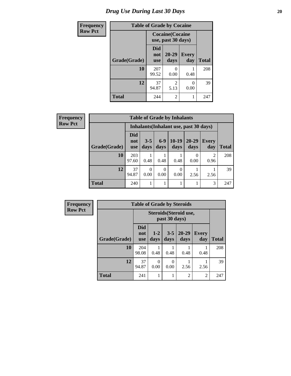# *Drug Use During Last 30 Days* 20

| <b>Frequency</b> | <b>Table of Grade by Cocaine</b> |                          |                                               |              |              |  |
|------------------|----------------------------------|--------------------------|-----------------------------------------------|--------------|--------------|--|
| <b>Row Pct</b>   |                                  |                          | <b>Cocaine</b> (Cocaine<br>use, past 30 days) |              |              |  |
|                  | Grade(Grade)                     | Did<br>not<br><b>use</b> | $20 - 29$<br>days                             | Every<br>day | <b>Total</b> |  |
|                  | 10                               | 207<br>99.52             | 0<br>0.00                                     | 0.48         | 208          |  |
|                  | 12                               | 37<br>94.87              | $\mathcal{D}_{\mathcal{A}}$<br>5.13           | 0<br>0.00    | 39           |  |
|                  | <b>Total</b>                     | 244                      | 2                                             |              | 247          |  |

| Frequency      |              | <b>Table of Grade by Inhalants</b> |                                        |               |                 |                   |                        |              |  |  |
|----------------|--------------|------------------------------------|----------------------------------------|---------------|-----------------|-------------------|------------------------|--------------|--|--|
| <b>Row Pct</b> |              |                                    | Inhalants (Inhalant use, past 30 days) |               |                 |                   |                        |              |  |  |
|                | Grade(Grade) | <b>Did</b><br>not<br><b>use</b>    | $3 - 5$<br>days                        | $6-9$<br>days | $10-19$<br>days | $20 - 29$<br>days | <b>Every</b><br>day    | <b>Total</b> |  |  |
|                | 10           | 203<br>97.60                       | 0.48                                   | 0.48          | 0.48            | 0.00              | $\overline{2}$<br>0.96 | 208          |  |  |
|                | 12           | 37<br>94.87                        | $\Omega$<br>0.00                       | 0<br>0.00     | 0<br>0.00       | 2.56              | 2.56                   | 39           |  |  |
|                | <b>Total</b> | 240                                |                                        |               |                 |                   | 3                      | 247          |  |  |

| <b>Frequency</b> | <b>Table of Grade by Steroids</b> |                                 |                  |                 |                        |                     |       |
|------------------|-----------------------------------|---------------------------------|------------------|-----------------|------------------------|---------------------|-------|
| <b>Row Pct</b>   |                                   |                                 |                  | past 30 days)   | Steroids (Steroid use, |                     |       |
|                  | Grade(Grade)                      | <b>Did</b><br>not<br><b>use</b> | $1 - 2$<br>days  | $3 - 5$<br>days | $20 - 29$<br>days      | <b>Every</b><br>day | Total |
|                  | 10                                | 204<br>98.08                    | 0.48             | 0.48            | 0.48                   | 0.48                | 208   |
|                  | 12                                | 37<br>94.87                     | $\theta$<br>0.00 | 0<br>0.00       | 2.56                   | 2.56                | 39    |
|                  | <b>Total</b>                      | 241                             |                  | 1               | $\overline{2}$         | $\overline{2}$      | 247   |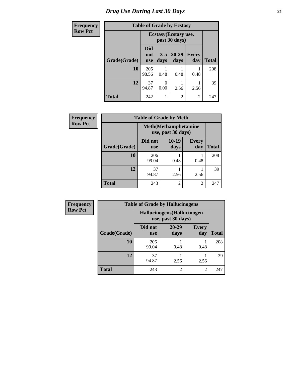# *Drug Use During Last 30 Days* **21**

| <b>Frequency</b> | <b>Table of Grade by Ecstasy</b> |                                 |                                        |                   |                     |              |  |  |  |
|------------------|----------------------------------|---------------------------------|----------------------------------------|-------------------|---------------------|--------------|--|--|--|
| <b>Row Pct</b>   |                                  |                                 | Ecstasy (Ecstasy use,<br>past 30 days) |                   |                     |              |  |  |  |
|                  | Grade(Grade)                     | <b>Did</b><br>not<br><b>use</b> | $3 - 5$<br>days                        | $20 - 29$<br>days | <b>Every</b><br>day | <b>Total</b> |  |  |  |
|                  | 10                               | 205<br>98.56                    | 0.48                                   | 0.48              | 0.48                | 208          |  |  |  |
|                  | 12                               | 37<br>94.87                     | 0<br>0.00                              | 2.56              | 2.56                | 39           |  |  |  |
|                  | <b>Total</b>                     | 242                             |                                        | $\overline{c}$    | $\overline{c}$      | 247          |  |  |  |

| <b>Frequency</b> | <b>Table of Grade by Meth</b> |                       |                                                    |                     |              |  |  |
|------------------|-------------------------------|-----------------------|----------------------------------------------------|---------------------|--------------|--|--|
| <b>Row Pct</b>   |                               |                       | <b>Meth</b> (Methamphetamine<br>use, past 30 days) |                     |              |  |  |
|                  | Grade(Grade)                  | Did not<br><b>use</b> | $10-19$<br>days                                    | <b>Every</b><br>day | <b>Total</b> |  |  |
|                  | 10                            | 206<br>99.04          | 0.48                                               | 0.48                | 208          |  |  |
|                  | 12                            | 37<br>94.87           | 2.56                                               | 2.56                | 39           |  |  |
|                  | <b>Total</b>                  | 243                   | $\overline{2}$                                     | 2                   | 247          |  |  |

| Frequency      | <b>Table of Grade by Hallucinogens</b> |                                                   |                   |                     |              |  |  |
|----------------|----------------------------------------|---------------------------------------------------|-------------------|---------------------|--------------|--|--|
| <b>Row Pct</b> |                                        | Hallucinogens (Hallucinogen<br>use, past 30 days) |                   |                     |              |  |  |
|                | Grade(Grade)                           | Did not<br><b>use</b>                             | $20 - 29$<br>days | <b>Every</b><br>day | <b>Total</b> |  |  |
|                | 10                                     | 206<br>99.04                                      | 0.48              | 0.48                | 208          |  |  |
|                | 12                                     | 37<br>94.87                                       | 2.56              | 2.56                | 39           |  |  |
|                | <b>Total</b>                           | 243                                               | 2                 | 2                   | 247          |  |  |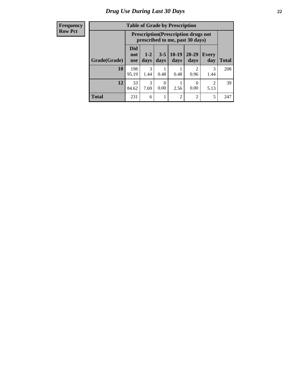#### **Frequency Row Pct**

| <b>Table of Grade by Prescription</b>                                                                                                         |              |                                                                                |      |                |                |           |              |  |
|-----------------------------------------------------------------------------------------------------------------------------------------------|--------------|--------------------------------------------------------------------------------|------|----------------|----------------|-----------|--------------|--|
|                                                                                                                                               |              | <b>Prescription</b> (Prescription drugs not<br>prescribed to me, past 30 days) |      |                |                |           |              |  |
| Did<br>$10-19$<br>$20 - 29$<br>$3 - 5$<br>$1 - 2$<br><b>Every</b><br>not<br>Grade(Grade)<br>days<br>days<br>day<br>days<br>days<br><b>use</b> |              |                                                                                |      |                |                |           | <b>Total</b> |  |
| 10                                                                                                                                            | 198<br>95.19 | 3<br>1.44                                                                      | 0.48 | 0.48           | 2<br>0.96      | 3<br>1.44 | 208          |  |
| 12<br>3<br>33<br>2<br>0<br>84.62<br>7.69<br>0.00<br>2.56<br>0.00<br>5.13                                                                      |              |                                                                                |      |                |                |           |              |  |
| <b>Total</b>                                                                                                                                  | 231          | 6                                                                              |      | $\overline{c}$ | $\overline{2}$ | 5         | 247          |  |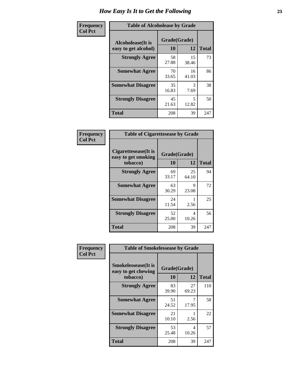| Frequency      | <b>Table of Alcoholease by Grade</b>              |                    |             |              |  |  |  |
|----------------|---------------------------------------------------|--------------------|-------------|--------------|--|--|--|
| <b>Col Pct</b> | <b>Alcoholease</b> (It is<br>easy to get alcohol) | Grade(Grade)<br>10 | 12          | <b>Total</b> |  |  |  |
|                | <b>Strongly Agree</b>                             | 58<br>27.88        | 15<br>38.46 | 73           |  |  |  |
|                | <b>Somewhat Agree</b>                             | 70<br>33.65        | 16<br>41.03 | 86           |  |  |  |
|                | <b>Somewhat Disagree</b>                          | 35<br>16.83        | 3<br>7.69   | 38           |  |  |  |
|                | <b>Strongly Disagree</b>                          | 45<br>21.63        | 5<br>12.82  | 50           |  |  |  |
|                | <b>Total</b>                                      | 208                | 39          | 247          |  |  |  |

| Frequency      | <b>Table of Cigarettesease by Grade</b>                 |                    |             |              |  |  |  |
|----------------|---------------------------------------------------------|--------------------|-------------|--------------|--|--|--|
| <b>Col Pct</b> | Cigarettesease(It is<br>easy to get smoking<br>tobacco) | Grade(Grade)<br>10 | 12          | <b>Total</b> |  |  |  |
|                | <b>Strongly Agree</b>                                   | 69<br>33.17        | 25<br>64.10 | 94           |  |  |  |
|                | <b>Somewhat Agree</b>                                   | 63<br>30.29        | Q<br>23.08  | 72           |  |  |  |
|                | <b>Somewhat Disagree</b>                                | 24<br>11.54        | 2.56        | 25           |  |  |  |
|                | <b>Strongly Disagree</b>                                | 52<br>25.00        | 4<br>10.26  | 56           |  |  |  |
|                | <b>Total</b>                                            | 208                | 39          | 247          |  |  |  |

| Frequency      | <b>Table of Smokelessease by Grade</b>                         |             |                    |              |
|----------------|----------------------------------------------------------------|-------------|--------------------|--------------|
| <b>Col Pct</b> | <b>Smokelessease</b> (It is<br>easy to get chewing<br>tobacco) | 10          | Grade(Grade)<br>12 | <b>Total</b> |
|                | <b>Strongly Agree</b>                                          | 83<br>39.90 | 27<br>69.23        | 110          |
|                | <b>Somewhat Agree</b>                                          | 51<br>24.52 | 17.95              | 58           |
|                | <b>Somewhat Disagree</b>                                       | 21<br>10.10 | 2.56               | 22           |
|                | <b>Strongly Disagree</b>                                       | 53<br>25.48 | 4<br>10.26         | 57           |
|                | <b>Total</b>                                                   | 208         | 39                 | 247          |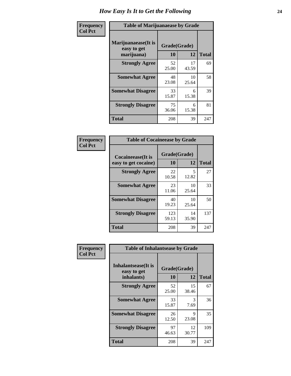| Frequency      | <b>Table of Marijuanaease by Grade</b>           |                    |              |     |  |  |  |  |  |
|----------------|--------------------------------------------------|--------------------|--------------|-----|--|--|--|--|--|
| <b>Col Pct</b> | Marijuanaease(It is<br>easy to get<br>marijuana) | Grade(Grade)<br>10 | <b>Total</b> |     |  |  |  |  |  |
|                | <b>Strongly Agree</b>                            | 52<br>25.00        | 17<br>43.59  | 69  |  |  |  |  |  |
|                | <b>Somewhat Agree</b>                            | 48<br>23.08        | 10<br>25.64  | 58  |  |  |  |  |  |
|                | <b>Somewhat Disagree</b>                         | 33<br>15.87        | 6<br>15.38   | 39  |  |  |  |  |  |
|                | <b>Strongly Disagree</b>                         | 75<br>36.06        | 6<br>15.38   | 81  |  |  |  |  |  |
|                | <b>Total</b>                                     | 208                | 39           | 247 |  |  |  |  |  |

| <b>Table of Cocaineease by Grade</b> |              |             |              |  |  |  |  |  |  |  |
|--------------------------------------|--------------|-------------|--------------|--|--|--|--|--|--|--|
| <b>Cocaineease</b> (It is            | Grade(Grade) |             |              |  |  |  |  |  |  |  |
| easy to get cocaine)                 | 10           | 12          | <b>Total</b> |  |  |  |  |  |  |  |
| <b>Strongly Agree</b>                | 22<br>10.58  | 5<br>12.82  | 27           |  |  |  |  |  |  |  |
| <b>Somewhat Agree</b>                | 23<br>11.06  | 10<br>25.64 | 33           |  |  |  |  |  |  |  |
| <b>Somewhat Disagree</b>             | 40<br>19.23  | 10<br>25.64 | 50           |  |  |  |  |  |  |  |
| <b>Strongly Disagree</b>             | 123<br>59.13 | 14<br>35.90 | 137          |  |  |  |  |  |  |  |
| <b>Total</b>                         | 208          | 39          | 247          |  |  |  |  |  |  |  |

| Frequency      | <b>Table of Inhalantsease by Grade</b>                   |                          |             |     |  |  |  |  |  |
|----------------|----------------------------------------------------------|--------------------------|-------------|-----|--|--|--|--|--|
| <b>Col Pct</b> | <b>Inhalantsease</b> (It is<br>easy to get<br>inhalants) | Grade(Grade)<br>10<br>12 |             |     |  |  |  |  |  |
|                | <b>Strongly Agree</b>                                    | 52<br>25.00              | 15<br>38.46 | 67  |  |  |  |  |  |
|                | <b>Somewhat Agree</b>                                    | 33<br>15.87              | 3<br>7.69   | 36  |  |  |  |  |  |
|                | <b>Somewhat Disagree</b>                                 | 26<br>12.50              | 9<br>23.08  | 35  |  |  |  |  |  |
|                | <b>Strongly Disagree</b>                                 | 97<br>46.63              | 12<br>30.77 | 109 |  |  |  |  |  |
|                | <b>Total</b>                                             | 208                      | 39          | 247 |  |  |  |  |  |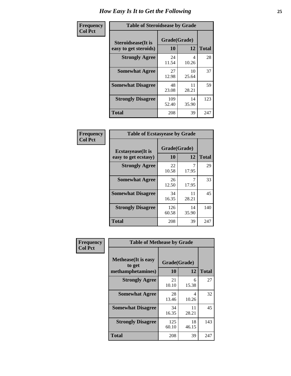| Frequency      | <b>Table of Steroidsease by Grade</b>               |                    |             |              |  |  |  |  |  |
|----------------|-----------------------------------------------------|--------------------|-------------|--------------|--|--|--|--|--|
| <b>Col Pct</b> | <b>Steroidsease</b> (It is<br>easy to get steroids) | Grade(Grade)<br>10 | 12          | <b>Total</b> |  |  |  |  |  |
|                | <b>Strongly Agree</b>                               | 24<br>11.54        | 4<br>10.26  | 28           |  |  |  |  |  |
|                | <b>Somewhat Agree</b>                               | 27<br>12.98        | 10<br>25.64 | 37           |  |  |  |  |  |
|                | <b>Somewhat Disagree</b>                            | 48<br>23.08        | 11<br>28.21 | 59           |  |  |  |  |  |
|                | <b>Strongly Disagree</b>                            | 109<br>52.40       | 14<br>35.90 | 123          |  |  |  |  |  |
|                | <b>Total</b>                                        | 208                | 39          | 247          |  |  |  |  |  |

| Frequency      | <b>Table of Ecstasyease by Grade</b>              |                    |              |     |  |  |  |  |  |
|----------------|---------------------------------------------------|--------------------|--------------|-----|--|--|--|--|--|
| <b>Col Pct</b> | <b>Ecstasyease</b> (It is<br>easy to get ecstasy) | Grade(Grade)<br>10 | <b>Total</b> |     |  |  |  |  |  |
|                | <b>Strongly Agree</b>                             | 22<br>10.58        | 17.95        | 29  |  |  |  |  |  |
|                | <b>Somewhat Agree</b>                             | 26<br>12.50        | 17.95        | 33  |  |  |  |  |  |
|                | <b>Somewhat Disagree</b>                          | 34<br>16.35        | 11<br>28.21  | 45  |  |  |  |  |  |
|                | <b>Strongly Disagree</b>                          | 126<br>60.58       | 14<br>35.90  | 140 |  |  |  |  |  |
|                | <b>Total</b>                                      | 208                | 39           | 247 |  |  |  |  |  |

| Frequency      | <b>Table of Methease by Grade</b>     |              |              |              |  |  |  |  |  |  |
|----------------|---------------------------------------|--------------|--------------|--------------|--|--|--|--|--|--|
| <b>Col Pct</b> |                                       |              |              |              |  |  |  |  |  |  |
|                |                                       |              |              |              |  |  |  |  |  |  |
|                | <b>Methease</b> (It is easy<br>to get |              | Grade(Grade) |              |  |  |  |  |  |  |
|                | methamphetamines)                     | 10           | 12           | <b>Total</b> |  |  |  |  |  |  |
|                | <b>Strongly Agree</b>                 | 21<br>10.10  | 6<br>15.38   | 27           |  |  |  |  |  |  |
|                | <b>Somewhat Agree</b>                 | 28<br>13.46  | 4<br>10.26   | 32           |  |  |  |  |  |  |
|                | <b>Somewhat Disagree</b>              | 34<br>16.35  | 11<br>28.21  | 45           |  |  |  |  |  |  |
|                | <b>Strongly Disagree</b>              | 125<br>60.10 | 18<br>46.15  | 143          |  |  |  |  |  |  |
|                | Total                                 | 208          | 39           | 247          |  |  |  |  |  |  |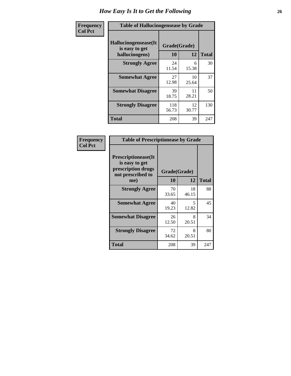| <b>Frequency</b> | <b>Table of Hallucinogensease by Grade</b>               |                    |             |              |  |  |  |  |
|------------------|----------------------------------------------------------|--------------------|-------------|--------------|--|--|--|--|
| <b>Col Pct</b>   | Hallucinogensease(It<br>is easy to get<br>hallucinogens) | Grade(Grade)<br>10 | 12          | <b>Total</b> |  |  |  |  |
|                  | <b>Strongly Agree</b>                                    | 24<br>11.54        | 6<br>15.38  | 30           |  |  |  |  |
|                  | <b>Somewhat Agree</b>                                    | 27<br>12.98        | 10<br>25.64 | 37           |  |  |  |  |
|                  | <b>Somewhat Disagree</b>                                 | 39<br>18.75        | 11<br>28.21 | 50           |  |  |  |  |
|                  | <b>Strongly Disagree</b>                                 | 118<br>56.73       | 12<br>30.77 | 130          |  |  |  |  |
|                  | <b>Total</b>                                             | 208                | 39          | 247          |  |  |  |  |

| Frequency<br>Col Pct |
|----------------------|
|                      |

| <b>Table of Prescriptionease by Grade</b>                                               |             |              |              |  |  |  |  |  |  |
|-----------------------------------------------------------------------------------------|-------------|--------------|--------------|--|--|--|--|--|--|
| <b>Prescriptionease(It</b><br>is easy to get<br>prescription drugs<br>not prescribed to |             | Grade(Grade) |              |  |  |  |  |  |  |
| me)                                                                                     | 10          | 12           | <b>Total</b> |  |  |  |  |  |  |
| <b>Strongly Agree</b>                                                                   | 70<br>33.65 | 18<br>46.15  | 88           |  |  |  |  |  |  |
| <b>Somewhat Agree</b>                                                                   | 40<br>19.23 | 5<br>12.82   | 45           |  |  |  |  |  |  |
| <b>Somewhat Disagree</b>                                                                | 26<br>12.50 | 8<br>20.51   | 34           |  |  |  |  |  |  |
| <b>Strongly Disagree</b>                                                                | 72<br>34.62 | 8<br>20.51   | 80           |  |  |  |  |  |  |
| Total                                                                                   | 208         | 39           | 247          |  |  |  |  |  |  |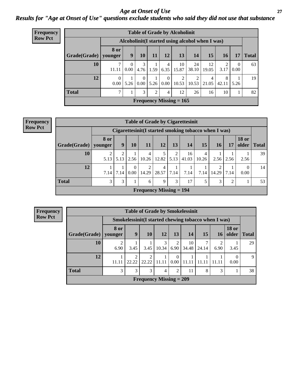#### *Age at Onset of Use* **27** *Results for "Age at Onset of Use" questions exclude students who said they did not use that substance*

| <b>Frequency</b> | <b>Table of Grade by Alcoholinit</b> |                      |                                                  |                        |                |                           |                           |             |                         |                        |                        |              |
|------------------|--------------------------------------|----------------------|--------------------------------------------------|------------------------|----------------|---------------------------|---------------------------|-------------|-------------------------|------------------------|------------------------|--------------|
| <b>Row Pct</b>   |                                      |                      | Alcoholinit (I started using alcohol when I was) |                        |                |                           |                           |             |                         |                        |                        |              |
|                  | Grade(Grade)   younger               | 8 or                 | 9                                                | 10                     | 11             | 12                        | 13                        | 14          | 15                      | 16                     | 17                     | <b>Total</b> |
|                  | 10                                   | ℸ<br>11.11           | 0<br>0.00                                        | 3<br>4.76              | 1.59           | $\overline{4}$<br>6.35    | 10<br>15.87               | 24<br>38.10 | 12<br>19.05             | $\mathfrak{D}$<br>3.17 | $\overline{0}$<br>0.00 | 63           |
|                  | 12                                   | $\mathbf{0}$<br>0.00 | 5.26                                             | $\overline{0}$<br>0.00 | 5.26           | $\theta$<br>$0.00\degree$ | 2<br>10.53                | 2<br>10.53  | $\overline{4}$<br>21.05 | 8<br>42.11             | 5.26                   | 19           |
|                  | <b>Total</b>                         | 7                    |                                                  | 3                      | $\overline{2}$ | $\overline{4}$            | 12                        | 26          | 16                      | 10                     | 1                      | 82           |
|                  |                                      |                      |                                                  |                        |                |                           | Frequency Missing $= 165$ |             |                         |                        |                        |              |

| <b>Frequency</b> |
|------------------|
| <b>Row Pct</b>   |

| <b>Table of Grade by Cigarettesinit</b> |                           |                                                      |                      |                         |                         |           |             |            |            |                |                       |              |
|-----------------------------------------|---------------------------|------------------------------------------------------|----------------------|-------------------------|-------------------------|-----------|-------------|------------|------------|----------------|-----------------------|--------------|
|                                         |                           | Cigarettesinit(I started smoking tobacco when I was) |                      |                         |                         |           |             |            |            |                |                       |              |
| Grade(Grade)                            | <b>8 or</b><br>vounger    | 9                                                    | 10                   | 11                      | 12                      | 13        | 14          | 15         | <b>16</b>  | 17             | <b>18 or</b><br>older | <b>Total</b> |
| 10                                      | ↑<br>5.13                 | 5.13                                                 | 2.56                 | 4<br>10.26              | 5<br>12.82              | 2<br>5.13 | 16<br>41.03 | 4<br>10.26 | 2.56       | 2.56           | 2.56                  | 39           |
| 12                                      | 7.14                      | 7.14                                                 | $\mathbf{0}$<br>0.00 | $\overline{2}$<br>14.29 | $\overline{4}$<br>28.57 | 7.14      | 7.14        | 7.14       | 2<br>14.29 | 7.14           | $\Omega$<br>0.00      | 14           |
| <b>Total</b>                            | 3                         | 3                                                    |                      | 6                       | 9                       | 3         | 17          | 5          | 3          | $\overline{2}$ |                       | 53           |
|                                         | Frequency Missing $= 194$ |                                                      |                      |                         |                         |           |             |            |            |                |                       |              |

**Frequency Row Pct**

|              | <b>Table of Grade by Smokelessinit</b> |                                                      |                           |            |                        |             |       |           |                       |              |
|--------------|----------------------------------------|------------------------------------------------------|---------------------------|------------|------------------------|-------------|-------|-----------|-----------------------|--------------|
|              |                                        | Smokelessinit (I started chewing tobacco when I was) |                           |            |                        |             |       |           |                       |              |
| Grade(Grade) | 8 or<br>younger                        | 9                                                    | <b>10</b>                 | 12         | 13                     | 14          | 15    | <b>16</b> | <b>18 or</b><br>older | <b>Total</b> |
| 10           | $\overline{c}$<br>6.90                 | 3.45                                                 | 3.45                      | 3<br>10.34 | $\overline{2}$<br>6.90 | 10<br>34.48 | 24.14 | 6.90      | 3.45                  | 29           |
| 12           | 11.11                                  | 22.22                                                | $\gamma$<br>22.22         | 11.11      | $\Omega$<br>0.00       | 11.11       |       |           | 0.00                  | $\mathbf Q$  |
| <b>Total</b> | 3                                      | 3                                                    | 3                         | 4          | $\overline{2}$         | 11          | 8     | 3         |                       | 38           |
|              |                                        |                                                      | Frequency Missing $= 209$ |            |                        |             |       |           |                       |              |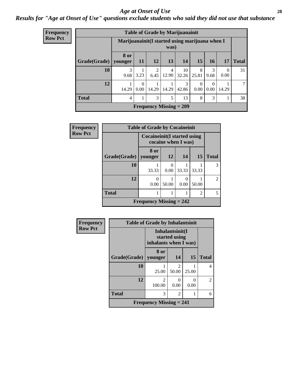#### *Age at Onset of Use* **28**

### *Results for "Age at Onset of Use" questions exclude students who said they did not use that substance*

| <b>Frequency</b> |                        |             |                                                         |                        | <b>Table of Grade by Marijuanainit</b> |             |                  |                  |                  |              |
|------------------|------------------------|-------------|---------------------------------------------------------|------------------------|----------------------------------------|-------------|------------------|------------------|------------------|--------------|
| <b>Row Pct</b>   |                        |             | Marijuanainit (I started using marijuana when I<br>was) |                        |                                        |             |                  |                  |                  |              |
|                  | Grade(Grade)   younger | <b>8 or</b> | 11                                                      | <b>12</b>              | 13                                     | 14          | 15               | 16               | 17               | <b>Total</b> |
|                  | 10                     | 3<br>9.68   | 3.23                                                    | $\mathfrak{D}$<br>6.45 | 4<br>12.90                             | 10<br>32.26 | 8<br>25.81       | 3<br>9.68        | $\Omega$<br>0.00 | 31           |
|                  | 12                     | 14.29       | $\theta$<br>0.00                                        | 14.29                  | 14.29                                  | 3<br>42.86  | $\Omega$<br>0.00 | $\theta$<br>0.00 | 14.29            | 7            |
|                  | <b>Total</b>           | 4           |                                                         | 3                      | 5                                      | 13          | 8                | 3                |                  | 38           |
|                  |                        |             |                                                         |                        | Frequency Missing $= 209$              |             |                  |                  |                  |              |

| Frequency      |              | <b>Table of Grade by Cocaineinit</b> |                     |       |                |                |
|----------------|--------------|--------------------------------------|---------------------|-------|----------------|----------------|
| <b>Row Pct</b> |              | Cocaineinit (I started using         | cocaine when I was) |       |                |                |
|                | Grade(Grade) | 8 or<br>younger                      | <b>12</b>           | 14    | <b>15</b>      | <b>Total</b>   |
|                | 10           | 33.33                                | 0.00                | 33.33 | 33.33          | 3              |
|                | 12           | 0<br>0.00                            | 50.00               | 0.00  | 50.00          | $\mathfrak{D}$ |
|                | <b>Total</b> |                                      |                     |       | $\overline{2}$ | 5              |
|                |              | Frequency Missing $= 242$            |                     |       |                |                |

| Frequency      |                                                           | <b>Table of Grade by Inhalantsinit</b> |                                      |           |                |
|----------------|-----------------------------------------------------------|----------------------------------------|--------------------------------------|-----------|----------------|
| <b>Row Pct</b> | Inhalantsinit(I<br>started using<br>inhalants when I was) |                                        |                                      |           |                |
|                | <b>Grade(Grade)</b>                                       | 8 or<br>younger                        | 14                                   | 15        | <b>Total</b>   |
|                | 10                                                        | 25.00                                  | $\mathcal{D}_{\mathcal{L}}$<br>50.00 | 25.00     | 4              |
|                | 12                                                        | $\mathfrak{D}$<br>100.00               | 0.00                                 | 0<br>0.00 | $\overline{2}$ |
|                | <b>Total</b>                                              | 3                                      | $\mathfrak{D}$                       |           | 6              |
|                |                                                           | <b>Frequency Missing = 241</b>         |                                      |           |                |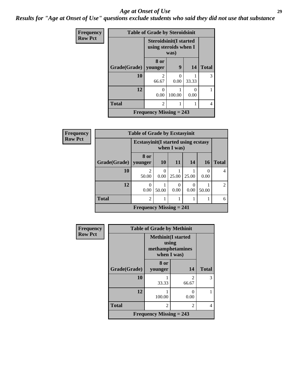#### *Age at Onset of Use* **29**

*Results for "Age at Onset of Use" questions exclude students who said they did not use that substance*

| Frequency      |                        | <b>Table of Grade by Steroidsinit</b>                          |        |           |                |
|----------------|------------------------|----------------------------------------------------------------|--------|-----------|----------------|
| <b>Row Pct</b> |                        | <b>Steroidsinit(I started</b><br>using steroids when I<br>was) |        |           |                |
|                | Grade(Grade)   younger | 8 or                                                           | 9      | 14        | <b>Total</b>   |
|                | 10                     | 2<br>66.67                                                     | 0.00   | 33.33     | 3              |
|                | 12                     | 0<br>0.00                                                      | 100.00 | 0<br>0.00 |                |
|                | <b>Total</b>           | 2                                                              |        |           | $\overline{4}$ |
|                |                        | Frequency Missing $= 243$                                      |        |           |                |

| Frequency      |              | <b>Table of Grade by Ecstasyinit</b>        |           |           |       |           |                |  |
|----------------|--------------|---------------------------------------------|-----------|-----------|-------|-----------|----------------|--|
| <b>Row Pct</b> |              | <b>Ecstasyinit</b> (I started using ecstasy |           |           |       |           |                |  |
|                | Grade(Grade) | 8 or<br>younger                             | <b>10</b> | <b>11</b> | 14    | <b>16</b> | <b>Total</b>   |  |
|                | 10           | $\overline{c}$<br>50.00                     | 0.00      | 25.00     | 25.00 | 0.00      | 4              |  |
|                | 12           | 0<br>0.00                                   | 50.00     | 0<br>0.00 | 0.00  | 50.00     | $\mathfrak{D}$ |  |
|                | <b>Total</b> | $\overline{c}$                              |           |           |       |           | 6              |  |
|                |              | Frequency Missing $= 241$                   |           |           |       |           |                |  |

| Frequency      |              | <b>Table of Grade by Methinit</b>                                      |                                      |              |  |  |  |  |  |
|----------------|--------------|------------------------------------------------------------------------|--------------------------------------|--------------|--|--|--|--|--|
| <b>Row Pct</b> |              | <b>Methinit</b> (I started<br>using<br>methamphetamines<br>when I was) |                                      |              |  |  |  |  |  |
|                | Grade(Grade) | 8 or<br>younger                                                        | 14                                   | <b>Total</b> |  |  |  |  |  |
|                | 10           | 33.33                                                                  | $\mathcal{D}_{\mathcal{A}}$<br>66.67 | 3            |  |  |  |  |  |
|                | 12           | 100.00                                                                 | ∩<br>0.00                            |              |  |  |  |  |  |
|                | <b>Total</b> | 2                                                                      | $\mathfrak{D}$                       | 4            |  |  |  |  |  |
|                |              | <b>Frequency Missing = 243</b>                                         |                                      |              |  |  |  |  |  |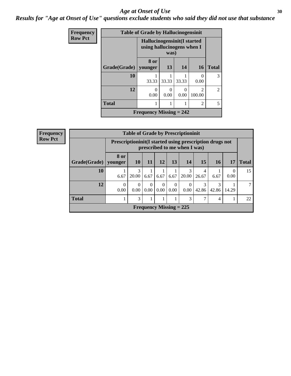#### Age at Onset of Use **30**

*Results for "Age at Onset of Use" questions exclude students who said they did not use that substance*

| Frequency      |              | <b>Table of Grade by Hallucinogensinit</b> |                                                                   |                  |                          |                |  |  |
|----------------|--------------|--------------------------------------------|-------------------------------------------------------------------|------------------|--------------------------|----------------|--|--|
| <b>Row Pct</b> |              |                                            | Hallucinogensinit(I started<br>using hallucinogens when I<br>was) |                  |                          |                |  |  |
|                | Grade(Grade) | 8 or<br>vounger                            | 13                                                                | 14               | <b>16</b>                | <b>Total</b>   |  |  |
|                | 10           | 33.33                                      | 33.33                                                             | 33.33            | 0.00                     | $\mathcal{R}$  |  |  |
|                | 12           | 0<br>0.00                                  | 0<br>0.00                                                         | $\Omega$<br>0.00 | $\mathfrak{D}$<br>100.00 | $\mathfrak{D}$ |  |  |
|                | <b>Total</b> |                                            |                                                                   |                  | 2                        | 5              |  |  |
|                |              | Frequency Missing $= 242$                  |                                                                   |                  |                          |                |  |  |

| Frequency      | <b>Table of Grade by Prescriptioninit</b> |                        |                                                                                         |                           |                  |                  |                  |            |            |                  |              |
|----------------|-------------------------------------------|------------------------|-----------------------------------------------------------------------------------------|---------------------------|------------------|------------------|------------------|------------|------------|------------------|--------------|
| <b>Row Pct</b> |                                           |                        | Prescriptioninit(I started using prescription drugs not<br>prescribed to me when I was) |                           |                  |                  |                  |            |            |                  |              |
|                | Grade(Grade)                              | <b>8 or</b><br>younger | <b>10</b>                                                                               | 11                        | 12               | 13               | 14               | 15         | <b>16</b>  | 17               | <b>Total</b> |
|                | 10                                        | 6.67                   | 3<br>20.00                                                                              | 6.67                      | 6.67             | 6.67             | 3<br>20.00       | 4<br>26.67 | 6.67       | $\theta$<br>0.00 | 15           |
|                | 12                                        | $\Omega$<br>0.00       | $\Omega$<br>0.00                                                                        | $\Omega$<br>0.00          | $\Omega$<br>0.00 | $\Omega$<br>0.00 | $\Omega$<br>0.00 | 3<br>42.86 | 3<br>42.86 | 14.29            | 7            |
|                | <b>Total</b>                              |                        | 3                                                                                       |                           |                  |                  | 3                | ⇁          | 4          |                  | 22           |
|                |                                           |                        |                                                                                         | Frequency Missing $= 225$ |                  |                  |                  |            |            |                  |              |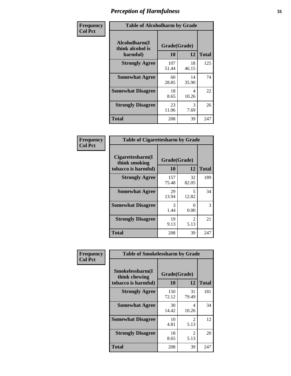| Frequency      |                                               | <b>Table of Alcoholharm by Grade</b> |             |              |  |  |  |  |  |
|----------------|-----------------------------------------------|--------------------------------------|-------------|--------------|--|--|--|--|--|
| <b>Col Pct</b> | Alcoholharm(I<br>think alcohol is<br>harmful) | Grade(Grade)<br>10                   | 12          | <b>Total</b> |  |  |  |  |  |
|                | <b>Strongly Agree</b>                         | 107<br>51.44                         | 18<br>46.15 | 125          |  |  |  |  |  |
|                | <b>Somewhat Agree</b>                         | 60<br>28.85                          | 14<br>35.90 | 74           |  |  |  |  |  |
|                | <b>Somewhat Disagree</b>                      | 18<br>8.65                           | 4<br>10.26  | 22           |  |  |  |  |  |
|                | <b>Strongly Disagree</b>                      | 23<br>11.06                          | 3<br>7.69   | 26           |  |  |  |  |  |
|                | <b>Total</b>                                  | 208                                  | 39          | 247          |  |  |  |  |  |

| <b>Table of Cigarettesharm by Grade</b>                  |                    |                        |              |  |  |  |  |  |  |
|----------------------------------------------------------|--------------------|------------------------|--------------|--|--|--|--|--|--|
| Cigarettesharm(I<br>think smoking<br>tobacco is harmful) | Grade(Grade)<br>10 | 12                     | <b>Total</b> |  |  |  |  |  |  |
| <b>Strongly Agree</b>                                    | 157<br>75.48       | 32<br>82.05            | 189          |  |  |  |  |  |  |
| <b>Somewhat Agree</b>                                    | 29<br>13.94        | 5<br>12.82             | 34           |  |  |  |  |  |  |
| <b>Somewhat Disagree</b>                                 | 3<br>1.44          | 0<br>0.00              | 3            |  |  |  |  |  |  |
| <b>Strongly Disagree</b>                                 | 19<br>9.13         | $\mathfrak{D}$<br>5.13 | 21           |  |  |  |  |  |  |
| <b>Total</b>                                             | 208                | 39                     | 247          |  |  |  |  |  |  |

| Frequency      | <b>Table of Smokelessharm by Grade</b>                  |                    |             |              |
|----------------|---------------------------------------------------------|--------------------|-------------|--------------|
| <b>Col Pct</b> | Smokelessharm(I<br>think chewing<br>tobacco is harmful) | Grade(Grade)<br>10 | 12          | <b>Total</b> |
|                | <b>Strongly Agree</b>                                   | 150<br>72.12       | 31<br>79.49 | 181          |
|                | <b>Somewhat Agree</b>                                   | 30<br>14.42        | 4<br>10.26  | 34           |
|                | <b>Somewhat Disagree</b>                                | 10<br>4.81         | 2<br>5.13   | 12           |
|                | <b>Strongly Disagree</b>                                | 18<br>8.65         | 2<br>5.13   | 20           |
|                | <b>Total</b>                                            | 208                | 39          | 247          |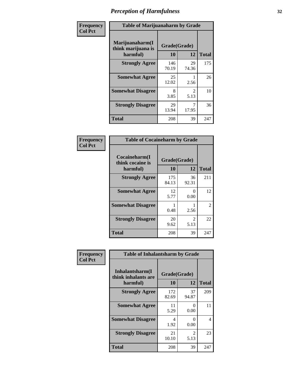| Frequency      | <b>Table of Marijuanaharm by Grade</b>            |                    |                        |              |
|----------------|---------------------------------------------------|--------------------|------------------------|--------------|
| <b>Col Pct</b> | Marijuanaharm(I<br>think marijuana is<br>harmful) | Grade(Grade)<br>10 | 12                     | <b>Total</b> |
|                | <b>Strongly Agree</b>                             | 146<br>70.19       | 29<br>74.36            | 175          |
|                | <b>Somewhat Agree</b>                             | 25<br>12.02        | 2.56                   | 26           |
|                | <b>Somewhat Disagree</b>                          | 8<br>3.85          | $\mathfrak{D}$<br>5.13 | 10           |
|                | <b>Strongly Disagree</b>                          | 29<br>13.94        | 17.95                  | 36           |
|                | <b>Total</b>                                      | 208                | 39                     | 247          |

| <b>Table of Cocaineharm by Grade</b>          |                    |                                     |                |  |  |
|-----------------------------------------------|--------------------|-------------------------------------|----------------|--|--|
| Cocaineharm(I<br>think cocaine is<br>harmful) | Grade(Grade)<br>10 | 12                                  | <b>Total</b>   |  |  |
| <b>Strongly Agree</b>                         | 175<br>84.13       | 36<br>92.31                         | 211            |  |  |
| <b>Somewhat Agree</b>                         | 12<br>5.77         | 0<br>0.00                           | 12             |  |  |
| <b>Somewhat Disagree</b>                      | 0.48               | 2.56                                | $\overline{2}$ |  |  |
| <b>Strongly Disagree</b>                      | 20<br>9.62         | $\mathcal{D}_{\mathcal{L}}$<br>5.13 | 22             |  |  |
| <b>Total</b>                                  | 208                | 39                                  | 247            |  |  |

| Frequency      | <b>Table of Inhalantsharm by Grade</b>             |                           |                        |              |
|----------------|----------------------------------------------------|---------------------------|------------------------|--------------|
| <b>Col Pct</b> | Inhalantsharm(I<br>think inhalants are<br>harmful) | Grade(Grade)<br><b>10</b> | 12                     | <b>Total</b> |
|                | <b>Strongly Agree</b>                              | 172<br>82.69              | 37<br>94.87            | 209          |
|                | <b>Somewhat Agree</b>                              | 11<br>5.29                | 0<br>0.00              | 11           |
|                | <b>Somewhat Disagree</b>                           | 4<br>1.92                 | 0<br>0.00              | 4            |
|                | <b>Strongly Disagree</b>                           | 21<br>10.10               | $\mathfrak{D}$<br>5.13 | 23           |
|                | <b>Total</b>                                       | 208                       | 39                     | 247          |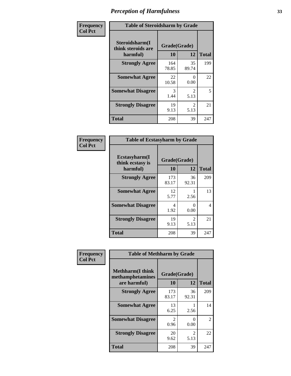| Frequency      | <b>Table of Steroidsharm by Grade</b>            |                    |                        |              |
|----------------|--------------------------------------------------|--------------------|------------------------|--------------|
| <b>Col Pct</b> | Steroidsharm(I<br>think steroids are<br>harmful) | Grade(Grade)<br>10 | 12                     | <b>Total</b> |
|                | <b>Strongly Agree</b>                            | 164<br>78.85       | 35<br>89.74            | 199          |
|                | <b>Somewhat Agree</b>                            | 22<br>10.58        | 0<br>0.00              | 22           |
|                | <b>Somewhat Disagree</b>                         | 3<br>1.44          | $\mathfrak{D}$<br>5.13 | 5            |
|                | <b>Strongly Disagree</b>                         | 19<br>9.13         | $\mathfrak{D}$<br>5.13 | 21           |
|                | <b>Total</b>                                     | 208                | 39                     | 247          |

| <b>Table of Ecstasyharm by Grade</b>          |                    |                        |              |  |
|-----------------------------------------------|--------------------|------------------------|--------------|--|
| Ecstasyharm(I<br>think ecstasy is<br>harmful) | Grade(Grade)<br>10 | 12                     | <b>Total</b> |  |
| <b>Strongly Agree</b>                         | 173<br>83.17       | 36<br>92.31            | 209          |  |
| <b>Somewhat Agree</b>                         | 12<br>5.77         | 2.56                   | 13           |  |
| <b>Somewhat Disagree</b>                      | 4<br>1.92          | 0<br>0.00              | 4            |  |
| <b>Strongly Disagree</b>                      | 19<br>9.13         | $\mathfrak{D}$<br>5.13 | 21           |  |
| <b>Total</b>                                  | 208                | 39                     | 247          |  |

| Frequency      | <b>Table of Methharm by Grade</b>                            |                           |                        |              |
|----------------|--------------------------------------------------------------|---------------------------|------------------------|--------------|
| <b>Col Pct</b> | <b>Methharm</b> (I think<br>methamphetamines<br>are harmful) | Grade(Grade)<br><b>10</b> | 12                     | <b>Total</b> |
|                | <b>Strongly Agree</b>                                        | 173<br>83.17              | 36<br>92.31            | 209          |
|                | <b>Somewhat Agree</b>                                        | 13<br>6.25                | 2.56                   | 14           |
|                | <b>Somewhat Disagree</b>                                     | 2<br>0.96                 | $\mathbf{0}$<br>0.00   | 2            |
|                | <b>Strongly Disagree</b>                                     | 20<br>9.62                | $\mathfrak{D}$<br>5.13 | 22           |
|                | <b>Total</b>                                                 | 208                       | 39                     | 247          |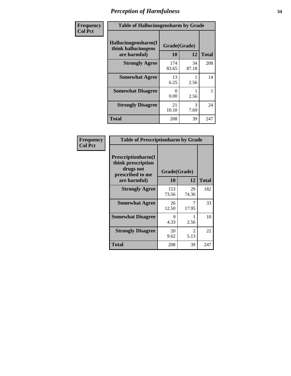| Frequency | <b>Table of Hallucinogensharm by Grade</b>                 |                    |             |              |
|-----------|------------------------------------------------------------|--------------------|-------------|--------------|
| Col Pct   | Hallucinogensharm(I<br>think hallucinogens<br>are harmful) | Grade(Grade)<br>10 | 12          | <b>Total</b> |
|           | <b>Strongly Agree</b>                                      | 174<br>83.65       | 34<br>87.18 | 208          |
|           | <b>Somewhat Agree</b>                                      | 13<br>6.25         | 2.56        | 14           |
|           | <b>Somewhat Disagree</b>                                   | 0<br>0.00          | 2.56        | 1            |
|           | <b>Strongly Disagree</b>                                   | 21<br>10.10        | 3<br>7.69   | 24           |
|           | <b>Total</b>                                               | 208                | 39          | 247          |

| <b>Table of Prescriptionharm by Grade</b>                                         |              |                       |              |  |
|-----------------------------------------------------------------------------------|--------------|-----------------------|--------------|--|
| <b>Prescriptionharm(I)</b><br>think prescription<br>drugs not<br>prescribed to me |              | Grade(Grade)          |              |  |
| are harmful)                                                                      | 10           | 12                    | <b>Total</b> |  |
| <b>Strongly Agree</b>                                                             | 153<br>73.56 | 29<br>74.36           | 182          |  |
| <b>Somewhat Agree</b>                                                             | 26<br>12.50  | 17.95                 | 33           |  |
| <b>Somewhat Disagree</b>                                                          | Q<br>4.33    | 2.56                  | 10           |  |
| <b>Strongly Disagree</b>                                                          | 20<br>9.62   | $\mathcal{L}$<br>5.13 | 22           |  |
| Total                                                                             | 208          | 39                    | 247          |  |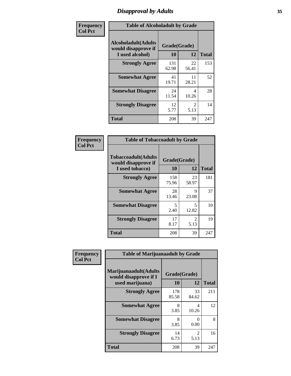# *Disapproval by Adults* **35**

| Frequency      | <b>Table of Alcoholadult by Grade</b>                                 |                    |                        |              |
|----------------|-----------------------------------------------------------------------|--------------------|------------------------|--------------|
| <b>Col Pct</b> | <b>Alcoholadult</b> (Adults<br>would disapprove if<br>I used alcohol) | Grade(Grade)<br>10 | 12                     | <b>Total</b> |
|                | <b>Strongly Agree</b>                                                 | 131<br>62.98       | 22<br>56.41            | 153          |
|                | <b>Somewhat Agree</b>                                                 | 41<br>19.71        | 11<br>28.21            | 52           |
|                | <b>Somewhat Disagree</b>                                              | 24<br>11.54        | 4<br>10.26             | 28           |
|                | <b>Strongly Disagree</b>                                              | 12<br>5.77         | $\mathfrak{D}$<br>5.13 | 14           |
|                | <b>Total</b>                                                          | 208                | 39                     | 247          |

| <b>Table of Tobaccoadult by Grade</b>                                 |              |                       |              |  |
|-----------------------------------------------------------------------|--------------|-----------------------|--------------|--|
| <b>Tobaccoadult</b> (Adults<br>would disapprove if<br>I used tobacco) | 10           | Grade(Grade)<br>12    | <b>Total</b> |  |
| <b>Strongly Agree</b>                                                 | 158<br>75.96 | 23<br>58.97           | 181          |  |
| <b>Somewhat Agree</b>                                                 | 28<br>13.46  | 9<br>23.08            | 37           |  |
| <b>Somewhat Disagree</b>                                              | 5<br>2.40    | 5<br>12.82            | 10           |  |
| <b>Strongly Disagree</b>                                              | 17<br>8.17   | $\mathcal{L}$<br>5.13 | 19           |  |
| Total                                                                 | 208          | 39                    | 247          |  |

| Frequency      | <b>Table of Marijuanaadult by Grade</b>                           |                    |             |              |
|----------------|-------------------------------------------------------------------|--------------------|-------------|--------------|
| <b>Col Pct</b> | Marijuanaadult(Adults<br>would disapprove if I<br>used marijuana) | Grade(Grade)<br>10 | 12          | <b>Total</b> |
|                | <b>Strongly Agree</b>                                             | 178<br>85.58       | 33<br>84.62 | 211          |
|                | <b>Somewhat Agree</b>                                             | 8<br>3.85          | 4<br>10.26  | 12           |
|                | <b>Somewhat Disagree</b>                                          | 8<br>3.85          | 0<br>0.00   | 8            |
|                | <b>Strongly Disagree</b>                                          | 14<br>6.73         | 2<br>5.13   | 16           |
|                | <b>Total</b>                                                      | 208                | 39          | 247          |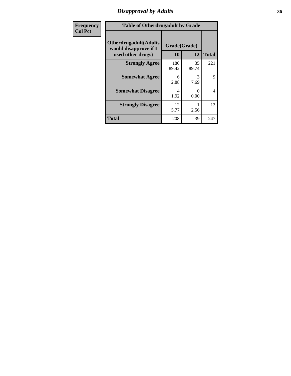### *Disapproval by Adults* **36**

| <b>Frequency</b> | <b>Table of Otherdrugadult by Grade</b>                                     |                    |                           |              |
|------------------|-----------------------------------------------------------------------------|--------------------|---------------------------|--------------|
| <b>Col Pct</b>   | <b>Otherdrugadult</b> (Adults<br>would disapprove if I<br>used other drugs) | Grade(Grade)<br>10 | 12                        | <b>Total</b> |
|                  | <b>Strongly Agree</b>                                                       | 186<br>89.42       | 35<br>89.74               | 221          |
|                  | <b>Somewhat Agree</b>                                                       | 6<br>2.88          | 3<br>7.69                 | 9            |
|                  | <b>Somewhat Disagree</b>                                                    | 4<br>1.92          | $\mathbf{\Omega}$<br>0.00 | 4            |
|                  | <b>Strongly Disagree</b>                                                    | 12<br>5.77         | 2.56                      | 13           |
|                  | <b>Total</b>                                                                | 208                | 39                        | 247          |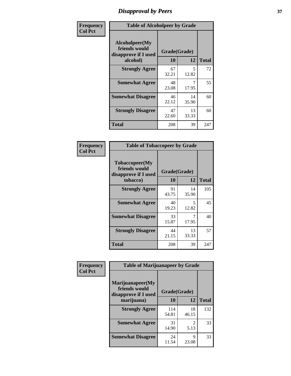# *Disapproval by Peers* **37**

| Frequency      | <b>Table of Alcoholpeer by Grade</b>                    |              |             |              |  |
|----------------|---------------------------------------------------------|--------------|-------------|--------------|--|
| <b>Col Pct</b> | Alcoholpeer(My<br>friends would<br>disapprove if I used | Grade(Grade) |             |              |  |
|                | alcohol)                                                | 10           | 12          | <b>Total</b> |  |
|                | <b>Strongly Agree</b>                                   | 67<br>32.21  | 5<br>12.82  | 72           |  |
|                | <b>Somewhat Agree</b>                                   | 48<br>23.08  | 17.95       | 55           |  |
|                | <b>Somewhat Disagree</b>                                | 46<br>22.12  | 14<br>35.90 | 60           |  |
|                | <b>Strongly Disagree</b>                                | 47<br>22.60  | 13<br>33.33 | 60           |  |
|                | Total                                                   | 208          | 39          | 247          |  |

| Frequency      | <b>Table of Tobaccopeer by Grade</b>                                |                    |             |              |
|----------------|---------------------------------------------------------------------|--------------------|-------------|--------------|
| <b>Col Pct</b> | Tobaccopeer(My<br>friends would<br>disapprove if I used<br>tobacco) | Grade(Grade)<br>10 | 12          | <b>Total</b> |
|                | <b>Strongly Agree</b>                                               | 91<br>43.75        | 14<br>35.90 | 105          |
|                | <b>Somewhat Agree</b>                                               | 40<br>19.23        | 5.<br>12.82 | 45           |
|                | <b>Somewhat Disagree</b>                                            | 33<br>15.87        | 17.95       | 40           |
|                | <b>Strongly Disagree</b>                                            | 44<br>21.15        | 13<br>33.33 | 57           |
|                | Total                                                               | 208                | 39          | 247          |

| Frequency      | <b>Table of Marijuanapeer by Grade</b>                    |              |             |              |
|----------------|-----------------------------------------------------------|--------------|-------------|--------------|
| <b>Col Pct</b> | Marijuanapeer(My<br>friends would<br>disapprove if I used | Grade(Grade) |             |              |
|                | marijuana)                                                | 10           | 12          | <b>Total</b> |
|                | <b>Strongly Agree</b>                                     | 114<br>54.81 | 18<br>46.15 | 132          |
|                | <b>Somewhat Agree</b>                                     | 31<br>14.90  | 2<br>5.13   | 33           |
|                | <b>Somewhat Disagree</b>                                  | 24<br>11.54  | Q<br>23.08  | 33           |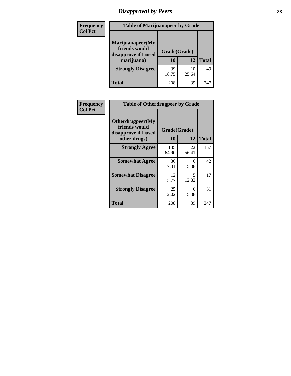# *Disapproval by Peers* **38**

| Frequency<br><b>Col Pct</b> | <b>Table of Marijuanapeer by Grade</b>                                  |                    |             |              |
|-----------------------------|-------------------------------------------------------------------------|--------------------|-------------|--------------|
|                             | Marijuanapeer(My<br>friends would<br>disapprove if I used<br>marijuana) | Grade(Grade)<br>10 | 12          | <b>Total</b> |
|                             | <b>Strongly Disagree</b>                                                | 39<br>18.75        | 10<br>25.64 | 49           |
|                             | Total                                                                   | 208                | 39          | 247          |

| <b>Frequency</b> | <b>Table of Otherdrugpeer by Grade</b>                                    |                    |                                   |              |
|------------------|---------------------------------------------------------------------------|--------------------|-----------------------------------|--------------|
| <b>Col Pct</b>   | Otherdrugpeer(My<br>friends would<br>disapprove if I used<br>other drugs) | Grade(Grade)<br>10 | 12                                | <b>Total</b> |
|                  | <b>Strongly Agree</b>                                                     | 135                | 22                                | 157          |
|                  |                                                                           | 64.90              | 56.41                             |              |
|                  | <b>Somewhat Agree</b>                                                     | 36<br>17.31        | 6<br>15.38                        | 42           |
|                  | <b>Somewhat Disagree</b>                                                  | 12<br>5.77         | $\overline{\phantom{0}}$<br>12.82 | 17           |
|                  | <b>Strongly Disagree</b>                                                  | 25<br>12.02        | 6<br>15.38                        | 31           |
|                  | Total                                                                     | 208                | 39                                | 247          |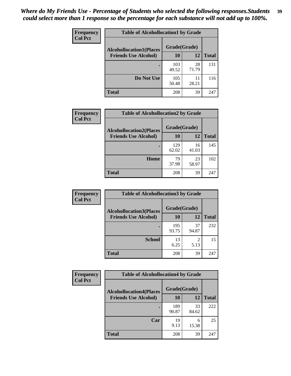| Frequency      | <b>Table of Alcohollocation1 by Grade</b> |              |             |              |
|----------------|-------------------------------------------|--------------|-------------|--------------|
| <b>Col Pct</b> | <b>Alcohollocation1(Places</b>            | Grade(Grade) |             |              |
|                | <b>Friends Use Alcohol)</b>               | 10           | 12          | <b>Total</b> |
|                |                                           | 103<br>49.52 | 28<br>71.79 | 131          |
|                | Do Not Use                                | 105<br>50.48 | 11<br>28.21 | 116          |
|                | <b>Total</b>                              | 208          | 39          | 247          |

| <b>Frequency</b> | <b>Table of Alcohollocation2 by Grade</b>                     |                           |             |              |
|------------------|---------------------------------------------------------------|---------------------------|-------------|--------------|
| <b>Col Pct</b>   | <b>Alcohollocation2(Places</b><br><b>Friends Use Alcohol)</b> | Grade(Grade)<br><b>10</b> | 12          | <b>Total</b> |
|                  |                                                               | 129<br>62.02              | 16<br>41.03 | 145          |
|                  | Home                                                          | 79<br>37.98               | 23<br>58.97 | 102          |
|                  | <b>Total</b>                                                  | 208                       | 39          | 247          |

| Frequency<br><b>Col Pct</b> | <b>Table of Alcohollocation 3 by Grade</b>                    |                    |             |              |
|-----------------------------|---------------------------------------------------------------|--------------------|-------------|--------------|
|                             | <b>Alcohollocation3(Places</b><br><b>Friends Use Alcohol)</b> | Grade(Grade)<br>10 | 12          | <b>Total</b> |
|                             |                                                               | 195<br>93.75       | 37<br>94.87 | 232          |
|                             | <b>School</b>                                                 | 13<br>6.25         | 2<br>5.13   | 15           |
|                             | Total                                                         | 208                | 39          | 247          |

| <b>Frequency</b> | <b>Table of Alcohollocation4 by Grade</b> |              |             |              |
|------------------|-------------------------------------------|--------------|-------------|--------------|
| <b>Col Pct</b>   | <b>Alcohollocation4(Places</b>            | Grade(Grade) |             |              |
|                  | <b>Friends Use Alcohol)</b>               | 10           | 12          | <b>Total</b> |
|                  |                                           | 189<br>90.87 | 33<br>84.62 | 222          |
|                  | Car                                       | 19<br>9.13   | 6<br>15.38  | 25           |
|                  | Total                                     | 208          | 39          | 247          |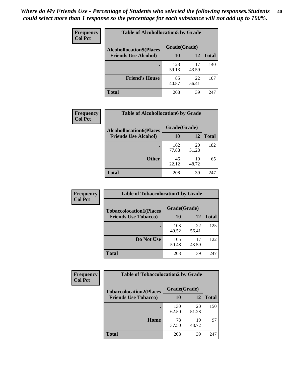| Frequency<br><b>Col Pct</b> | <b>Table of Alcohollocation5 by Grade</b><br>Grade(Grade)<br><b>Alcohollocation5(Places</b> |              |             |              |
|-----------------------------|---------------------------------------------------------------------------------------------|--------------|-------------|--------------|
|                             |                                                                                             |              |             |              |
|                             | <b>Friends Use Alcohol)</b>                                                                 | 10           | 12          | <b>Total</b> |
|                             |                                                                                             | 123<br>59.13 | 17<br>43.59 | 140          |
|                             | <b>Friend's House</b>                                                                       | 85<br>40.87  | 22<br>56.41 | 107          |
|                             | <b>Total</b>                                                                                | 208          | 39          | 247          |

| <b>Frequency</b> | <b>Table of Alcohollocation6 by Grade</b> |              |             |              |
|------------------|-------------------------------------------|--------------|-------------|--------------|
| <b>Col Pct</b>   | <b>Alcohollocation6(Places</b>            | Grade(Grade) |             |              |
|                  | <b>Friends Use Alcohol)</b>               | 10           | 12          | <b>Total</b> |
|                  |                                           | 162<br>77.88 | 20<br>51.28 | 182          |
|                  | <b>Other</b>                              | 46<br>22.12  | 19<br>48.72 | 65           |
|                  | <b>Total</b>                              | 208          | 39          | 247          |

| Frequency      | <b>Table of Tobaccolocation1 by Grade</b> |              |             |              |
|----------------|-------------------------------------------|--------------|-------------|--------------|
| <b>Col Pct</b> | <b>Tobaccolocation1(Places</b>            | Grade(Grade) |             |              |
|                | <b>Friends Use Tobacco)</b>               | 10           | 12          | <b>Total</b> |
|                |                                           | 103<br>49.52 | 22<br>56.41 | 125          |
|                | Do Not Use                                | 105<br>50.48 | 17<br>43.59 | 122          |
|                | <b>Total</b>                              | 208          | 39          | 247          |

| <b>Frequency</b> | <b>Table of Tobaccolocation2 by Grade</b> |              |             |              |  |
|------------------|-------------------------------------------|--------------|-------------|--------------|--|
| <b>Col Pct</b>   | <b>Tobaccolocation2(Places</b>            | Grade(Grade) |             |              |  |
|                  | <b>Friends Use Tobacco)</b>               | 10           | 12          | <b>Total</b> |  |
|                  |                                           | 130<br>62.50 | 20<br>51.28 | 150          |  |
|                  | Home                                      | 78<br>37.50  | 19<br>48.72 | 97           |  |
|                  | <b>Total</b>                              | 208          | 39          | 247          |  |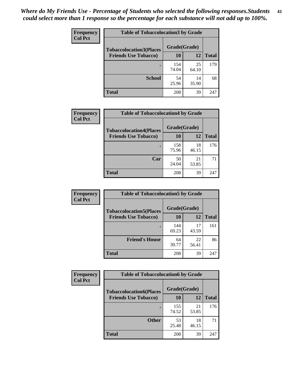| Frequency      | <b>Table of Tobaccolocation 3 by Grade</b> |              |             |              |  |
|----------------|--------------------------------------------|--------------|-------------|--------------|--|
| <b>Col Pct</b> | <b>Tobaccolocation3(Places</b>             | Grade(Grade) |             |              |  |
|                | <b>Friends Use Tobacco)</b>                | 10           | <b>12</b>   | <b>Total</b> |  |
|                |                                            | 154<br>74.04 | 25<br>64.10 | 179          |  |
|                | <b>School</b>                              | 54<br>25.96  | 14<br>35.90 | 68           |  |
|                | <b>Total</b>                               | 208          | 39          | 247          |  |

| Frequency      | <b>Table of Tobaccolocation4 by Grade</b> |              |             |              |
|----------------|-------------------------------------------|--------------|-------------|--------------|
| <b>Col Pct</b> | <b>Tobaccolocation4(Places</b>            | Grade(Grade) |             |              |
|                | <b>Friends Use Tobacco)</b>               | 10           | 12          | <b>Total</b> |
|                |                                           | 158<br>75.96 | 18<br>46.15 | 176          |
|                | Car                                       | 50<br>24.04  | 21<br>53.85 | 71           |
|                | <b>Total</b>                              | 208          | 39          | 247          |

| Frequency      | <b>Table of Tobaccolocation5 by Grade</b> |                    |             |              |
|----------------|-------------------------------------------|--------------------|-------------|--------------|
| <b>Col Pct</b> | <b>Tobaccolocation5(Places</b>            | Grade(Grade)<br>10 |             |              |
|                | <b>Friends Use Tobacco)</b>               |                    | 12          | <b>Total</b> |
|                |                                           | 144<br>69.23       | 17<br>43.59 | 161          |
|                | <b>Friend's House</b>                     | 64<br>30.77        | 22<br>56.41 | 86           |
|                | <b>Total</b>                              | 208                | 39          | 247          |

| <b>Frequency</b> | <b>Table of Tobaccolocation6 by Grade</b> |              |             |              |  |
|------------------|-------------------------------------------|--------------|-------------|--------------|--|
| <b>Col Pct</b>   | <b>Tobaccolocation6(Places</b>            | Grade(Grade) |             |              |  |
|                  | <b>Friends Use Tobacco)</b>               | 10           | 12          | <b>Total</b> |  |
|                  |                                           | 155<br>74.52 | 21<br>53.85 | 176          |  |
|                  | <b>Other</b>                              | 53<br>25.48  | 18<br>46.15 | 71           |  |
|                  | <b>Total</b>                              | 208          | 39          | 247          |  |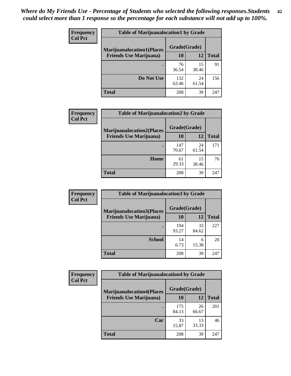| <b>Frequency</b> | <b>Table of Marijuanalocation1 by Grade</b> |              |             |              |
|------------------|---------------------------------------------|--------------|-------------|--------------|
| <b>Col Pct</b>   | <b>Marijuanalocation1(Places</b>            | Grade(Grade) |             |              |
|                  | <b>Friends Use Marijuana</b> )              | 10           | 12          | <b>Total</b> |
|                  |                                             | 76<br>36.54  | 15<br>38.46 | 91           |
|                  | Do Not Use                                  | 132<br>63.46 | 24<br>61.54 | 156          |
|                  | <b>Total</b>                                | 208          | 39          | 247          |

| <b>Frequency</b> | <b>Table of Marijuanalocation2 by Grade</b>                        |                           |             |              |
|------------------|--------------------------------------------------------------------|---------------------------|-------------|--------------|
| <b>Col Pct</b>   | <b>Marijuanalocation2(Places</b><br><b>Friends Use Marijuana</b> ) | Grade(Grade)<br><b>10</b> | 12          | <b>Total</b> |
|                  |                                                                    | 147<br>70.67              | 24<br>61.54 | 171          |
|                  | Home                                                               | 61<br>29.33               | 15<br>38.46 | 76           |
|                  | <b>Total</b>                                                       | 208                       | 39          | 247          |

| Frequency<br><b>Col Pct</b> | <b>Table of Marijuanalocation3 by Grade</b>                         |                    |             |              |
|-----------------------------|---------------------------------------------------------------------|--------------------|-------------|--------------|
|                             | <b>Marijuanalocation3</b> (Places<br><b>Friends Use Marijuana</b> ) | Grade(Grade)<br>10 | 12          | <b>Total</b> |
|                             |                                                                     |                    |             |              |
|                             |                                                                     | 194<br>93.27       | 33<br>84.62 | 227          |
|                             | <b>School</b>                                                       | 14<br>6.73         | 6<br>15.38  | 20           |
|                             | <b>Total</b>                                                        | 208                | 39          | 247          |

| <b>Frequency</b> | <b>Table of Marijuanalocation4 by Grade</b> |              |             |              |  |
|------------------|---------------------------------------------|--------------|-------------|--------------|--|
| <b>Col Pct</b>   | <b>Marijuanalocation4(Places</b>            | Grade(Grade) |             |              |  |
|                  | <b>Friends Use Marijuana</b> )              | <b>10</b>    | 12          | <b>Total</b> |  |
|                  |                                             | 175<br>84.13 | 26<br>66.67 | 201          |  |
|                  | Car                                         | 33<br>15.87  | 13<br>33.33 | 46           |  |
|                  | <b>Total</b>                                | 208          | 39          | 247          |  |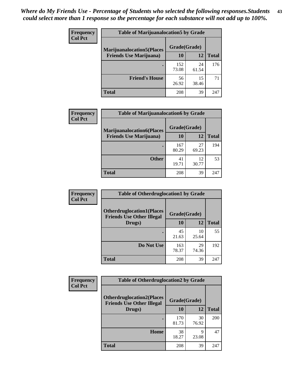| <b>Frequency</b> | <b>Table of Marijuanalocation5 by Grade</b> |              |             |              |
|------------------|---------------------------------------------|--------------|-------------|--------------|
| <b>Col Pct</b>   | <b>Marijuanalocation5</b> (Places           | Grade(Grade) |             |              |
|                  | <b>Friends Use Marijuana</b> )              | 10           | 12          | <b>Total</b> |
|                  |                                             | 152<br>73.08 | 24<br>61.54 | 176          |
|                  | <b>Friend's House</b>                       | 56<br>26.92  | 15<br>38.46 | 71           |
|                  | <b>Total</b>                                | 208          | 39          | 247          |

| <b>Frequency</b> | <b>Table of Marijuanalocation6 by Grade</b>                        |                    |             |              |
|------------------|--------------------------------------------------------------------|--------------------|-------------|--------------|
| <b>Col Pct</b>   | <b>Marijuanalocation6(Places</b><br><b>Friends Use Marijuana</b> ) | Grade(Grade)<br>10 | 12          | <b>Total</b> |
|                  |                                                                    | 167<br>80.29       | 27<br>69.23 | 194          |
|                  | <b>Other</b>                                                       | 41<br>19.71        | 12<br>30.77 | 53           |
|                  | <b>Total</b>                                                       | 208                | 39          | 247          |

| Frequency      | <b>Table of Otherdruglocation1 by Grade</b>                          |              |             |              |
|----------------|----------------------------------------------------------------------|--------------|-------------|--------------|
| <b>Col Pct</b> | <b>Otherdruglocation1(Places</b><br><b>Friends Use Other Illegal</b> | Grade(Grade) |             |              |
|                | Drugs)                                                               | 10           | 12          | <b>Total</b> |
|                |                                                                      | 45<br>21.63  | 10<br>25.64 | 55           |
|                | Do Not Use                                                           | 163<br>78.37 | 29<br>74.36 | 192          |
|                | <b>Total</b>                                                         | 208          | 39          | 247          |

| Frequency      | <b>Table of Otherdruglocation2 by Grade</b>                          |              |             |              |
|----------------|----------------------------------------------------------------------|--------------|-------------|--------------|
| <b>Col Pct</b> | <b>Otherdruglocation2(Places</b><br><b>Friends Use Other Illegal</b> | Grade(Grade) |             |              |
|                | Drugs)                                                               | 10           | 12          | <b>Total</b> |
|                |                                                                      | 170<br>81.73 | 30<br>76.92 | 200          |
|                | Home                                                                 | 38<br>18.27  | 9<br>23.08  | 47           |
|                | <b>Total</b>                                                         | 208          | 39          | 247          |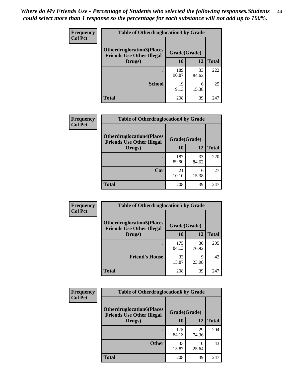| <b>Frequency</b> | <b>Table of Otherdruglocation 3 by Grade</b>                         |              |             |              |
|------------------|----------------------------------------------------------------------|--------------|-------------|--------------|
| <b>Col Pct</b>   | <b>Otherdruglocation3(Places</b><br><b>Friends Use Other Illegal</b> | Grade(Grade) |             |              |
|                  | Drugs)                                                               | 10           | 12          | <b>Total</b> |
|                  |                                                                      | 189<br>90.87 | 33<br>84.62 | 222          |
|                  | <b>School</b>                                                        | 19<br>9.13   | 6<br>15.38  | 25           |
|                  | <b>Total</b>                                                         | 208          | 39          | 247          |

| Frequency      | <b>Table of Otherdruglocation4 by Grade</b>                          |              |             |              |
|----------------|----------------------------------------------------------------------|--------------|-------------|--------------|
| <b>Col Pct</b> | <b>Otherdruglocation4(Places</b><br><b>Friends Use Other Illegal</b> | Grade(Grade) |             |              |
|                | Drugs)                                                               | 10           | 12          | <b>Total</b> |
|                |                                                                      | 187<br>89.90 | 33<br>84.62 | 220          |
|                | Car                                                                  | 21<br>10.10  | 6<br>15.38  | 27           |
|                | <b>Total</b>                                                         | 208          | 39          | 247          |

| <b>Frequency</b> | <b>Table of Otherdruglocation5 by Grade</b>                          |              |             |              |
|------------------|----------------------------------------------------------------------|--------------|-------------|--------------|
| <b>Col Pct</b>   | <b>Otherdruglocation5(Places</b><br><b>Friends Use Other Illegal</b> | Grade(Grade) |             |              |
|                  | Drugs)                                                               | <b>10</b>    | 12          | <b>Total</b> |
|                  |                                                                      | 175<br>84.13 | 30<br>76.92 | 205          |
|                  | <b>Friend's House</b>                                                | 33<br>15.87  | 9<br>23.08  | 42           |
|                  | <b>Total</b>                                                         | 208          | 39          | 247          |

| Frequency      | <b>Table of Otherdruglocation6 by Grade</b>                          |              |             |              |
|----------------|----------------------------------------------------------------------|--------------|-------------|--------------|
| <b>Col Pct</b> | <b>Otherdruglocation6(Places</b><br><b>Friends Use Other Illegal</b> | Grade(Grade) |             |              |
|                | Drugs)                                                               | 10           | 12          | <b>Total</b> |
|                |                                                                      | 175<br>84.13 | 29<br>74.36 | 204          |
|                | <b>Other</b>                                                         | 33<br>15.87  | 10<br>25.64 | 43           |
|                | <b>Total</b>                                                         | 208          | 39          | 247          |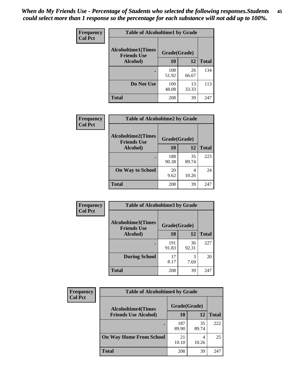| Frequency      | <b>Table of Alcoholtime1 by Grade</b>           |              |             |              |
|----------------|-------------------------------------------------|--------------|-------------|--------------|
| <b>Col Pct</b> | <b>Alcoholtime1(Times</b><br><b>Friends Use</b> | Grade(Grade) |             |              |
|                | Alcohol)                                        | 10           | <b>12</b>   | <b>Total</b> |
|                |                                                 | 108<br>51.92 | 26<br>66.67 | 134          |
|                | Do Not Use                                      | 100<br>48.08 | 13<br>33.33 | 113          |
|                | <b>Total</b>                                    | 208          | 39          | 247          |

| Frequency      | <b>Table of Alcoholtime2 by Grade</b>           |              |             |              |
|----------------|-------------------------------------------------|--------------|-------------|--------------|
| <b>Col Pct</b> | <b>Alcoholtime2(Times</b><br><b>Friends Use</b> | Grade(Grade) |             |              |
|                | Alcohol)                                        | 10           | 12          | <b>Total</b> |
|                |                                                 | 188<br>90.38 | 35<br>89.74 | 223          |
|                | <b>On Way to School</b>                         | 20<br>9.62   | 4<br>10.26  | 24           |
|                | <b>Total</b>                                    | 208          | 39          | 247          |

| Frequency      | <b>Table of Alcoholtime3 by Grade</b>           |              |             |              |
|----------------|-------------------------------------------------|--------------|-------------|--------------|
| <b>Col Pct</b> | <b>Alcoholtime3(Times</b><br><b>Friends Use</b> | Grade(Grade) |             |              |
|                | <b>Alcohol</b> )                                | 10           | 12          | <b>Total</b> |
|                |                                                 | 191<br>91.83 | 36<br>92.31 | 227          |
|                | <b>During School</b>                            | 17<br>8.17   | 3<br>7.69   | 20           |
|                | Total                                           | 208          | 39          | 247          |

| <b>Frequency</b> | <b>Table of Alcoholtime4 by Grade</b> |              |             |              |
|------------------|---------------------------------------|--------------|-------------|--------------|
| <b>Col Pct</b>   | <b>Alcoholtime4(Times</b>             | Grade(Grade) |             |              |
|                  | <b>Friends Use Alcohol)</b>           | 10           | 12          | <b>Total</b> |
|                  | ٠                                     | 187<br>89.90 | 35<br>89.74 | 222          |
|                  | <b>On Way Home From School</b>        | 21<br>10.10  | 10.26       | 25           |
|                  | <b>Total</b>                          | 208          | 39          | 247          |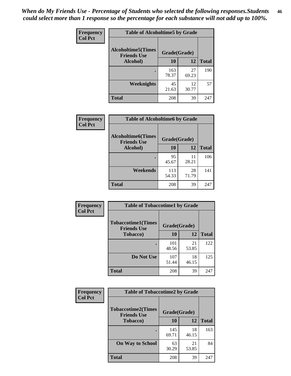*When do My Friends Use - Percentage of Students who selected the following responses.Students could select more than 1 response so the percentage for each substance will not add up to 100%.* **46**

| Frequency      | <b>Table of Alcoholtime5 by Grade</b>           |              |             |              |
|----------------|-------------------------------------------------|--------------|-------------|--------------|
| <b>Col Pct</b> | <b>Alcoholtime5(Times</b><br><b>Friends Use</b> | Grade(Grade) |             |              |
|                | Alcohol)                                        | 10           | 12          | <b>Total</b> |
|                |                                                 | 163<br>78.37 | 27<br>69.23 | 190          |
|                | Weeknights                                      | 45<br>21.63  | 12<br>30.77 | 57           |
|                | <b>Total</b>                                    | 208          | 39          | 247          |

| <b>Frequency</b> | <b>Table of Alcoholtime6 by Grade</b>           |              |             |              |
|------------------|-------------------------------------------------|--------------|-------------|--------------|
| <b>Col Pct</b>   | <b>Alcoholtime6(Times</b><br><b>Friends Use</b> | Grade(Grade) |             |              |
|                  | Alcohol)                                        | 10           | 12          | <b>Total</b> |
|                  |                                                 | 95<br>45.67  | 11<br>28.21 | 106          |
|                  | Weekends                                        | 113<br>54.33 | 28<br>71.79 | 141          |
|                  | <b>Total</b>                                    | 208          | 39          | 247          |

| Frequency      | <b>Table of Tobaccotime1 by Grade</b>           |              |             |              |
|----------------|-------------------------------------------------|--------------|-------------|--------------|
| <b>Col Pct</b> | <b>Tobaccotime1(Times</b><br><b>Friends Use</b> | Grade(Grade) |             |              |
|                | <b>Tobacco</b> )                                | 10           | 12          | <b>Total</b> |
|                | ٠                                               | 101<br>48.56 | 21<br>53.85 | 122          |
|                | Do Not Use                                      | 107<br>51.44 | 18<br>46.15 | 125          |
|                | <b>Total</b>                                    | 208          | 39          | 247          |

| <b>Frequency</b> | <b>Table of Tobaccotime2 by Grade</b>           |              |             |              |  |
|------------------|-------------------------------------------------|--------------|-------------|--------------|--|
| <b>Col Pct</b>   | <b>Tobaccotime2(Times</b><br><b>Friends Use</b> | Grade(Grade) |             |              |  |
|                  | <b>Tobacco</b> )                                | <b>10</b>    | 12          | <b>Total</b> |  |
|                  |                                                 | 145<br>69.71 | 18<br>46.15 | 163          |  |
|                  | <b>On Way to School</b>                         | 63<br>30.29  | 21<br>53.85 | 84           |  |
|                  | <b>Total</b>                                    | 208          | 39          | 247          |  |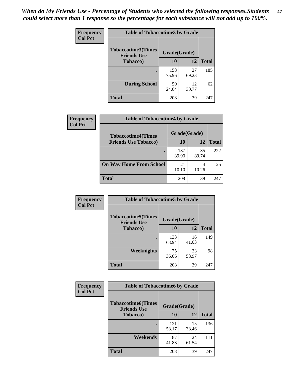*When do My Friends Use - Percentage of Students who selected the following responses.Students could select more than 1 response so the percentage for each substance will not add up to 100%.* **47**

| <b>Frequency</b> | <b>Table of Tobaccotime3 by Grade</b>           |              |             |              |  |
|------------------|-------------------------------------------------|--------------|-------------|--------------|--|
| <b>Col Pct</b>   | <b>Tobaccotime3(Times</b><br><b>Friends Use</b> | Grade(Grade) |             |              |  |
|                  | Tobacco)                                        | 10           | 12          | <b>Total</b> |  |
|                  |                                                 | 158<br>75.96 | 27<br>69.23 | 185          |  |
|                  | <b>During School</b>                            | 50<br>24.04  | 12<br>30.77 | 62           |  |
|                  | <b>Total</b>                                    | 208          | 39          | 247          |  |

| Frequency<br><b>Col Pct</b> | <b>Table of Tobaccotime4 by Grade</b> |              |             |              |
|-----------------------------|---------------------------------------|--------------|-------------|--------------|
|                             | <b>Tobaccotime4(Times</b>             | Grade(Grade) |             |              |
|                             | <b>Friends Use Tobacco)</b>           | 10           | 12          | <b>Total</b> |
|                             |                                       | 187<br>89.90 | 35<br>89.74 | 222          |
|                             | <b>On Way Home From School</b>        | 21<br>10.10  | 10.26       | 25           |
|                             | <b>Total</b>                          | 208          | 39          | 247          |

| <b>Frequency</b> | <b>Table of Tobaccotime5 by Grade</b>           |              |             |              |
|------------------|-------------------------------------------------|--------------|-------------|--------------|
| <b>Col Pct</b>   | <b>Tobaccotime5(Times</b><br><b>Friends Use</b> | Grade(Grade) |             |              |
|                  | <b>Tobacco</b> )                                | 10           | 12          | <b>Total</b> |
|                  |                                                 | 133<br>63.94 | 16<br>41.03 | 149          |
|                  | Weeknights                                      | 75<br>36.06  | 23<br>58.97 | 98           |
|                  | <b>Total</b>                                    | 208          | 39          | 247          |

| Frequency      | <b>Table of Tobaccotime6 by Grade</b>           |              |             |              |
|----------------|-------------------------------------------------|--------------|-------------|--------------|
| <b>Col Pct</b> | <b>Tobaccotime6(Times</b><br><b>Friends Use</b> | Grade(Grade) |             |              |
|                | <b>Tobacco</b> )                                | 10           | 12          | <b>Total</b> |
|                |                                                 | 121<br>58.17 | 15<br>38.46 | 136          |
|                | Weekends                                        | 87<br>41.83  | 24<br>61.54 | 111          |
|                | Total                                           | 208          | 39          | 247          |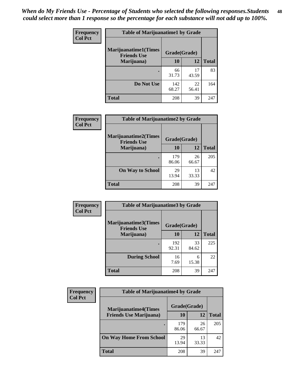| Frequency      | <b>Table of Marijuanatime1 by Grade</b>           |              |             |              |
|----------------|---------------------------------------------------|--------------|-------------|--------------|
| <b>Col Pct</b> | <b>Marijuanatime1(Times</b><br><b>Friends Use</b> | Grade(Grade) |             |              |
|                | Marijuana)                                        | 10           | 12          | <b>Total</b> |
|                |                                                   | 66<br>31.73  | 17<br>43.59 | 83           |
|                | Do Not Use                                        | 142<br>68.27 | 22<br>56.41 | 164          |
|                | <b>Total</b>                                      | 208          | 39          | 247          |

| <b>Frequency</b> | <b>Table of Marijuanatime2 by Grade</b>           |              |             |              |
|------------------|---------------------------------------------------|--------------|-------------|--------------|
| <b>Col Pct</b>   | <b>Marijuanatime2(Times</b><br><b>Friends Use</b> | Grade(Grade) |             |              |
|                  | Marijuana)                                        | 10           | 12          | <b>Total</b> |
|                  | ٠                                                 | 179<br>86.06 | 26<br>66.67 | 205          |
|                  | <b>On Way to School</b>                           | 29<br>13.94  | 13<br>33.33 | 42           |
|                  | <b>Total</b>                                      | 208          | 39          | 247          |

| Frequency      | <b>Table of Marijuanatime3 by Grade</b>    |              |             |              |
|----------------|--------------------------------------------|--------------|-------------|--------------|
| <b>Col Pct</b> | Marijuanatime3(Times<br><b>Friends Use</b> | Grade(Grade) |             |              |
|                | Marijuana)                                 | 10           | 12          | <b>Total</b> |
|                |                                            | 192<br>92.31 | 33<br>84.62 | 225          |
|                | <b>During School</b>                       | 16<br>7.69   | 6<br>15.38  | 22           |
|                | <b>Total</b>                               | 208          | 39          | 247          |

| <b>Frequency</b> | <b>Table of Marijuanatime4 by Grade</b>                       |              |             |              |
|------------------|---------------------------------------------------------------|--------------|-------------|--------------|
| <b>Col Pct</b>   | <b>Marijuanatime4(Times</b><br><b>Friends Use Marijuana</b> ) | Grade(Grade) |             |              |
|                  |                                                               | 10           | 12          | <b>Total</b> |
|                  |                                                               | 179<br>86.06 | 26<br>66.67 | 205          |
|                  | <b>On Way Home From School</b>                                | 29<br>13.94  | 13<br>33.33 | 42           |
|                  | <b>Total</b>                                                  | 208          | 39          | 247          |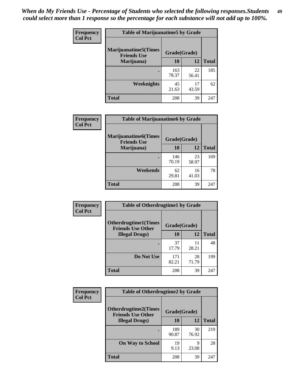| Frequency      | <b>Table of Marijuanatime5 by Grade</b>            |              |             |              |  |
|----------------|----------------------------------------------------|--------------|-------------|--------------|--|
| <b>Col Pct</b> | <b>Marijuanatime5</b> (Times<br><b>Friends Use</b> | Grade(Grade) |             |              |  |
|                | Marijuana)                                         | 10           | 12          | <b>Total</b> |  |
|                |                                                    | 163<br>78.37 | 22<br>56.41 | 185          |  |
|                | Weeknights                                         | 45<br>21.63  | 17<br>43.59 | 62           |  |
|                | <b>Total</b>                                       | 208          | 39          | 247          |  |

| Frequency      | <b>Table of Marijuanatime6 by Grade</b>           |              |             |              |
|----------------|---------------------------------------------------|--------------|-------------|--------------|
| <b>Col Pct</b> | <b>Marijuanatime6(Times</b><br><b>Friends Use</b> | Grade(Grade) |             |              |
|                | Marijuana)                                        | 10           | 12          | <b>Total</b> |
|                |                                                   | 146<br>70.19 | 23<br>58.97 | 169          |
|                | Weekends                                          | 62<br>29.81  | 16<br>41.03 | 78           |
|                | <b>Total</b>                                      | 208          | 39          | 247          |

| Frequency      | <b>Table of Otherdrugtime1 by Grade</b>                  |              |             |              |
|----------------|----------------------------------------------------------|--------------|-------------|--------------|
| <b>Col Pct</b> | <b>Otherdrugtime1</b> (Times<br><b>Friends Use Other</b> | Grade(Grade) |             |              |
|                | <b>Illegal Drugs</b> )                                   | 10           | 12          | <b>Total</b> |
|                |                                                          | 37<br>17.79  | 11<br>28.21 | 48           |
|                | Do Not Use                                               | 171<br>82.21 | 28<br>71.79 | 199          |
|                | Total                                                    | 208          | 39          | 247          |

| <b>Frequency</b><br><b>Col Pct</b> | <b>Table of Otherdrugtime2 by Grade</b>                 |              |             |              |
|------------------------------------|---------------------------------------------------------|--------------|-------------|--------------|
|                                    | <b>Otherdrugtime2(Times</b><br><b>Friends Use Other</b> | Grade(Grade) |             |              |
|                                    | <b>Illegal Drugs</b> )                                  | 10           | 12          | <b>Total</b> |
|                                    |                                                         | 189<br>90.87 | 30<br>76.92 | 219          |
|                                    | <b>On Way to School</b>                                 | 19<br>9.13   | 9<br>23.08  | 28           |
|                                    | <b>Total</b>                                            | 208          | 39          | 247          |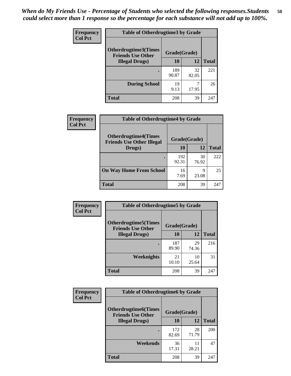| <b>Frequency</b> | <b>Table of Otherdrugtime3 by Grade</b>          |              |             |              |
|------------------|--------------------------------------------------|--------------|-------------|--------------|
| <b>Col Pct</b>   | Otherdrugtime3(Times<br><b>Friends Use Other</b> | Grade(Grade) |             |              |
|                  | <b>Illegal Drugs</b> )                           | 10           | 12          | <b>Total</b> |
|                  |                                                  | 189<br>90.87 | 32<br>82.05 | 221          |
|                  | <b>During School</b>                             | 19<br>9.13   | 7<br>17.95  | 26           |
|                  | Total                                            | 208          | 39          | 247          |

| Frequency      | <b>Table of Otherdrugtime4 by Grade</b>                         |              |             |              |
|----------------|-----------------------------------------------------------------|--------------|-------------|--------------|
| <b>Col Pct</b> | <b>Otherdrugtime4(Times</b><br><b>Friends Use Other Illegal</b> | Grade(Grade) |             |              |
|                | Drugs)                                                          | 10           | 12          | <b>Total</b> |
|                | $\bullet$                                                       | 192<br>92.31 | 30<br>76.92 | 222          |
|                | <b>On Way Home From School</b>                                  | 16<br>7.69   | 9<br>23.08  | 25           |
|                | <b>Total</b>                                                    | 208          | 39          | 247          |

| <b>Frequency</b> | <b>Table of Otherdrugtime5 by Grade</b>                  |              |             |              |
|------------------|----------------------------------------------------------|--------------|-------------|--------------|
| <b>Col Pct</b>   | <b>Otherdrugtime5</b> (Times<br><b>Friends Use Other</b> | Grade(Grade) |             |              |
|                  | <b>Illegal Drugs</b> )                                   | 10           | 12          | <b>Total</b> |
|                  |                                                          | 187<br>89.90 | 29<br>74.36 | 216          |
|                  | Weeknights                                               | 21<br>10.10  | 10<br>25.64 | 31           |
|                  | Total                                                    | 208          | 39          | 247          |

| <b>Frequency</b> | <b>Table of Otherdrugtime6 by Grade</b>                 |              |             |              |
|------------------|---------------------------------------------------------|--------------|-------------|--------------|
| <b>Col Pct</b>   | <b>Otherdrugtime6(Times</b><br><b>Friends Use Other</b> | Grade(Grade) |             |              |
|                  | <b>Illegal Drugs</b> )                                  | 10           | 12          | <b>Total</b> |
|                  |                                                         | 172<br>82.69 | 28<br>71.79 | 200          |
|                  | Weekends                                                | 36<br>17.31  | 11<br>28.21 | 47           |
|                  | Total                                                   | 208          | 39          | 247          |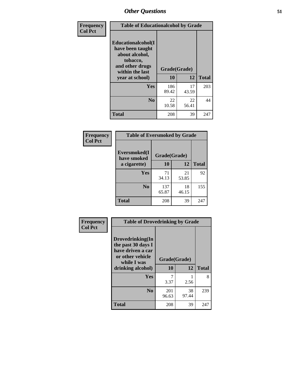| Frequency      | <b>Table of Educationalcohol by Grade</b>                                                                  |              |             |              |
|----------------|------------------------------------------------------------------------------------------------------------|--------------|-------------|--------------|
| <b>Col Pct</b> | Educationalcohol(I<br>have been taught<br>about alcohol,<br>tobacco,<br>and other drugs<br>within the last | Grade(Grade) |             |              |
|                | year at school)                                                                                            | 10           | 12          | <b>Total</b> |
|                | <b>Yes</b>                                                                                                 | 186<br>89.42 | 17<br>43.59 | 203          |
|                | N <sub>0</sub>                                                                                             | 22<br>10.58  | 22<br>56.41 | 44           |
|                | <b>Total</b>                                                                                               | 208          | 39          | 247          |

| Frequency      | <b>Table of Eversmoked by Grade</b> |              |             |              |
|----------------|-------------------------------------|--------------|-------------|--------------|
| <b>Col Pct</b> | Eversmoked(I<br>have smoked         | Grade(Grade) |             |              |
|                | a cigarette)                        | 10           | 12          | <b>Total</b> |
|                | <b>Yes</b>                          | 71<br>34.13  | 21<br>53.85 | 92           |
|                | N <sub>0</sub>                      | 137<br>65.87 | 18<br>46.15 | 155          |
|                | <b>Total</b>                        | 208          | 39          | 247          |

| Frequency<br><b>Col Pct</b> | <b>Table of Drovedrinking by Grade</b>                                                         |              |             |              |
|-----------------------------|------------------------------------------------------------------------------------------------|--------------|-------------|--------------|
|                             | Drovedrinking(In<br>the past 30 days I<br>have driven a car<br>or other vehicle<br>while I was | Grade(Grade) |             |              |
|                             | drinking alcohol)                                                                              | 10           | 12          | <b>Total</b> |
|                             | <b>Yes</b>                                                                                     | 3.37         | 2.56        | 8            |
|                             | N <sub>0</sub>                                                                                 | 201<br>96.63 | 38<br>97.44 | 239          |
|                             | <b>Total</b>                                                                                   | 208          | 39          | 247          |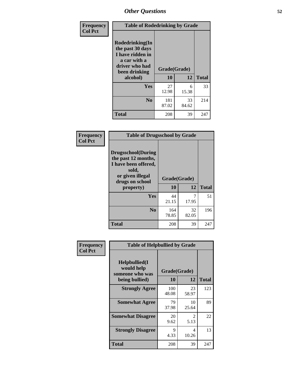| Frequency<br><b>Col Pct</b> | <b>Table of Rodedrinking by Grade</b>                                                                             |              |             |              |
|-----------------------------|-------------------------------------------------------------------------------------------------------------------|--------------|-------------|--------------|
|                             | <b>Rodedrinking(In</b><br>the past 30 days<br>I have ridden in<br>a car with a<br>driver who had<br>been drinking | Grade(Grade) |             |              |
|                             | alcohol)                                                                                                          | 10           | 12          | <b>Total</b> |
|                             | Yes                                                                                                               | 27<br>12.98  | 6<br>15.38  | 33           |
|                             | N <sub>0</sub>                                                                                                    | 181<br>87.02 | 33<br>84.62 | 214          |
|                             | <b>Total</b>                                                                                                      | 208          | 39          | 247          |

#### **Frequency Col Pct**

| <b>Table of Drugsschool by Grade</b>                                                                                      |              |       |              |
|---------------------------------------------------------------------------------------------------------------------------|--------------|-------|--------------|
| <b>Drugsschool</b> (During<br>the past 12 months,<br>I have been offered,<br>sold,<br>or given illegal<br>drugs on school | Grade(Grade) |       |              |
| property)                                                                                                                 | 10           | 12    | <b>Total</b> |
|                                                                                                                           |              |       |              |
| Yes                                                                                                                       | 44           |       | 51           |
|                                                                                                                           | 21.15        | 17.95 |              |
| N <sub>0</sub>                                                                                                            | 164          | 32    | 196          |
|                                                                                                                           | 78.85        | 82.05 |              |

| Frequency      | <b>Table of Helpbullied by Grade</b>                 |              |             |              |
|----------------|------------------------------------------------------|--------------|-------------|--------------|
| <b>Col Pct</b> | $Helpb$ ullied $(I$<br>would help<br>someone who was | Grade(Grade) |             |              |
|                | being bullied)                                       | <b>10</b>    | 12          | <b>Total</b> |
|                | <b>Strongly Agree</b>                                | 100<br>48.08 | 23<br>58.97 | 123          |
|                | <b>Somewhat Agree</b>                                | 79<br>37.98  | 10<br>25.64 | 89           |
|                | <b>Somewhat Disagree</b>                             | 20<br>9.62   | 2<br>5.13   | 22           |
|                | <b>Strongly Disagree</b>                             | 9<br>4.33    | 4<br>10.26  | 13           |
|                | <b>Total</b>                                         | 208          | 39          | 247          |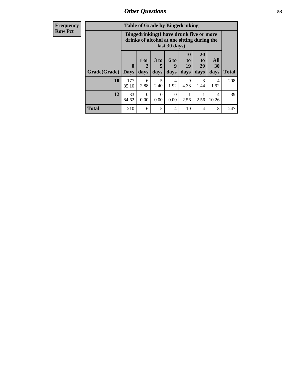| <b>Frequency</b> |  |
|------------------|--|
| <b>Row Pct</b>   |  |
|                  |  |

| <b>Table of Grade by Bingedrinking</b> |                             |                                                                                                         |              |                          |                        |                               |                   |              |
|----------------------------------------|-----------------------------|---------------------------------------------------------------------------------------------------------|--------------|--------------------------|------------------------|-------------------------------|-------------------|--------------|
|                                        |                             | Bingedrinking(I have drunk five or more<br>drinks of alcohol at one sitting during the<br>last 30 days) |              |                          |                        |                               |                   |              |
| Grade(Grade)                           | $\mathbf{0}$<br><b>Days</b> | 1 or<br>2<br>days                                                                                       | 3 to<br>days | <b>6 to</b><br>9<br>days | 10<br>to<br>19<br>days | <b>20</b><br>to<br>29<br>days | All<br>30<br>days | <b>Total</b> |
| 10                                     | 177<br>85.10                | 6<br>2.88                                                                                               | 5<br>2.40    | 4<br>1.92                | 9<br>4.33              | 3<br>1.44                     | 4<br>1.92         | 208          |
| 12                                     | 33                          | $\theta$                                                                                                | $\Omega$     | $\theta$                 |                        |                               | 4                 | 39           |
|                                        | 84.62                       | 0.00                                                                                                    | 0.00         | 0.00                     | 2.56                   | 2.56                          | 10.26             |              |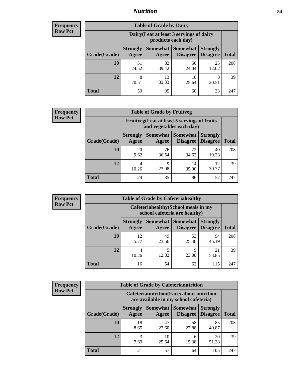## *Nutrition* **54**

| <b>Frequency</b> |
|------------------|
| <b>Row Pct</b>   |

| <b>Table of Grade by Dairy</b> |                          |                                                                 |                                    |                                    |              |  |  |  |
|--------------------------------|--------------------------|-----------------------------------------------------------------|------------------------------------|------------------------------------|--------------|--|--|--|
|                                |                          | Dairy (I eat at least 3 servings of dairy<br>products each day) |                                    |                                    |              |  |  |  |
| Grade(Grade)                   | <b>Strongly</b><br>Agree | Somewhat  <br>Agree                                             | <b>Somewhat</b><br><b>Disagree</b> | <b>Strongly</b><br><b>Disagree</b> | <b>Total</b> |  |  |  |
| 10                             | 51<br>24.52              | 82<br>39.42                                                     | 50<br>24.04                        | 25<br>12.02                        | 208          |  |  |  |
| 12                             | 8<br>20.51               | 13<br>33.33                                                     | 10<br>25.64                        | 8<br>20.51                         | 39           |  |  |  |
| <b>Total</b>                   | 59                       | 95                                                              | 60                                 | 33                                 | 247          |  |  |  |

| Frequency      |  |
|----------------|--|
| <b>Row Pct</b> |  |

| <b>Table of Grade by Fruitveg</b> |                          |                                                                          |                                               |                                    |              |  |  |  |
|-----------------------------------|--------------------------|--------------------------------------------------------------------------|-----------------------------------------------|------------------------------------|--------------|--|--|--|
|                                   |                          | Fruitveg(I eat at least 5 servings of fruits<br>and vegetables each day) |                                               |                                    |              |  |  |  |
| Grade(Grade)                      | <b>Strongly</b><br>Agree | Agree                                                                    | <b>Somewhat   Somewhat</b><br><b>Disagree</b> | <b>Strongly</b><br><b>Disagree</b> | <b>Total</b> |  |  |  |
| 10                                | 20<br>9.62               | 76<br>36.54                                                              | 72<br>34.62                                   | 40<br>19.23                        | 208          |  |  |  |
| 12                                | 4<br>10.26               | 9<br>23.08                                                               | 14<br>35.90                                   | 12<br>30.77                        | 39           |  |  |  |
| <b>Total</b>                      | 24                       | 85                                                                       | 86                                            | 52                                 | 247          |  |  |  |

| <b>Frequency</b> | <b>Table of Grade by Cafeteriahealthy</b> |                                                                       |             |                                      |                                    |              |  |
|------------------|-------------------------------------------|-----------------------------------------------------------------------|-------------|--------------------------------------|------------------------------------|--------------|--|
| <b>Row Pct</b>   |                                           | Cafeteriahealthy (School meals in my<br>school cafeteria are healthy) |             |                                      |                                    |              |  |
|                  | Grade(Grade)                              | <b>Strongly</b><br>Agree                                              | Agree       | Somewhat Somewhat<br><b>Disagree</b> | <b>Strongly</b><br><b>Disagree</b> | <b>Total</b> |  |
|                  | 10                                        | 12<br>5.77                                                            | 49<br>23.56 | 53<br>25.48                          | 94<br>45.19                        | 208          |  |
|                  | 12                                        | 4<br>10.26                                                            | 5<br>12.82  | Q<br>23.08                           | 21<br>53.85                        | 39           |  |
|                  | Total                                     | 16                                                                    | 54          | 62                                   | 115                                | 247          |  |

| <b>Frequency</b> |
|------------------|
| <b>Row Pct</b>   |

| <b>Table of Grade by Cafeterianutrition</b>                                               |                          |                   |                             |                                    |              |  |  |
|-------------------------------------------------------------------------------------------|--------------------------|-------------------|-----------------------------|------------------------------------|--------------|--|--|
| <b>Cafeterianutrition</b> (Facts about nutrition<br>are available in my school cafeteria) |                          |                   |                             |                                    |              |  |  |
| Grade(Grade)                                                                              | <b>Strongly</b><br>Agree | Somewhat<br>Agree | <b>Somewhat</b><br>Disagree | <b>Strongly</b><br><b>Disagree</b> | <b>Total</b> |  |  |
| 10                                                                                        | 18<br>8.65               | 47<br>22.60       | 58<br>27.88                 | 85<br>40.87                        | 208          |  |  |
| 12                                                                                        | 3<br>7.69                | 10<br>25.64       | 6<br>15.38                  | 20<br>51.28                        | 39           |  |  |
| <b>Total</b>                                                                              | 21                       | 57                | 64                          | 105                                | 247          |  |  |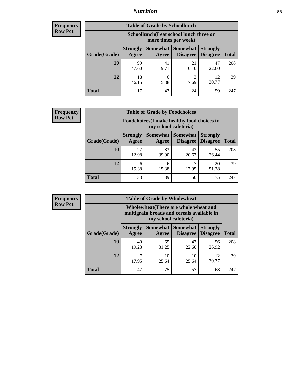## *Nutrition* **55**

| <b>Frequency</b> |
|------------------|
| Row Pct          |

| <b>Table of Grade by Schoollunch</b> |                          |                                                                 |                             |                                    |              |  |  |  |
|--------------------------------------|--------------------------|-----------------------------------------------------------------|-----------------------------|------------------------------------|--------------|--|--|--|
|                                      |                          | Schoollunch(I eat school lunch three or<br>more times per week) |                             |                                    |              |  |  |  |
| Grade(Grade)                         | <b>Strongly</b><br>Agree | Somewhat<br>Agree                                               | <b>Somewhat</b><br>Disagree | <b>Strongly</b><br><b>Disagree</b> | <b>Total</b> |  |  |  |
| 10                                   | 99<br>47.60              | 41<br>19.71                                                     | 21<br>10.10                 | 47<br>22.60                        | 208          |  |  |  |
| 12                                   | 18<br>46.15              | 6<br>15.38                                                      | 3<br>7.69                   | 12<br>30.77                        | 39           |  |  |  |
| <b>Total</b>                         | 117                      | 47                                                              | 24                          | 59                                 | 247          |  |  |  |

| <b>Frequency</b> |  |
|------------------|--|
| <b>Row Pct</b>   |  |

| <b>Table of Grade by Foodchoices</b> |                                                                            |             |                                        |                                    |              |  |  |
|--------------------------------------|----------------------------------------------------------------------------|-------------|----------------------------------------|------------------------------------|--------------|--|--|
|                                      | <b>Foodchoices</b> (I make healthy food choices in<br>my school cafeteria) |             |                                        |                                    |              |  |  |
| Grade(Grade)                         | <b>Strongly</b><br>Agree                                                   | Agree       | Somewhat   Somewhat<br><b>Disagree</b> | <b>Strongly</b><br><b>Disagree</b> | <b>Total</b> |  |  |
| 10                                   | 27<br>12.98                                                                | 83<br>39.90 | 43<br>20.67                            | 55<br>26.44                        | 208          |  |  |
| 12                                   | 6<br>15.38                                                                 | 6<br>15.38  | 17.95                                  | 20<br>51.28                        | 39           |  |  |
| <b>Total</b>                         | 33                                                                         | 89          | 50                                     | 75                                 | 247          |  |  |

| <b>Frequency</b> |              | <b>Table of Grade by Wholewheat</b>                                                                         |                     |                                    |                                    |              |  |
|------------------|--------------|-------------------------------------------------------------------------------------------------------------|---------------------|------------------------------------|------------------------------------|--------------|--|
| <b>Row Pct</b>   |              | Wholewheat (There are whole wheat and<br>multigrain breads and cereals available in<br>my school cafeteria) |                     |                                    |                                    |              |  |
|                  | Grade(Grade) | <b>Strongly</b><br>Agree                                                                                    | Somewhat  <br>Agree | <b>Somewhat</b><br><b>Disagree</b> | <b>Strongly</b><br><b>Disagree</b> | <b>Total</b> |  |
|                  | 10           | 40<br>19.23                                                                                                 | 65<br>31.25         | 47<br>22.60                        | 56<br>26.92                        | 208          |  |
|                  | 12           | ⇁<br>17.95                                                                                                  | 10<br>25.64         | 10<br>25.64                        | 12<br>30.77                        | 39           |  |
|                  | <b>Total</b> | 47                                                                                                          | 75                  | 57                                 | 68                                 | 247          |  |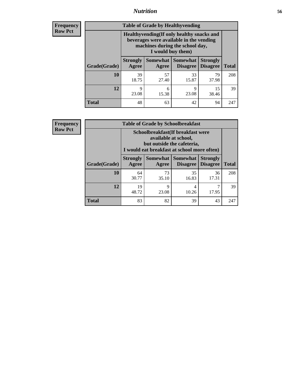## *Nutrition* **56**

**Frequency Row Pct**

| <b>Table of Grade by Healthyvending</b> |                                                                                                                                               |                          |                                    |                                    |              |  |
|-----------------------------------------|-----------------------------------------------------------------------------------------------------------------------------------------------|--------------------------|------------------------------------|------------------------------------|--------------|--|
|                                         | Healthyvending (If only healthy snacks and<br>beverages were available in the vending<br>machines during the school day,<br>I would buy them) |                          |                                    |                                    |              |  |
| Grade(Grade)                            | <b>Strongly</b><br>Agree                                                                                                                      | <b>Somewhat</b><br>Agree | <b>Somewhat</b><br><b>Disagree</b> | <b>Strongly</b><br><b>Disagree</b> | <b>Total</b> |  |
| 10                                      | 39<br>18.75                                                                                                                                   | 57<br>27.40              | 33<br>15.87                        | 79<br>37.98                        | 208          |  |
| 12                                      | 9<br>23.08                                                                                                                                    | 6<br>15.38               | 9<br>23.08                         | 15<br>38.46                        | 39           |  |
| Total                                   | 48                                                                                                                                            | 63                       | 42                                 | 94                                 | 247          |  |

**Frequency Row Pct**

| <b>Table of Grade by Schoolbreakfast</b> |                                                                                                                                         |             |                                        |                                    |              |  |
|------------------------------------------|-----------------------------------------------------------------------------------------------------------------------------------------|-------------|----------------------------------------|------------------------------------|--------------|--|
|                                          | Schoolbreakfast (If breakfast were<br>available at school,<br>but outside the cafeteria,<br>I would eat breakfast at school more often) |             |                                        |                                    |              |  |
| Grade(Grade)                             | <b>Strongly</b><br>Agree                                                                                                                | Agree       | Somewhat   Somewhat<br><b>Disagree</b> | <b>Strongly</b><br><b>Disagree</b> | <b>Total</b> |  |
| 10                                       | 64<br>30.77                                                                                                                             | 73<br>35.10 | 35<br>16.83                            | 36<br>17.31                        | 208          |  |
| 12                                       | 19<br>48.72                                                                                                                             | 9<br>23.08  | 4<br>10.26                             | 17.95                              | 39           |  |
| <b>Total</b>                             | 83                                                                                                                                      | 82          | 39                                     | 43                                 | 247          |  |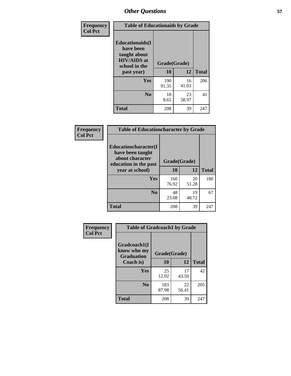| Frequency<br><b>Col Pct</b> | <b>Table of Educationaids by Grade</b>                                                                    |                    |             |              |  |
|-----------------------------|-----------------------------------------------------------------------------------------------------------|--------------------|-------------|--------------|--|
|                             | <b>Educationaids</b> (I<br>have been<br>taught about<br><b>HIV/AIDS</b> at<br>school in the<br>past year) | Grade(Grade)<br>10 | 12          | <b>Total</b> |  |
|                             | Yes                                                                                                       | 190<br>91.35       | 16<br>41.03 | 206          |  |
|                             | N <sub>0</sub>                                                                                            | 18<br>8.65         | 23<br>58.97 | 41           |  |
|                             | <b>Total</b>                                                                                              | 208                | 39          | 247          |  |

| <b>Frequency</b> | <b>Table of Educationcharacter by Grade</b>                 |              |             |              |
|------------------|-------------------------------------------------------------|--------------|-------------|--------------|
| <b>Col Pct</b>   | Educationcharacter(I<br>have been taught<br>about character |              |             |              |
|                  | education in the past                                       | Grade(Grade) |             |              |
|                  | year at school)                                             | 10           | 12          | <b>Total</b> |
|                  | Yes                                                         | 160<br>76.92 | 20<br>51.28 | 180          |
|                  | N <sub>0</sub>                                              | 48<br>23.08  | 19<br>48.72 | 67           |
|                  | <b>Total</b>                                                | 208          | 39          | 247          |

| Frequency      | <b>Table of Gradcoach1 by Grade</b> |              |             |              |
|----------------|-------------------------------------|--------------|-------------|--------------|
| <b>Col Pct</b> | Gradcoach1(I<br>know who my         | Grade(Grade) |             |              |
|                | <b>Graduation</b><br>Coach is)      | 10           | 12          | <b>Total</b> |
|                | Yes                                 | 25<br>12.02  | 17<br>43.59 | 42           |
|                | N <sub>0</sub>                      | 183<br>87.98 | 22<br>56.41 | 205          |
|                | <b>Total</b>                        | 208          | 39          | 247          |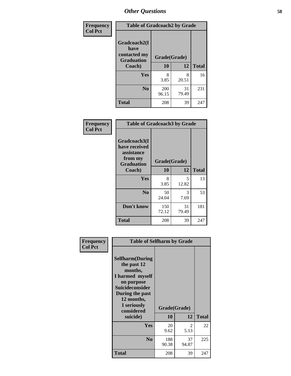| Frequency      | <b>Table of Gradcoach2 by Grade</b> |              |             |              |
|----------------|-------------------------------------|--------------|-------------|--------------|
| <b>Col Pct</b> | Gradcoach2(I<br>have                |              |             |              |
|                | contacted my<br><b>Graduation</b>   | Grade(Grade) |             |              |
|                | Coach)                              | 10           | 12          | <b>Total</b> |
|                | Yes                                 | 8<br>3.85    | 8<br>20.51  | 16           |
|                | N <sub>0</sub>                      | 200<br>96.15 | 31<br>79.49 | 231          |
|                | <b>Total</b>                        | 208          | 39          | 247          |

| <b>Frequency</b><br><b>Col Pct</b> | <b>Table of Gradcoach3 by Grade</b>                                         |              |             |              |
|------------------------------------|-----------------------------------------------------------------------------|--------------|-------------|--------------|
|                                    | Gradcoach3(I<br>have received<br>assistance<br>from my<br><b>Graduation</b> | Grade(Grade) |             |              |
|                                    | Coach)                                                                      | 10           | 12          | <b>Total</b> |
|                                    | Yes                                                                         | 8<br>3.85    | 5<br>12.82  | 13           |
|                                    | N <sub>0</sub>                                                              | 50<br>24.04  | 3<br>7.69   | 53           |
|                                    | Don't know                                                                  | 150<br>72.12 | 31<br>79.49 | 181          |
|                                    | <b>Total</b>                                                                | 208          | 39          | 247          |

| Frequency      | <b>Table of Selfharm by Grade</b>                                                                                                                                                      |                    |             |              |
|----------------|----------------------------------------------------------------------------------------------------------------------------------------------------------------------------------------|--------------------|-------------|--------------|
| <b>Col Pct</b> | <b>Selfharm</b> (During<br>the past 12<br>months,<br>I harmed myself<br>on purpose<br><b>Suicideconsider</b><br>During the past<br>12 months,<br>I seriously<br>considered<br>suicide) | Grade(Grade)<br>10 | 12          | <b>Total</b> |
|                | Yes                                                                                                                                                                                    | 20<br>9.62         | 2<br>5.13   | 22           |
|                | N <sub>0</sub>                                                                                                                                                                         | 188<br>90.38       | 37<br>94.87 | 225          |
|                | Total                                                                                                                                                                                  | 208                | 39          | 247          |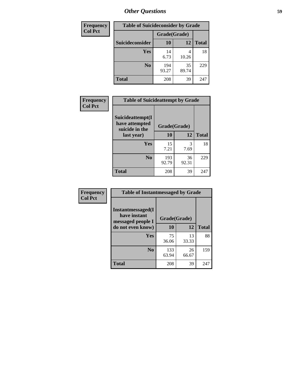| <b>Frequency</b> | <b>Table of Suicideconsider by Grade</b> |              |             |              |
|------------------|------------------------------------------|--------------|-------------|--------------|
| <b>Col Pct</b>   |                                          | Grade(Grade) |             |              |
|                  | Suicideconsider                          | <b>10</b>    | 12          | <b>Total</b> |
|                  | Yes                                      | 14<br>6.73   | 4<br>10.26  | 18           |
|                  | N <sub>0</sub>                           | 194<br>93.27 | 35<br>89.74 | 229          |
|                  | Total                                    | 208          | 39          | 247          |

| Frequency<br><b>Col Pct</b> | <b>Table of Suicideattempt by Grade</b>              |              |             |              |
|-----------------------------|------------------------------------------------------|--------------|-------------|--------------|
|                             | Suicideattempt(I<br>have attempted<br>suicide in the | Grade(Grade) |             |              |
|                             | last year)                                           | 10           | 12          | <b>Total</b> |
|                             | Yes                                                  | 15<br>7.21   | 3<br>7.69   | 18           |
|                             | N <sub>0</sub>                                       | 193<br>92.79 | 36<br>92.31 | 229          |
|                             | <b>Total</b>                                         | 208          | 39          | 247          |

| Frequency      | <b>Table of Instantmessaged by Grade</b>               |              |             |              |
|----------------|--------------------------------------------------------|--------------|-------------|--------------|
| <b>Col Pct</b> | Instantmessaged(I<br>have instant<br>messaged people I | Grade(Grade) |             |              |
|                | do not even know)                                      | 10           | 12          | <b>Total</b> |
|                | Yes                                                    | 75<br>36.06  | 13<br>33.33 | 88           |
|                | N <sub>0</sub>                                         | 133<br>63.94 | 26<br>66.67 | 159          |
|                | <b>Total</b>                                           | 208          | 39          | 247          |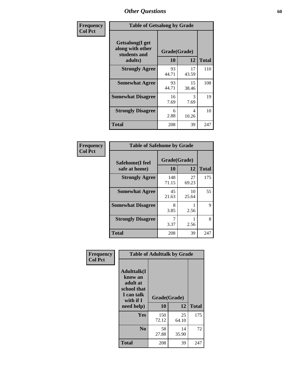| Frequency      | <b>Table of Getsalong by Grade</b>                          |              |             |              |  |  |  |
|----------------|-------------------------------------------------------------|--------------|-------------|--------------|--|--|--|
| <b>Col Pct</b> | <b>Getsalong</b> (I get<br>along with other<br>students and | Grade(Grade) |             |              |  |  |  |
|                | adults)                                                     | 10           | 12          | <b>Total</b> |  |  |  |
|                | <b>Strongly Agree</b>                                       | 93<br>44.71  | 17<br>43.59 | 110          |  |  |  |
|                | <b>Somewhat Agree</b>                                       | 93<br>44.71  | 15<br>38.46 | 108          |  |  |  |
|                | <b>Somewhat Disagree</b>                                    | 16<br>7.69   | 3<br>7.69   | 19           |  |  |  |
|                | <b>Strongly Disagree</b>                                    | 6<br>2.88    | 4<br>10.26  | 10           |  |  |  |
|                | <b>Total</b>                                                | 208          | 39          | 247          |  |  |  |

| Frequency      | <b>Table of Safehome by Grade</b> |                           |             |              |  |  |  |
|----------------|-----------------------------------|---------------------------|-------------|--------------|--|--|--|
| <b>Col Pct</b> | Safehome(I feel<br>safe at home)  | Grade(Grade)<br><b>10</b> | 12          | <b>Total</b> |  |  |  |
|                | <b>Strongly Agree</b>             | 148<br>71.15              | 27<br>69.23 | 175          |  |  |  |
|                | <b>Somewhat Agree</b>             | 45<br>21.63               | 10<br>25.64 | 55           |  |  |  |
|                | <b>Somewhat Disagree</b>          | 8<br>3.85                 | 2.56        | 9            |  |  |  |
|                | <b>Strongly Disagree</b>          | 7<br>3.37                 | 2.56        | 8            |  |  |  |
|                | <b>Total</b>                      | 208                       | 39          | 247          |  |  |  |

| Frequency<br><b>Col Pct</b> | <b>Table of Adulttalk by Grade</b>                                                                 |                    |             |              |  |  |  |  |
|-----------------------------|----------------------------------------------------------------------------------------------------|--------------------|-------------|--------------|--|--|--|--|
|                             | <b>Adulttalk</b> (I<br>know an<br>adult at<br>school that<br>I can talk<br>with if I<br>need help) | Grade(Grade)<br>10 | 12          | <b>Total</b> |  |  |  |  |
|                             |                                                                                                    |                    |             |              |  |  |  |  |
|                             | <b>Yes</b>                                                                                         | 150<br>72.12       | 25<br>64.10 | 175          |  |  |  |  |
|                             | N <sub>0</sub>                                                                                     | 58<br>27.88        | 14<br>35.90 | 72           |  |  |  |  |
|                             | <b>Total</b>                                                                                       | 208                | 39          | 247          |  |  |  |  |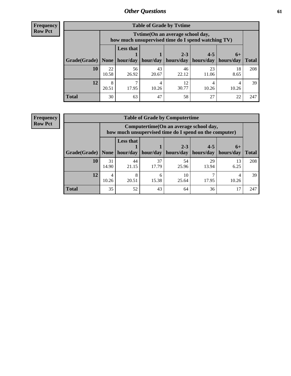**Frequency Row Pct**

| <b>Table of Grade by Tytime</b> |             |                                                                                                                              |             |             |             |            |     |  |  |  |
|---------------------------------|-------------|------------------------------------------------------------------------------------------------------------------------------|-------------|-------------|-------------|------------|-----|--|--|--|
|                                 |             | Tvtime (On an average school day,<br>how much unsupervised time do I spend watching TV)                                      |             |             |             |            |     |  |  |  |
| Grade(Grade)   None             |             | <b>Less that</b><br>$2 - 3$<br>$4 - 5$<br>$6+$<br>hour/day   hour/day   hours/day<br>  hours/day   hours/day<br><b>Total</b> |             |             |             |            |     |  |  |  |
| 10                              | 22<br>10.58 | 56<br>26.92                                                                                                                  | 43<br>20.67 | 46<br>22.12 | 23<br>11.06 | 18<br>8.65 | 208 |  |  |  |
| 12                              | 8<br>20.51  | 17.95                                                                                                                        | 10.26       | 12<br>30.77 | 10.26       | 10.26      | 39  |  |  |  |
| <b>Total</b>                    | 30          | 63                                                                                                                           | 47          | 58          | 27          | 22         | 247 |  |  |  |

**Frequency Row Pct**

| <b>Table of Grade by Computertime</b> |             |                                                                                                   |             |                      |                      |                   |              |  |  |  |
|---------------------------------------|-------------|---------------------------------------------------------------------------------------------------|-------------|----------------------|----------------------|-------------------|--------------|--|--|--|
|                                       |             | Computertime (On an average school day,<br>how much unsupervised time do I spend on the computer) |             |                      |                      |                   |              |  |  |  |
| Grade(Grade)                          | None        | <b>Less that</b><br>hour/day                                                                      | hour/day    | $2 - 3$<br>hours/day | $4 - 5$<br>hours/day | $6+$<br>hours/day | <b>Total</b> |  |  |  |
| 10                                    | 31<br>14.90 | 44<br>21.15                                                                                       | 37<br>17.79 | 54<br>25.96          | 29<br>13.94          | 13<br>6.25        | 208          |  |  |  |
| 12                                    | 4<br>10.26  | 8<br>10<br>6<br>20.51<br>15.38<br>17.95<br>10.26<br>25.64                                         |             |                      |                      |                   |              |  |  |  |
| <b>Total</b>                          | 35          | 52                                                                                                | 43          | 64                   | 36                   | 17                | 247          |  |  |  |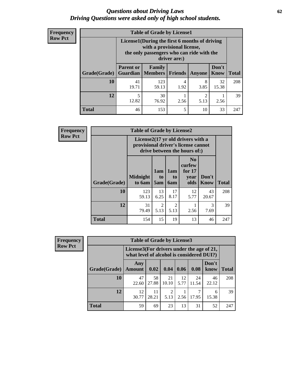#### *Questions about Driving Laws* **62** *Driving Questions were asked only of high school students.*

| <b>Frequency</b> |
|------------------|
| <b>Row Pct</b>   |

| <b>Table of Grade by License1</b> |                              |                                                                                                                                           |                |           |               |              |  |  |  |  |
|-----------------------------------|------------------------------|-------------------------------------------------------------------------------------------------------------------------------------------|----------------|-----------|---------------|--------------|--|--|--|--|
|                                   |                              | License1(During the first 6 months of driving<br>with a provisional license,<br>the only passengers who can ride with the<br>driver are:) |                |           |               |              |  |  |  |  |
| Grade(Grade)                      | <b>Parent or</b><br>Guardian | Family<br><b>Members</b>                                                                                                                  | <b>Friends</b> | Anyone    | Don't<br>Know | <b>Total</b> |  |  |  |  |
| 10                                | 41<br>19.71                  | 123<br>59.13                                                                                                                              | 4<br>1.92      | 8<br>3.85 | 32<br>15.38   | 208          |  |  |  |  |
| 12                                | 12.82                        | 2<br>30<br>76.92<br>2.56<br>5.13<br>2.56                                                                                                  |                |           |               |              |  |  |  |  |
| Total                             | 46                           | 153                                                                                                                                       | 5              | 10        | 33            | 247          |  |  |  |  |

| <b>Frequency</b> |                                                                                                                      | <b>Table of Grade by License2</b> |                              |                         |                                                      |                      |              |  |
|------------------|----------------------------------------------------------------------------------------------------------------------|-----------------------------------|------------------------------|-------------------------|------------------------------------------------------|----------------------|--------------|--|
| <b>Row Pct</b>   | License $2(17 \text{ yr})$ old drivers with a<br>provisional driver's license cannot<br>drive between the hours of:) |                                   |                              |                         |                                                      |                      |              |  |
|                  | Grade(Grade)                                                                                                         | <b>Midnight</b><br>to 6am         | 1am<br>t <sub>0</sub><br>5am | 1am<br>to<br><b>6am</b> | N <sub>0</sub><br>curfew<br>for $17$<br>vear<br>olds | Don't<br><b>Know</b> | <b>Total</b> |  |
|                  | 10                                                                                                                   | 123<br>59.13                      | 13<br>6.25                   | 17<br>8.17              | 12<br>5.77                                           | 43<br>20.67          | 208          |  |
|                  | 12                                                                                                                   | 31<br>79.49                       | $\overline{c}$<br>5.13       | $\mathfrak{D}$<br>5.13  | 2.56                                                 | 3<br>7.69            | 39           |  |
|                  | <b>Total</b>                                                                                                         | 154                               | 15                           | 19                      | 13                                                   | 46                   | 247          |  |

| Frequency      |              | <b>Table of Grade by License3</b> |                                                                                        |                        |            |             |               |              |  |  |
|----------------|--------------|-----------------------------------|----------------------------------------------------------------------------------------|------------------------|------------|-------------|---------------|--------------|--|--|
| <b>Row Pct</b> |              |                                   | License3(For drivers under the age of 21,<br>what level of alcohol is considered DUI?) |                        |            |             |               |              |  |  |
|                | Grade(Grade) | Any<br><b>Amount</b>              | 0.02                                                                                   | 0.04                   | 0.06       | 0.08        | Don't<br>know | <b>Total</b> |  |  |
|                | <b>10</b>    | 47<br>22.60                       | 58<br>27.88                                                                            | 21<br>10.10            | 12<br>5.77 | 24<br>11.54 | 46<br>22.12   | 208          |  |  |
|                | 12           | 12<br>30.77                       | 11<br>28.21                                                                            | $\mathfrak{D}$<br>5.13 | 2.56       | 17.95       | 6<br>15.38    | 39           |  |  |
|                | <b>Total</b> | 59                                | 69                                                                                     | 23                     | 13         | 31          | 52            | 247          |  |  |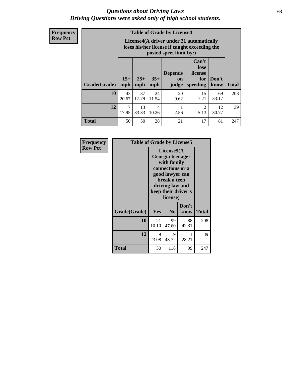#### *Questions about Driving Laws* **63** *Driving Questions were asked only of high school students.*

**Frequency Row Pct**

| <b>Table of Grade by License4</b> |                         |                                                                                                                                                                                                                                                                                       |             |            |            |             |     |  |  |
|-----------------------------------|-------------------------|---------------------------------------------------------------------------------------------------------------------------------------------------------------------------------------------------------------------------------------------------------------------------------------|-------------|------------|------------|-------------|-----|--|--|
|                                   |                         | License4(A driver under 21 automatically<br>loses his/her license if caught exceeding the<br>posted speet limit by:)<br>Can't<br>lose<br><b>Depends</b><br>license<br>$15+$<br>$25+$<br>$35+$<br>Don't<br>for<br><b>on</b><br><b>Total</b><br>mph<br>speeding<br>mph<br>know<br>judge |             |            |            |             |     |  |  |
| Grade(Grade)                      | mph                     |                                                                                                                                                                                                                                                                                       |             |            |            |             |     |  |  |
| 10                                | 43<br>20.67             | 37<br>17.79                                                                                                                                                                                                                                                                           | 24<br>11.54 | 20<br>9.62 | 15<br>7.21 | 69<br>33.17 | 208 |  |  |
| 12                                | $\overline{7}$<br>17.95 | 13<br>12<br>2<br>$\overline{4}$<br>5.13<br>33.33<br>10.26<br>2.56<br>30.77                                                                                                                                                                                                            |             |            |            |             |     |  |  |
| <b>Total</b>                      | 50                      | 50                                                                                                                                                                                                                                                                                    | 28          | 21         | 17         | 81          | 247 |  |  |

| Frequency<br><b>Row Pct</b> | <b>Table of Grade by License5</b> |             |                                                                                                                                      |                     |              |
|-----------------------------|-----------------------------------|-------------|--------------------------------------------------------------------------------------------------------------------------------------|---------------------|--------------|
|                             |                                   |             | License5(A)<br>Georgia teenager<br>with family<br>connections or a<br>good lawyer can<br>break a teen<br>driving law and<br>license) | keep their driver's |              |
|                             | Grade(Grade)                      | <b>Yes</b>  | N <sub>0</sub>                                                                                                                       | Don't<br>know       | <b>Total</b> |
|                             | 10                                | 21<br>10.10 | 99<br>47.60                                                                                                                          | 88<br>42.31         | 208          |
|                             | 12                                | 9<br>23.08  | 19<br>48.72                                                                                                                          | 11<br>28.21         | 39           |
|                             | Total                             | 30          | 118                                                                                                                                  | 99                  | 247          |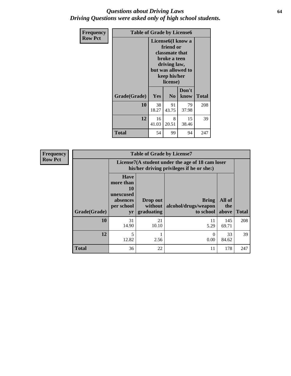#### *Questions about Driving Laws* **64** *Driving Questions were asked only of high school students.*

| <b>Frequency</b> | <b>Table of Grade by License6</b> |                                                                                                                                                 |                |               |              |
|------------------|-----------------------------------|-------------------------------------------------------------------------------------------------------------------------------------------------|----------------|---------------|--------------|
| <b>Row Pct</b>   |                                   | License <sub>6</sub> (I know a<br>friend or<br>classmate that<br>broke a teen<br>driving law,<br>but was allowed to<br>keep his/her<br>license) |                |               |              |
|                  | Grade(Grade)                      | Yes                                                                                                                                             | N <sub>0</sub> | Don't<br>know | <b>Total</b> |
|                  | 10                                | 38<br>18.27                                                                                                                                     | 91<br>43.75    | 79<br>37.98   | 208          |
|                  | 12                                | 16<br>8<br>15<br>41.03<br>20.51<br>38.46                                                                                                        |                |               | 39           |
|                  | <b>Total</b>                      | 54                                                                                                                                              | 99             | 94            | 247          |

| <b>Frequency</b> |              |                                                                             | <b>Table of Grade by License7</b>                                                             |                                                   |                        |              |  |
|------------------|--------------|-----------------------------------------------------------------------------|-----------------------------------------------------------------------------------------------|---------------------------------------------------|------------------------|--------------|--|
| <b>Row Pct</b>   |              |                                                                             | License7(A student under the age of 18 cam loser<br>his/her driving privileges if he or she:) |                                                   |                        |              |  |
|                  | Grade(Grade) | <b>Have</b><br>more than<br>10<br>unexcused<br>absences<br>per school<br>yr | Drop out<br>without  <br>graduating                                                           | <b>Bring</b><br>alcohol/drugs/weapon<br>to school | All of<br>the<br>above | <b>Total</b> |  |
|                  | 10           | 31<br>14.90                                                                 | 21<br>10.10                                                                                   | 11<br>5.29                                        | 145<br>69.71           | 208          |  |
|                  | 12           | 5<br>12.82                                                                  | 2.56                                                                                          | $\theta$<br>0.00                                  | 33<br>84.62            | 39           |  |
|                  | <b>Total</b> | 36                                                                          | 22                                                                                            | 11                                                | 178                    | 247          |  |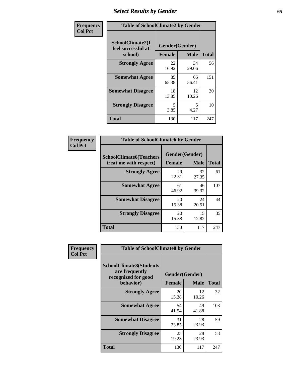# *Select Results by Gender* **65**

| Frequency      | <b>Table of SchoolClimate2 by Gender</b>          |                                 |             |              |
|----------------|---------------------------------------------------|---------------------------------|-------------|--------------|
| <b>Col Pct</b> | SchoolClimate2(I<br>feel successful at<br>school) | Gender(Gender)<br><b>Female</b> | <b>Male</b> | <b>Total</b> |
|                | <b>Strongly Agree</b>                             | 22<br>16.92                     | 34<br>29.06 | 56           |
|                | <b>Somewhat Agree</b>                             | 85<br>65.38                     | 66<br>56.41 | 151          |
|                | <b>Somewhat Disagree</b>                          | 18<br>13.85                     | 12<br>10.26 | 30           |
|                | <b>Strongly Disagree</b>                          | 5<br>3.85                       | 5.<br>4.27  | 10           |
|                | <b>Total</b>                                      | 130                             | 117         | 247          |

| <b>Frequency</b> | <b>Table of SchoolClimate6 by Gender</b>                 |                                 |             |              |
|------------------|----------------------------------------------------------|---------------------------------|-------------|--------------|
| <b>Col Pct</b>   | <b>SchoolClimate6(Teachers</b><br>treat me with respect) | Gender(Gender)<br><b>Female</b> | <b>Male</b> | <b>Total</b> |
|                  | <b>Strongly Agree</b>                                    | 29<br>22.31                     | 32<br>27.35 | 61           |
|                  | <b>Somewhat Agree</b>                                    | 61<br>46.92                     | 46<br>39.32 | 107          |
|                  | <b>Somewhat Disagree</b>                                 | 20<br>15.38                     | 24<br>20.51 | 44           |
|                  | <b>Strongly Disagree</b>                                 | 20<br>15.38                     | 15<br>12.82 | 35           |
|                  | <b>Total</b>                                             | 130                             | 117         | 247          |

| <b>Frequency</b> | <b>Table of SchoolClimate8 by Gender</b>                                             |                                 |             |              |
|------------------|--------------------------------------------------------------------------------------|---------------------------------|-------------|--------------|
| <b>Col Pct</b>   | <b>SchoolClimate8(Students</b><br>are frequently<br>recognized for good<br>behavior) | Gender(Gender)<br><b>Female</b> | <b>Male</b> | <b>Total</b> |
|                  | <b>Strongly Agree</b>                                                                | 20<br>15.38                     | 12<br>10.26 | 32           |
|                  | <b>Somewhat Agree</b>                                                                | 54<br>41.54                     | 49<br>41.88 | 103          |
|                  | <b>Somewhat Disagree</b>                                                             | 31<br>23.85                     | 28<br>23.93 | 59           |
|                  | <b>Strongly Disagree</b>                                                             | 25<br>19.23                     | 28<br>23.93 | 53           |
|                  | <b>Total</b>                                                                         | 130                             | 117         | 247          |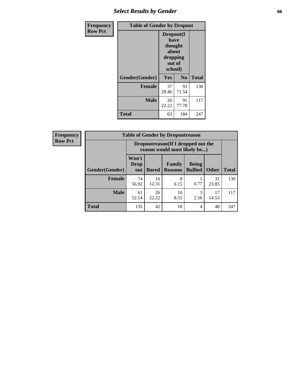# *Select Results by Gender* **66**

| <b>Frequency</b> | <b>Table of Gender by Dropout</b> |                                                                        |             |              |
|------------------|-----------------------------------|------------------------------------------------------------------------|-------------|--------------|
| <b>Row Pct</b>   |                                   | Dropout(I<br>have<br>thought<br>about<br>dropping<br>out of<br>school) |             |              |
|                  | Gender(Gender)                    | Yes                                                                    | No          | <b>Total</b> |
|                  | <b>Female</b>                     | 37<br>28.46                                                            | 93<br>71.54 | 130          |
|                  | <b>Male</b>                       | 26<br>22.22                                                            | 91<br>77.78 | 117          |
|                  | <b>Total</b>                      | 63                                                                     | 184         | 247          |

| <b>Frequency</b> | <b>Table of Gender by Dropoutreason</b> |                                                                    |              |                          |                                |              |              |
|------------------|-----------------------------------------|--------------------------------------------------------------------|--------------|--------------------------|--------------------------------|--------------|--------------|
| <b>Row Pct</b>   |                                         | Dropoutreason(If I dropped out the<br>reason would most likely be) |              |                          |                                |              |              |
|                  | Gender(Gender)                          | Won't<br><b>Drop</b><br>out                                        | <b>Bored</b> | Family<br><b>Reasons</b> | <b>Being</b><br><b>Bullied</b> | <b>Other</b> | <b>Total</b> |
|                  | Female                                  | 74<br>56.92                                                        | 16<br>12.31  | 8<br>6.15                | 0.77                           | 31<br>23.85  | 130          |
|                  | <b>Male</b>                             | 61<br>52.14                                                        | 26<br>22.22  | 10<br>8.55               | 3<br>2.56                      | 17<br>14.53  | 117          |
|                  | <b>Total</b>                            | 135                                                                | 42           | 18                       | 4                              | 48           | 247          |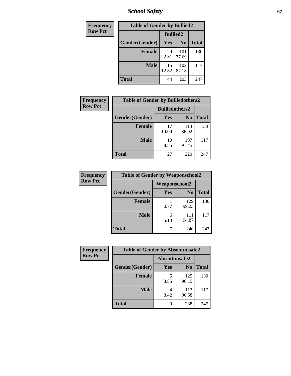*School Safety* **67**

| Frequency      | <b>Table of Gender by Bullied2</b> |                 |                |              |
|----------------|------------------------------------|-----------------|----------------|--------------|
| <b>Row Pct</b> |                                    | <b>Bullied2</b> |                |              |
|                | Gender(Gender)                     | Yes             | N <sub>0</sub> | <b>Total</b> |
|                | <b>Female</b>                      | 29<br>22.31     | 101<br>77.69   | 130          |
|                | <b>Male</b>                        | 15<br>12.82     | 102<br>87.18   | 117          |
|                | <b>Total</b>                       | 44              | 203            | 247          |

| Frequency      | <b>Table of Gender by Bulliedothers2</b> |                       |                |              |
|----------------|------------------------------------------|-----------------------|----------------|--------------|
| <b>Row Pct</b> |                                          | <b>Bulliedothers2</b> |                |              |
|                | Gender(Gender)                           | <b>Yes</b>            | N <sub>0</sub> | <b>Total</b> |
|                | <b>Female</b>                            | 17<br>13.08           | 113<br>86.92   | 130          |
|                | <b>Male</b>                              | 10<br>8.55            | 107<br>91.45   | 117          |
|                | <b>Total</b>                             | 27                    | 220            | 247          |

| Frequency      | <b>Table of Gender by Weaponschool2</b> |               |                |              |
|----------------|-----------------------------------------|---------------|----------------|--------------|
| <b>Row Pct</b> |                                         | Weaponschool2 |                |              |
|                | Gender(Gender)                          | Yes           | N <sub>0</sub> | <b>Total</b> |
|                | <b>Female</b>                           | 0.77          | 129<br>99.23   | 130          |
|                | <b>Male</b>                             | 6<br>5.13     | 111<br>94.87   | 117          |
|                | <b>Total</b>                            |               | 240            | 247          |

| Frequency      | <b>Table of Gender by Absentunsafe2</b> |               |                |              |
|----------------|-----------------------------------------|---------------|----------------|--------------|
| <b>Row Pct</b> |                                         | Absentunsafe2 |                |              |
|                | Gender(Gender)                          | Yes           | N <sub>0</sub> | <b>Total</b> |
|                | <b>Female</b>                           | 3.85          | 125<br>96.15   | 130          |
|                | <b>Male</b>                             | 3.42          | 113<br>96.58   | 117          |
|                | <b>Total</b>                            | 9             | 238            | 247          |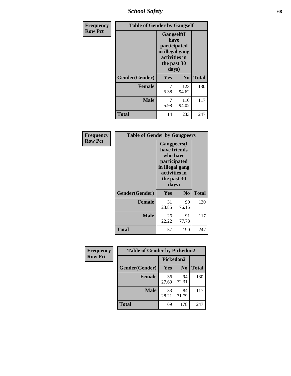*School Safety* **68**

| Frequency      | <b>Table of Gender by Gangself</b> |                                                                                                |                |              |
|----------------|------------------------------------|------------------------------------------------------------------------------------------------|----------------|--------------|
| <b>Row Pct</b> |                                    | Gangself(I<br>have<br>participated<br>in illegal gang<br>activities in<br>the past 30<br>days) |                |              |
|                | Gender(Gender)                     | Yes                                                                                            | N <sub>0</sub> | <b>Total</b> |
|                | <b>Female</b>                      | 7<br>5.38                                                                                      | 123<br>94.62   | 130          |
|                | <b>Male</b>                        | 7<br>5.98                                                                                      | 110<br>94.02   | 117          |
|                | <b>Total</b>                       | 14                                                                                             | 233            | 247          |

| Frequency      | <b>Table of Gender by Gangpeers</b> |                                                                                                                 |                |              |
|----------------|-------------------------------------|-----------------------------------------------------------------------------------------------------------------|----------------|--------------|
| <b>Row Pct</b> |                                     | <b>Gangpeers</b> (I<br>have friends<br>participated<br>in illegal gang<br>activities in<br>the past 30<br>days) | who have       |              |
|                | Gender(Gender)                      | Yes                                                                                                             | N <sub>0</sub> | <b>Total</b> |
|                | <b>Female</b>                       | 31<br>23.85                                                                                                     | 99<br>76.15    | 130          |
|                | <b>Male</b>                         | 26<br>22.22                                                                                                     | 91<br>77.78    | 117          |
|                | <b>Total</b>                        | 57                                                                                                              | 190            | 247          |

| Frequency      | <b>Table of Gender by Pickedon2</b> |             |                |              |  |
|----------------|-------------------------------------|-------------|----------------|--------------|--|
| <b>Row Pct</b> |                                     | Pickedon2   |                |              |  |
|                | Gender(Gender)                      | <b>Yes</b>  | N <sub>0</sub> | <b>Total</b> |  |
|                | <b>Female</b>                       | 36<br>27.69 | 94<br>72.31    | 130          |  |
|                | <b>Male</b>                         | 33<br>28.21 | 84<br>71.79    | 117          |  |
|                | <b>Total</b>                        | 69          | 178            | 247          |  |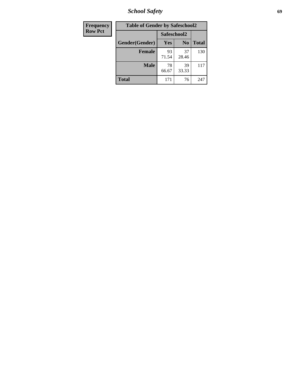*School Safety* **69**

| Frequency      | <b>Table of Gender by Safeschool2</b> |             |                |              |
|----------------|---------------------------------------|-------------|----------------|--------------|
| <b>Row Pct</b> |                                       | Safeschool2 |                |              |
|                | Gender(Gender)                        | Yes         | N <sub>0</sub> | <b>Total</b> |
|                | <b>Female</b>                         | 93<br>71.54 | 37<br>28.46    | 130          |
|                | <b>Male</b>                           | 78<br>66.67 | 39<br>33.33    | 117          |
|                | <b>Total</b>                          | 171         | 76             | 247          |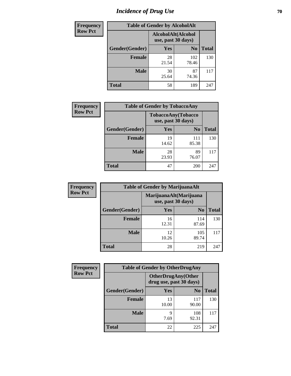# *Incidence of Drug Use* **70**

| <b>Frequency</b> | <b>Table of Gender by AlcoholAlt</b> |                                          |                |              |
|------------------|--------------------------------------|------------------------------------------|----------------|--------------|
| <b>Row Pct</b>   |                                      | AlcoholAlt(Alcohol<br>use, past 30 days) |                |              |
|                  | Gender(Gender)                       | <b>Yes</b>                               | N <sub>0</sub> | <b>Total</b> |
|                  | <b>Female</b>                        | 28<br>21.54                              | 102<br>78.46   | 130          |
|                  | <b>Male</b>                          | 30<br>25.64                              | 87<br>74.36    | 117          |
|                  | <b>Total</b>                         | 58                                       | 189            | 247          |

| <b>Frequency</b> | <b>Table of Gender by TobaccoAny</b> |                    |                    |              |  |
|------------------|--------------------------------------|--------------------|--------------------|--------------|--|
| <b>Row Pct</b>   |                                      | use, past 30 days) | TobaccoAny(Tobacco |              |  |
|                  | Gender(Gender)                       | Yes                | N <sub>0</sub>     | <b>Total</b> |  |
|                  | <b>Female</b>                        | 19<br>14.62        | 111<br>85.38       | 130          |  |
|                  | <b>Male</b>                          | 28<br>23.93        | 89<br>76.07        | 117          |  |
|                  | <b>Total</b>                         | 47                 | 200                | 247          |  |

| <b>Frequency</b> | <b>Table of Gender by MarijuanaAlt</b> |                                              |                |              |
|------------------|----------------------------------------|----------------------------------------------|----------------|--------------|
| <b>Row Pct</b>   |                                        | MarijuanaAlt(Marijuana<br>use, past 30 days) |                |              |
|                  | Gender(Gender)                         | <b>Yes</b>                                   | N <sub>0</sub> | <b>Total</b> |
|                  | <b>Female</b>                          | 16<br>12.31                                  | 114<br>87.69   | 130          |
|                  | <b>Male</b>                            | 12<br>10.26                                  | 105<br>89.74   | 117          |
|                  | <b>Total</b>                           | 28                                           | 219            | 247          |

| <b>Frequency</b> | <b>Table of Gender by OtherDrugAny</b> |                                                      |                |              |
|------------------|----------------------------------------|------------------------------------------------------|----------------|--------------|
| <b>Row Pct</b>   |                                        | <b>OtherDrugAny(Other</b><br>drug use, past 30 days) |                |              |
|                  | Gender(Gender)                         | <b>Yes</b>                                           | N <sub>0</sub> | <b>Total</b> |
|                  | <b>Female</b>                          | 13<br>10.00                                          | 117<br>90.00   | 130          |
|                  | <b>Male</b>                            | q<br>7.69                                            | 108<br>92.31   | 117          |
|                  | <b>Total</b>                           | 22                                                   | 225            | 247          |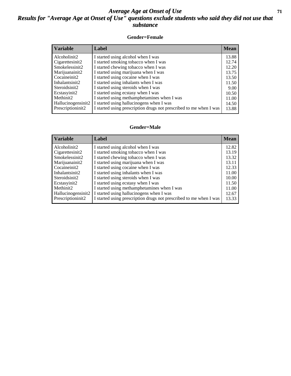#### *Average Age at Onset of Use* **71** *Results for "Average Age at Onset of Use" questions exclude students who said they did not use that substance*

#### **Gender=Female**

| <b>Variable</b>    | <b>Label</b>                                                       | <b>Mean</b> |
|--------------------|--------------------------------------------------------------------|-------------|
| Alcoholinit2       | I started using alcohol when I was                                 | 13.88       |
| Cigarettesinit2    | I started smoking tobacco when I was                               | 12.74       |
| Smokelessinit2     | I started chewing tobacco when I was                               | 12.20       |
| Marijuanainit2     | I started using marijuana when I was                               | 13.75       |
| Cocaineinit2       | I started using cocaine when I was                                 | 13.50       |
| Inhalantsinit2     | I started using inhalants when I was                               | 11.50       |
| Steroidsinit2      | I started using steroids when I was                                | 9.00        |
| Ecstasyinit2       | I started using ecstasy when I was                                 | 10.50       |
| Methinit2          | I started using methamphetamines when I was                        | 11.00       |
| Hallucinogensinit2 | I started using hallucinogens when I was                           | 14.50       |
| Prescription in t2 | I started using prescription drugs not prescribed to me when I was | 13.88       |

#### **Gender=Male**

| <b>Variable</b>                 | Label                                                              | <b>Mean</b> |
|---------------------------------|--------------------------------------------------------------------|-------------|
| Alcoholinit2                    | I started using alcohol when I was                                 | 12.82       |
| Cigarettesinit2                 | I started smoking tobacco when I was                               | 13.19       |
| Smokelessinit2                  | I started chewing tobacco when I was                               | 13.32       |
| Marijuanainit2                  | I started using marijuana when I was                               | 13.11       |
| Cocaineinit2                    | I started using cocaine when I was                                 | 12.33       |
| Inhalantsinit2                  | I started using inhalants when I was                               | 11.00       |
| Steroidsinit2                   | I started using steroids when I was                                | 10.00       |
| Ecstasyinit2                    | I started using ecstasy when I was                                 | 11.50       |
| Methinit2                       | I started using methamphetamines when I was                        | 11.00       |
| Hallucinogensinit2              | I started using hallucinogens when I was                           | 12.67       |
| Prescription in it <sub>2</sub> | I started using prescription drugs not prescribed to me when I was | 13.33       |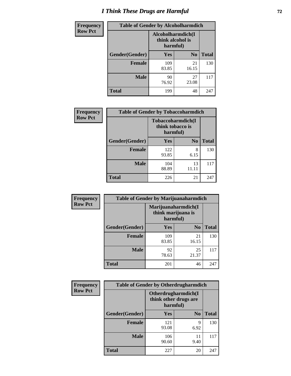# *I Think These Drugs are Harmful* **72**

| <b>Frequency</b> | <b>Table of Gender by Alcoholharmdich</b> |                                                   |                |              |
|------------------|-------------------------------------------|---------------------------------------------------|----------------|--------------|
| <b>Row Pct</b>   |                                           | Alcoholharmdich(I<br>think alcohol is<br>harmful) |                |              |
|                  | Gender(Gender)                            | Yes                                               | N <sub>0</sub> | <b>Total</b> |
|                  | <b>Female</b>                             | 109<br>83.85                                      | 21<br>16.15    | 130          |
|                  | <b>Male</b>                               | 90<br>76.92                                       | 27<br>23.08    | 117          |
|                  | Total                                     | 199                                               | 48             | 247          |

| Frequency      | <b>Table of Gender by Tobaccoharmdich</b> |                  |                               |              |
|----------------|-------------------------------------------|------------------|-------------------------------|--------------|
| <b>Row Pct</b> |                                           | think tobacco is | Tobaccoharmdich(I<br>harmful) |              |
|                | Gender(Gender)                            | <b>Yes</b>       | N <sub>0</sub>                | <b>Total</b> |
|                | <b>Female</b>                             | 122<br>93.85     | 8<br>6.15                     | 130          |
|                | <b>Male</b>                               | 104<br>88.89     | 13<br>11.11                   | 117          |
|                | <b>Total</b>                              | 226              | 21                            | 247          |

| Frequency      | <b>Table of Gender by Marijuanaharmdich</b> |                                                       |                |              |  |
|----------------|---------------------------------------------|-------------------------------------------------------|----------------|--------------|--|
| <b>Row Pct</b> |                                             | Marijuanaharmdich(I<br>think marijuana is<br>harmful) |                |              |  |
|                | Gender(Gender)                              | <b>Yes</b>                                            | N <sub>0</sub> | <b>Total</b> |  |
|                | <b>Female</b>                               | 109<br>83.85                                          | 21<br>16.15    | 130          |  |
|                | <b>Male</b>                                 | 92<br>78.63                                           | 25<br>21.37    | 117          |  |
|                | <b>Total</b>                                | 201                                                   | 46             | 247          |  |

| Frequency      | <b>Table of Gender by Otherdrugharmdich</b> |                                                          |                |              |
|----------------|---------------------------------------------|----------------------------------------------------------|----------------|--------------|
| <b>Row Pct</b> |                                             | Otherdrugharmdich(I<br>think other drugs are<br>harmful) |                |              |
|                | Gender(Gender)                              | <b>Yes</b>                                               | N <sub>0</sub> | <b>Total</b> |
|                | <b>Female</b>                               | 121<br>93.08                                             | 9<br>6.92      | 130          |
|                | <b>Male</b>                                 | 106<br>90.60                                             | 11<br>9.40     | 117          |
|                | <b>Total</b>                                | 227                                                      | 20             | 247          |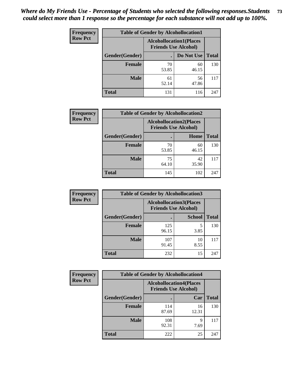| <b>Frequency</b> | <b>Table of Gender by Alcohollocation1</b>                    |             |             |              |
|------------------|---------------------------------------------------------------|-------------|-------------|--------------|
| <b>Row Pct</b>   | <b>Alcohollocation1(Places</b><br><b>Friends Use Alcohol)</b> |             |             |              |
|                  | Gender(Gender)                                                |             | Do Not Use  | <b>Total</b> |
|                  | <b>Female</b>                                                 | 70<br>53.85 | 60<br>46.15 | 130          |
|                  | <b>Male</b>                                                   | 61<br>52.14 | 56<br>47.86 | 117          |
|                  | <b>Total</b>                                                  | 131         | 116         | 247          |

| <b>Frequency</b> | <b>Table of Gender by Alcohollocation2</b> |                                                               |             |              |
|------------------|--------------------------------------------|---------------------------------------------------------------|-------------|--------------|
| <b>Row Pct</b>   |                                            | <b>Alcohollocation2(Places</b><br><b>Friends Use Alcohol)</b> |             |              |
|                  | Gender(Gender)                             |                                                               | Home        | <b>Total</b> |
|                  | <b>Female</b>                              | 70<br>53.85                                                   | 60<br>46.15 | 130          |
|                  | <b>Male</b>                                | 75<br>64.10                                                   | 42<br>35.90 | 117          |
|                  | <b>Total</b>                               | 145                                                           | 102         | 247          |

| Frequency      | <b>Table of Gender by Alcohollocation3</b> |                                                               |               |              |
|----------------|--------------------------------------------|---------------------------------------------------------------|---------------|--------------|
| <b>Row Pct</b> |                                            | <b>Alcohollocation3(Places</b><br><b>Friends Use Alcohol)</b> |               |              |
|                | Gender(Gender)                             |                                                               | <b>School</b> | <b>Total</b> |
|                | <b>Female</b>                              | 125<br>96.15                                                  | 3.85          | 130          |
|                | <b>Male</b>                                | 107<br>91.45                                                  | 10<br>8.55    | 117          |
|                | <b>Total</b>                               | 232                                                           | 15            | 247          |

| <b>Frequency</b> | <b>Table of Gender by Alcohollocation4</b> |                             |                                |              |  |
|------------------|--------------------------------------------|-----------------------------|--------------------------------|--------------|--|
| <b>Row Pct</b>   |                                            | <b>Friends Use Alcohol)</b> | <b>Alcohollocation4(Places</b> |              |  |
|                  | Gender(Gender)                             |                             | Car                            | <b>Total</b> |  |
|                  | <b>Female</b>                              | 114<br>87.69                | 16<br>12.31                    | 130          |  |
|                  | <b>Male</b>                                | 108<br>92.31                | q<br>7.69                      | 117          |  |
|                  | <b>Total</b>                               | 222                         | 25                             | 247          |  |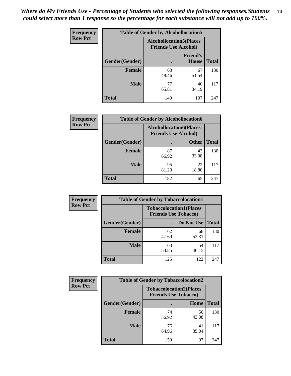| <b>Frequency</b> | <b>Table of Gender by Alcohollocation5</b> |                                                               |                                 |              |
|------------------|--------------------------------------------|---------------------------------------------------------------|---------------------------------|--------------|
| <b>Row Pct</b>   |                                            | <b>Alcohollocation5(Places</b><br><b>Friends Use Alcohol)</b> |                                 |              |
|                  | Gender(Gender)                             | $\bullet$                                                     | <b>Friend's</b><br><b>House</b> | <b>Total</b> |
|                  | <b>Female</b>                              | 63<br>48.46                                                   | 67<br>51.54                     | 130          |
|                  | <b>Male</b>                                | 77<br>65.81                                                   | 40<br>34.19                     | 117          |
|                  | <b>Total</b>                               | 140                                                           | 107                             | 247          |

| <b>Frequency</b> | <b>Table of Gender by Alcohollocation6</b> |                                                               |              |              |
|------------------|--------------------------------------------|---------------------------------------------------------------|--------------|--------------|
| <b>Row Pct</b>   |                                            | <b>Alcohollocation6(Places</b><br><b>Friends Use Alcohol)</b> |              |              |
|                  | <b>Gender</b> (Gender)                     |                                                               | <b>Other</b> | <b>Total</b> |
|                  | Female                                     | 87<br>66.92                                                   | 43<br>33.08  | 130          |
|                  | <b>Male</b>                                | 95<br>81.20                                                   | 22<br>18.80  | 117          |
|                  | <b>Total</b>                               | 182                                                           | 65           | 247          |

| Frequency      | <b>Table of Gender by Tobaccolocation1</b> |                                                               |             |              |  |
|----------------|--------------------------------------------|---------------------------------------------------------------|-------------|--------------|--|
| <b>Row Pct</b> |                                            | <b>Tobaccolocation1(Places</b><br><b>Friends Use Tobacco)</b> |             |              |  |
|                | Gender(Gender)                             |                                                               | Do Not Use  | <b>Total</b> |  |
|                | Female                                     | 62<br>47.69                                                   | 68<br>52.31 | 130          |  |
|                | <b>Male</b>                                | 63<br>53.85                                                   | 54<br>46.15 | 117          |  |
|                | <b>Total</b>                               | 125                                                           | 122         | 247          |  |

| <b>Frequency</b> | <b>Table of Gender by Tobaccolocation2</b> |                                                               |             |              |
|------------------|--------------------------------------------|---------------------------------------------------------------|-------------|--------------|
| <b>Row Pct</b>   |                                            | <b>Tobaccolocation2(Places</b><br><b>Friends Use Tobacco)</b> |             |              |
|                  | Gender(Gender)                             |                                                               | Home        | <b>Total</b> |
|                  | Female                                     | 74<br>56.92                                                   | 56<br>43.08 | 130          |
|                  | <b>Male</b>                                | 76<br>64.96                                                   | 41<br>35.04 | 117          |
|                  | <b>Total</b>                               | 150                                                           | 97          | 247          |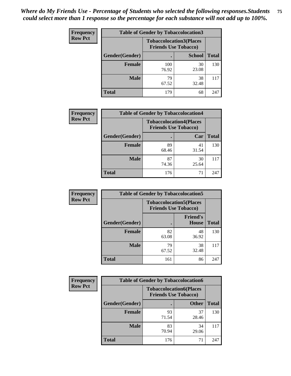| <b>Frequency</b> | <b>Table of Gender by Tobaccolocation3</b> |              |                                                               |              |
|------------------|--------------------------------------------|--------------|---------------------------------------------------------------|--------------|
| <b>Row Pct</b>   |                                            |              | <b>Tobaccolocation3(Places</b><br><b>Friends Use Tobacco)</b> |              |
|                  | Gender(Gender)                             |              | <b>School</b>                                                 | <b>Total</b> |
|                  | Female                                     | 100<br>76.92 | 30<br>23.08                                                   | 130          |
|                  | <b>Male</b>                                | 79<br>67.52  | 38<br>32.48                                                   | 117          |
|                  | <b>Total</b>                               | 179          | 68                                                            | 247          |

| <b>Frequency</b> | <b>Table of Gender by Tobaccolocation4</b> |             |                                                               |              |
|------------------|--------------------------------------------|-------------|---------------------------------------------------------------|--------------|
| <b>Row Pct</b>   |                                            |             | <b>Tobaccolocation4(Places</b><br><b>Friends Use Tobacco)</b> |              |
|                  | Gender(Gender)                             |             | Car                                                           | <b>Total</b> |
|                  | <b>Female</b>                              | 89<br>68.46 | 41<br>31.54                                                   | 130          |
|                  | <b>Male</b>                                | 87<br>74.36 | 30<br>25.64                                                   | 117          |
|                  | <b>Total</b>                               | 176         | 71                                                            | 247          |

| <b>Frequency</b> | <b>Table of Gender by Tobaccolocation5</b> |                                                               |                          |              |
|------------------|--------------------------------------------|---------------------------------------------------------------|--------------------------|--------------|
| <b>Row Pct</b>   |                                            | <b>Tobaccolocation5(Places</b><br><b>Friends Use Tobacco)</b> |                          |              |
|                  | Gender(Gender)                             |                                                               | <b>Friend's</b><br>House | <b>Total</b> |
|                  | <b>Female</b>                              | 82<br>63.08                                                   | 48<br>36.92              | 130          |
|                  | <b>Male</b>                                | 79<br>67.52                                                   | 38<br>32.48              | 117          |
|                  | <b>Total</b>                               | 161                                                           | 86                       | 247          |

| <b>Frequency</b> | <b>Table of Gender by Tobaccolocation6</b> |                                                               |              |              |
|------------------|--------------------------------------------|---------------------------------------------------------------|--------------|--------------|
| <b>Row Pct</b>   |                                            | <b>Tobaccolocation6(Places</b><br><b>Friends Use Tobacco)</b> |              |              |
|                  | Gender(Gender)                             |                                                               | <b>Other</b> | <b>Total</b> |
|                  | Female                                     | 93<br>71.54                                                   | 37<br>28.46  | 130          |
|                  | <b>Male</b>                                | 83<br>70.94                                                   | 34<br>29.06  | 117          |
|                  | <b>Total</b>                               | 176                                                           | 71           | 247          |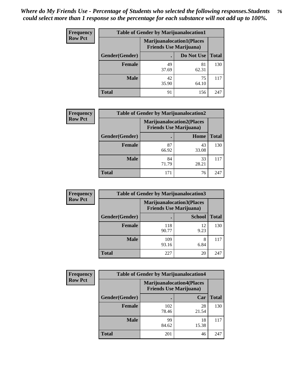| <b>Frequency</b> | <b>Table of Gender by Marijuanalocation1</b> |                                                                    |             |              |
|------------------|----------------------------------------------|--------------------------------------------------------------------|-------------|--------------|
| <b>Row Pct</b>   |                                              | <b>Marijuanalocation1(Places</b><br><b>Friends Use Marijuana</b> ) |             |              |
|                  | Gender(Gender)                               |                                                                    | Do Not Use  | <b>Total</b> |
|                  | <b>Female</b>                                | 49<br>37.69                                                        | 81<br>62.31 | 130          |
|                  | <b>Male</b>                                  | 42<br>35.90                                                        | 75<br>64.10 | 117          |
|                  | <b>Total</b>                                 | 91                                                                 | 156         | 247          |

| <b>Frequency</b> | <b>Table of Gender by Marijuanalocation2</b> |                                                                    |             |              |
|------------------|----------------------------------------------|--------------------------------------------------------------------|-------------|--------------|
| <b>Row Pct</b>   |                                              | <b>Marijuanalocation2(Places</b><br><b>Friends Use Marijuana</b> ) |             |              |
|                  | Gender(Gender)                               |                                                                    | Home        | <b>Total</b> |
|                  | Female                                       | 87<br>66.92                                                        | 43<br>33.08 | 130          |
|                  | <b>Male</b>                                  | 84<br>71.79                                                        | 33<br>28.21 | 117          |
|                  | <b>Total</b>                                 | 171                                                                | 76          | 247          |

| Frequency      | <b>Table of Gender by Marijuanalocation3</b> |              |                                                                     |              |
|----------------|----------------------------------------------|--------------|---------------------------------------------------------------------|--------------|
| <b>Row Pct</b> |                                              |              | <b>Marijuanalocation3(Places)</b><br><b>Friends Use Marijuana</b> ) |              |
|                | Gender(Gender)                               |              | <b>School</b>                                                       | <b>Total</b> |
|                | Female                                       | 118<br>90.77 | 12<br>9.23                                                          | 130          |
|                | <b>Male</b>                                  | 109<br>93.16 | 6.84                                                                | 117          |
|                | <b>Total</b>                                 | 227          | 20                                                                  | 247          |

| <b>Frequency</b> |                | <b>Table of Gender by Marijuanalocation4</b>                       |             |              |
|------------------|----------------|--------------------------------------------------------------------|-------------|--------------|
| <b>Row Pct</b>   |                | <b>Marijuanalocation4(Places</b><br><b>Friends Use Marijuana</b> ) |             |              |
|                  | Gender(Gender) |                                                                    | Car         | <b>Total</b> |
|                  | <b>Female</b>  | 102<br>78.46                                                       | 28<br>21.54 | 130          |
|                  | <b>Male</b>    | 99<br>84.62                                                        | 18<br>15.38 | 117          |
|                  | <b>Total</b>   | 201                                                                | 46          | 247          |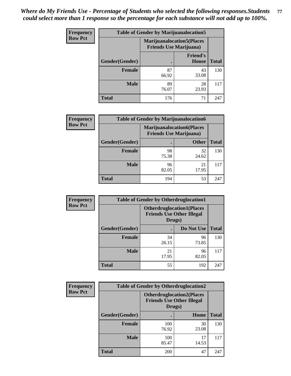| Frequency      | <b>Table of Gender by Marijuanalocation5</b> |                                                                    |                          |              |
|----------------|----------------------------------------------|--------------------------------------------------------------------|--------------------------|--------------|
| <b>Row Pct</b> |                                              | <b>Marijuanalocation5(Places</b><br><b>Friends Use Marijuana</b> ) |                          |              |
|                | Gender(Gender)                               |                                                                    | <b>Friend's</b><br>House | <b>Total</b> |
|                | <b>Female</b>                                | 87<br>66.92                                                        | 43<br>33.08              | 130          |
|                | <b>Male</b>                                  | 89<br>76.07                                                        | 28<br>23.93              | 117          |
|                | <b>Total</b>                                 | 176                                                                | 71                       | 247          |

| <b>Frequency</b> | <b>Table of Gender by Marijuanalocation6</b> |                                |                                  |              |
|------------------|----------------------------------------------|--------------------------------|----------------------------------|--------------|
| <b>Row Pct</b>   |                                              | <b>Friends Use Marijuana</b> ) | <b>Marijuanalocation6(Places</b> |              |
|                  | Gender(Gender)                               |                                | <b>Other</b>                     | <b>Total</b> |
|                  | <b>Female</b>                                | 98<br>75.38                    | 32<br>24.62                      | 130          |
|                  | <b>Male</b>                                  | 96<br>82.05                    | 21<br>17.95                      | 117          |
|                  | <b>Total</b>                                 | 194                            | 53                               | 247          |

| <b>Frequency</b> | <b>Table of Gender by Otherdruglocation1</b> |                                                                                |             |              |
|------------------|----------------------------------------------|--------------------------------------------------------------------------------|-------------|--------------|
| <b>Row Pct</b>   |                                              | <b>Otherdruglocation1(Places</b><br><b>Friends Use Other Illegal</b><br>Drugs) |             |              |
|                  | Gender(Gender)                               |                                                                                | Do Not Use  | <b>Total</b> |
|                  | Female                                       | 34<br>26.15                                                                    | 96<br>73.85 | 130          |
|                  | <b>Male</b>                                  | 21<br>17.95                                                                    | 96<br>82.05 | 117          |
|                  | <b>Total</b>                                 | 55                                                                             | 192         | 247          |

| <b>Frequency</b> | <b>Table of Gender by Otherdruglocation2</b> |                                            |                                  |              |
|------------------|----------------------------------------------|--------------------------------------------|----------------------------------|--------------|
| <b>Row Pct</b>   |                                              | <b>Friends Use Other Illegal</b><br>Drugs) | <b>Otherdruglocation2(Places</b> |              |
|                  | Gender(Gender)                               |                                            | Home                             | <b>Total</b> |
|                  | Female                                       | 100<br>76.92                               | 30<br>23.08                      | 130          |
|                  | <b>Male</b>                                  | 100<br>85.47                               | 17<br>14.53                      | 117          |
|                  | <b>Total</b>                                 | 200                                        | 47                               | 247          |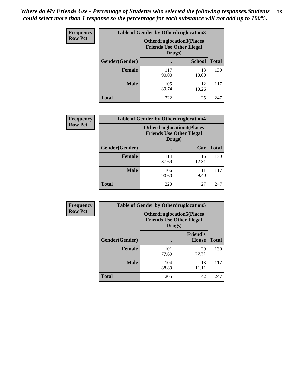| <b>Frequency</b> | <b>Table of Gender by Otherdruglocation3</b> |                                                                                |               |              |
|------------------|----------------------------------------------|--------------------------------------------------------------------------------|---------------|--------------|
| <b>Row Pct</b>   |                                              | <b>Otherdruglocation3(Places</b><br><b>Friends Use Other Illegal</b><br>Drugs) |               |              |
|                  | Gender(Gender)                               |                                                                                | <b>School</b> | <b>Total</b> |
|                  | <b>Female</b>                                | 117<br>90.00                                                                   | 13<br>10.00   | 130          |
|                  | <b>Male</b>                                  | 105<br>89.74                                                                   | 12<br>10.26   | 117          |
|                  | <b>Total</b>                                 | 222                                                                            | 25            | 247          |

| Frequency      | <b>Table of Gender by Otherdruglocation4</b> |                                            |                                  |              |
|----------------|----------------------------------------------|--------------------------------------------|----------------------------------|--------------|
| <b>Row Pct</b> |                                              | <b>Friends Use Other Illegal</b><br>Drugs) | <b>Otherdruglocation4(Places</b> |              |
|                | Gender(Gender)                               |                                            | Car                              | <b>Total</b> |
|                | Female                                       | 114<br>87.69                               | 16<br>12.31                      | 130          |
|                | <b>Male</b>                                  | 106<br>90.60                               | 9.40                             | 117          |
|                | <b>Total</b>                                 | 220                                        | 27                               | 247          |

| <b>Frequency</b> | <b>Table of Gender by Otherdruglocation5</b> |              |                                                                      |              |
|------------------|----------------------------------------------|--------------|----------------------------------------------------------------------|--------------|
| <b>Row Pct</b>   |                                              | Drugs)       | <b>Otherdruglocation5(Places</b><br><b>Friends Use Other Illegal</b> |              |
|                  | Gender(Gender)                               |              | <b>Friend's</b><br><b>House</b>                                      | <b>Total</b> |
|                  | <b>Female</b>                                | 101<br>77.69 | 29<br>22.31                                                          | 130          |
|                  | <b>Male</b>                                  | 104<br>88.89 | 13<br>11.11                                                          | 117          |
|                  | <b>Total</b>                                 | 205          | 42                                                                   | 247          |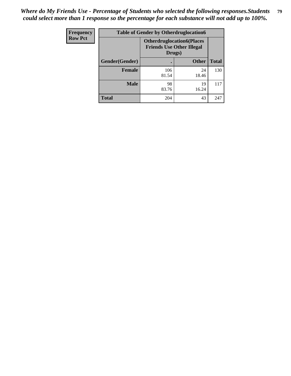| Frequency      | <b>Table of Gender by Otherdruglocation6</b> |                                                                                |              |              |
|----------------|----------------------------------------------|--------------------------------------------------------------------------------|--------------|--------------|
| <b>Row Pct</b> |                                              | <b>Otherdruglocation6(Places</b><br><b>Friends Use Other Illegal</b><br>Drugs) |              |              |
|                | Gender(Gender)                               |                                                                                | <b>Other</b> | <b>Total</b> |
|                | Female                                       | 106<br>81.54                                                                   | 24<br>18.46  | 130          |
|                | <b>Male</b>                                  | 98<br>83.76                                                                    | 19<br>16.24  | 117          |
|                | <b>Total</b>                                 | 204                                                                            | 43           | 247          |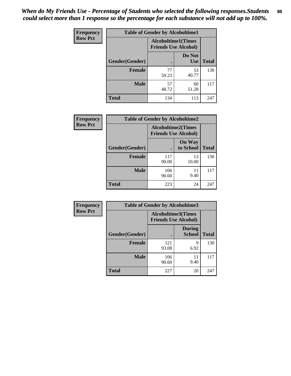| <b>Frequency</b> | <b>Table of Gender by Alcoholtime1</b> |                                                          |                      |              |
|------------------|----------------------------------------|----------------------------------------------------------|----------------------|--------------|
| <b>Row Pct</b>   |                                        | <b>Alcoholtime1(Times</b><br><b>Friends Use Alcohol)</b> |                      |              |
|                  | Gender(Gender)                         | $\bullet$                                                | Do Not<br><b>Use</b> | <b>Total</b> |
|                  | <b>Female</b>                          | 77<br>59.23                                              | 53<br>40.77          | 130          |
|                  | <b>Male</b>                            | 57<br>48.72                                              | 60<br>51.28          | 117          |
|                  | <b>Total</b>                           | 134                                                      | 113                  | 247          |

| <b>Frequency</b> | <b>Table of Gender by Alcoholtime2</b> |                                                          |                            |              |
|------------------|----------------------------------------|----------------------------------------------------------|----------------------------|--------------|
| <b>Row Pct</b>   |                                        | <b>Alcoholtime2(Times</b><br><b>Friends Use Alcohol)</b> |                            |              |
|                  | Gender(Gender)                         |                                                          | <b>On Way</b><br>to School | <b>Total</b> |
|                  | <b>Female</b>                          | 117<br>90.00                                             | 13<br>10.00                | 130          |
|                  | <b>Male</b>                            | 106<br>90.60                                             | 11<br>9.40                 | 117          |
|                  | <b>Total</b>                           | 223                                                      | 24                         | 247          |

| Frequency      | <b>Table of Gender by Alcoholtime3</b> |                                                   |                                |              |
|----------------|----------------------------------------|---------------------------------------------------|--------------------------------|--------------|
| <b>Row Pct</b> |                                        | Alcoholtime3(Times<br><b>Friends Use Alcohol)</b> |                                |              |
|                | Gender(Gender)                         |                                                   | <b>During</b><br><b>School</b> | <b>Total</b> |
|                | Female                                 | 121<br>93.08                                      | 9<br>6.92                      | 130          |
|                | <b>Male</b>                            | 106<br>90.60                                      | 11<br>9.40                     | 117          |
|                | <b>Total</b>                           | 227                                               | 20                             | 247          |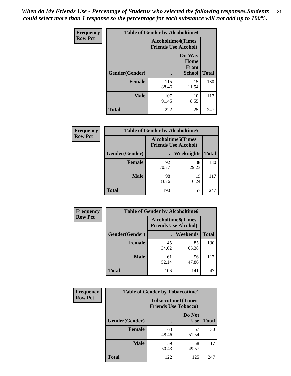*When do My Friends Use - Percentage of Students who selected the following responses.Students could select more than 1 response so the percentage for each substance will not add up to 100%.* **81**

| <b>Frequency</b> | <b>Table of Gender by Alcoholtime4</b> |                                                          |                                                |              |
|------------------|----------------------------------------|----------------------------------------------------------|------------------------------------------------|--------------|
| <b>Row Pct</b>   |                                        | <b>Alcoholtime4(Times</b><br><b>Friends Use Alcohol)</b> |                                                |              |
|                  | Gender(Gender)                         |                                                          | <b>On Way</b><br>Home<br>From<br><b>School</b> | <b>Total</b> |
|                  | <b>Female</b>                          | 115<br>88.46                                             | 15<br>11.54                                    | 130          |
|                  | <b>Male</b>                            | 107<br>91.45                                             | 10<br>8.55                                     | 117          |
|                  | <b>Total</b>                           | 222                                                      | 25                                             | 247          |

| <b>Frequency</b> | <b>Table of Gender by Alcoholtime5</b> |                                                           |             |              |  |
|------------------|----------------------------------------|-----------------------------------------------------------|-------------|--------------|--|
| <b>Row Pct</b>   |                                        | <b>Alcoholtime5</b> (Times<br><b>Friends Use Alcohol)</b> |             |              |  |
|                  | Gender(Gender)                         |                                                           | Weeknights  | <b>Total</b> |  |
|                  | <b>Female</b>                          | 92<br>70.77                                               | 38<br>29.23 | 130          |  |
|                  | <b>Male</b>                            | 98<br>83.76                                               | 19<br>16.24 | 117          |  |
|                  | <b>Total</b>                           | 190                                                       | 57          | 247          |  |

| <b>Frequency</b> |                | <b>Table of Gender by Alcoholtime6</b> |                                                          |              |
|------------------|----------------|----------------------------------------|----------------------------------------------------------|--------------|
| <b>Row Pct</b>   |                |                                        | <b>Alcoholtime6(Times</b><br><b>Friends Use Alcohol)</b> |              |
|                  | Gender(Gender) |                                        | Weekends                                                 | <b>Total</b> |
|                  | Female         | 45<br>34.62                            | 85<br>65.38                                              | 130          |
|                  | <b>Male</b>    | 61<br>52.14                            | 56<br>47.86                                              | 117          |
|                  | <b>Total</b>   | 106                                    | 141                                                      | 247          |

| Frequency      | <b>Table of Gender by Tobaccotime1</b> |                                                          |                      |              |
|----------------|----------------------------------------|----------------------------------------------------------|----------------------|--------------|
| <b>Row Pct</b> |                                        | <b>Tobaccotime1(Times</b><br><b>Friends Use Tobacco)</b> |                      |              |
|                | Gender(Gender)                         |                                                          | Do Not<br><b>Use</b> | <b>Total</b> |
|                | Female                                 | 63<br>48.46                                              | 67<br>51.54          | 130          |
|                | <b>Male</b>                            | 59<br>50.43                                              | 58<br>49.57          | 117          |
|                | <b>Total</b>                           | 122                                                      | 125                  | 247          |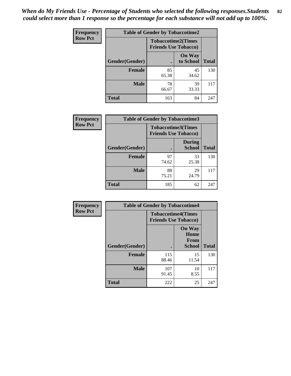| <b>Frequency</b> | <b>Table of Gender by Tobaccotime2</b> |                             |                            |              |
|------------------|----------------------------------------|-----------------------------|----------------------------|--------------|
| <b>Row Pct</b>   |                                        | <b>Friends Use Tobacco)</b> | <b>Tobaccotime2(Times</b>  |              |
|                  | Gender(Gender)                         |                             | <b>On Way</b><br>to School | <b>Total</b> |
|                  | <b>Female</b>                          | 85<br>65.38                 | 45<br>34.62                | 130          |
|                  | <b>Male</b>                            | 78<br>66.67                 | 39<br>33.33                | 117          |
|                  | <b>Total</b>                           | 163                         | 84                         | 247          |

| <b>Frequency</b> | <b>Table of Gender by Tobaccotime3</b> |                                                          |                                |              |
|------------------|----------------------------------------|----------------------------------------------------------|--------------------------------|--------------|
| <b>Row Pct</b>   |                                        | <b>Tobaccotime3(Times</b><br><b>Friends Use Tobacco)</b> |                                |              |
|                  | Gender(Gender)                         |                                                          | <b>During</b><br><b>School</b> | <b>Total</b> |
|                  | <b>Female</b>                          | 97<br>74.62                                              | 33<br>25.38                    | 130          |
|                  | <b>Male</b>                            | 88<br>75.21                                              | 29<br>24.79                    | 117          |
|                  | <b>Total</b>                           | 185                                                      | 62                             | 247          |

| <b>Frequency</b> | <b>Table of Gender by Tobaccotime4</b> |                                                          |                                                       |              |
|------------------|----------------------------------------|----------------------------------------------------------|-------------------------------------------------------|--------------|
| <b>Row Pct</b>   |                                        | <b>Tobaccotime4(Times</b><br><b>Friends Use Tobacco)</b> |                                                       |              |
|                  | Gender(Gender)                         |                                                          | <b>On Way</b><br>Home<br><b>From</b><br><b>School</b> | <b>Total</b> |
|                  | <b>Female</b>                          | 115<br>88.46                                             | 15<br>11.54                                           | 130          |
|                  | <b>Male</b>                            | 107<br>91.45                                             | 10<br>8.55                                            | 117          |
|                  | <b>Total</b>                           | 222                                                      | 25                                                    | 247          |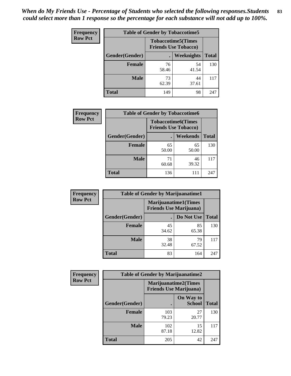| <b>Frequency</b> | <b>Table of Gender by Tobaccotime5</b> |             |                                                          |              |  |
|------------------|----------------------------------------|-------------|----------------------------------------------------------|--------------|--|
| <b>Row Pct</b>   |                                        |             | <b>Tobaccotime5(Times</b><br><b>Friends Use Tobacco)</b> |              |  |
|                  | <b>Gender</b> (Gender)                 |             | Weeknights                                               | <b>Total</b> |  |
|                  | <b>Female</b>                          | 76<br>58.46 | 54<br>41.54                                              | 130          |  |
|                  | <b>Male</b>                            | 73<br>62.39 | 44<br>37.61                                              | 117          |  |
|                  | <b>Total</b>                           | 149         | 98                                                       | 247          |  |

| <b>Frequency</b> | <b>Table of Gender by Tobaccotime6</b> |                                                          |                 |              |
|------------------|----------------------------------------|----------------------------------------------------------|-----------------|--------------|
| <b>Row Pct</b>   |                                        | <b>Tobaccotime6(Times</b><br><b>Friends Use Tobacco)</b> |                 |              |
|                  | Gender(Gender)                         |                                                          | <b>Weekends</b> | <b>Total</b> |
|                  | Female                                 | 65<br>50.00                                              | 65<br>50.00     | 130          |
|                  | <b>Male</b>                            | 71<br>60.68                                              | 46<br>39.32     | 117          |
|                  | <b>Total</b>                           | 136                                                      | 111             | 247          |

| <b>Frequency</b> | <b>Table of Gender by Marijuanatime1</b> |                                                               |             |              |
|------------------|------------------------------------------|---------------------------------------------------------------|-------------|--------------|
| <b>Row Pct</b>   |                                          | <b>Marijuanatime1(Times</b><br><b>Friends Use Marijuana</b> ) |             |              |
|                  | Gender(Gender)                           |                                                               | Do Not Use  | <b>Total</b> |
|                  | <b>Female</b>                            | 45<br>34.62                                                   | 85<br>65.38 | 130          |
|                  | <b>Male</b>                              | 38<br>32.48                                                   | 79<br>67.52 | 117          |
|                  | <b>Total</b>                             | 83                                                            | 164         | 247          |

| <b>Frequency</b> | <b>Table of Gender by Marijuanatime2</b> |                                                               |                            |              |
|------------------|------------------------------------------|---------------------------------------------------------------|----------------------------|--------------|
| <b>Row Pct</b>   |                                          | <b>Marijuanatime2(Times</b><br><b>Friends Use Marijuana</b> ) |                            |              |
|                  | Gender(Gender)                           |                                                               | On Way to<br><b>School</b> | <b>Total</b> |
|                  | Female                                   | 103<br>79.23                                                  | 27<br>20.77                | 130          |
|                  | <b>Male</b>                              | 102<br>87.18                                                  | 15<br>12.82                | 117          |
|                  | <b>Total</b>                             | 205                                                           | 42                         | 247          |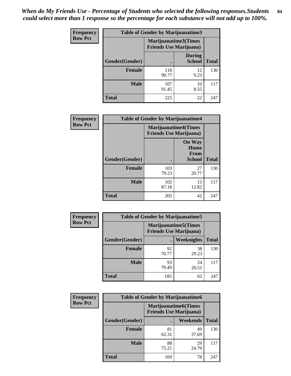*When do My Friends Use - Percentage of Students who selected the following responses.Students could select more than 1 response so the percentage for each substance will not add up to 100%.* **84**

| <b>Frequency</b> | <b>Table of Gender by Marijuanatime3</b> |                                                        |                                |              |
|------------------|------------------------------------------|--------------------------------------------------------|--------------------------------|--------------|
| <b>Row Pct</b>   |                                          | Marijuanatime3(Times<br><b>Friends Use Marijuana</b> ) |                                |              |
|                  | Gender(Gender)                           |                                                        | <b>During</b><br><b>School</b> | <b>Total</b> |
|                  | Female                                   | 118<br>90.77                                           | 12<br>9.23                     | 130          |
|                  | <b>Male</b>                              | 107<br>91.45                                           | 10<br>8.55                     | 117          |
|                  | <b>Total</b>                             | 225                                                    | 22                             | 247          |

| Frequency      | <b>Table of Gender by Marijuanatime4</b> |                                                               |                                                       |              |
|----------------|------------------------------------------|---------------------------------------------------------------|-------------------------------------------------------|--------------|
| <b>Row Pct</b> |                                          | <b>Marijuanatime4(Times</b><br><b>Friends Use Marijuana</b> ) |                                                       |              |
|                | Gender(Gender)                           |                                                               | <b>On Way</b><br>Home<br><b>From</b><br><b>School</b> | <b>Total</b> |
|                | <b>Female</b>                            | 103<br>79.23                                                  | 27<br>20.77                                           | 130          |
|                | <b>Male</b>                              | 102<br>87.18                                                  | 15<br>12.82                                           | 117          |
|                | <b>Total</b>                             | 205                                                           | 42                                                    | 247          |

| Frequency      | <b>Table of Gender by Marijuanatime5</b> |             |                                                                |              |
|----------------|------------------------------------------|-------------|----------------------------------------------------------------|--------------|
| <b>Row Pct</b> |                                          |             | <b>Marijuanatime5</b> (Times<br><b>Friends Use Marijuana</b> ) |              |
|                | Gender(Gender)                           |             | <b>Weeknights</b>                                              | <b>Total</b> |
|                | <b>Female</b>                            | 92<br>70.77 | 38<br>29.23                                                    | 130          |
|                | <b>Male</b>                              | 93<br>79.49 | 24<br>20.51                                                    | 117          |
|                | <b>Total</b>                             | 185         | 62                                                             | 247          |

| Frequency      | <b>Table of Gender by Marijuanatime6</b> |                                                               |                 |              |
|----------------|------------------------------------------|---------------------------------------------------------------|-----------------|--------------|
| <b>Row Pct</b> |                                          | <b>Marijuanatime6(Times</b><br><b>Friends Use Marijuana</b> ) |                 |              |
|                | Gender(Gender)                           |                                                               | <b>Weekends</b> | <b>Total</b> |
|                | <b>Female</b>                            | 81<br>62.31                                                   | 49<br>37.69     | 130          |
|                | <b>Male</b>                              | 88<br>75.21                                                   | 29<br>24.79     | 117          |
|                | <b>Total</b>                             | 169                                                           | 78              | 247          |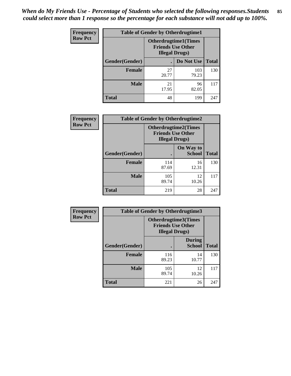*When do My Friends Use - Percentage of Students who selected the following responses.Students could select more than 1 response so the percentage for each substance will not add up to 100%.* **85**

| <b>Frequency</b> | <b>Table of Gender by Otherdrugtime1</b> |                                                                                   |                    |     |
|------------------|------------------------------------------|-----------------------------------------------------------------------------------|--------------------|-----|
| <b>Row Pct</b>   |                                          | <b>Otherdrugtime1(Times</b><br><b>Friends Use Other</b><br><b>Illegal Drugs</b> ) |                    |     |
|                  | Gender(Gender)                           |                                                                                   | Do Not Use   Total |     |
|                  | <b>Female</b>                            | 27<br>20.77                                                                       | 103<br>79.23       | 130 |
|                  | <b>Male</b>                              | 21<br>17.95                                                                       | 96<br>82.05        | 117 |
|                  | <b>Total</b>                             | 48                                                                                | 199                | 247 |

| Frequency      |                        | <b>Table of Gender by Otherdrugtime2</b>                                          |                            |              |
|----------------|------------------------|-----------------------------------------------------------------------------------|----------------------------|--------------|
| <b>Row Pct</b> |                        | <b>Otherdrugtime2(Times</b><br><b>Friends Use Other</b><br><b>Illegal Drugs</b> ) |                            |              |
|                | <b>Gender</b> (Gender) |                                                                                   | On Way to<br><b>School</b> | <b>Total</b> |
|                | <b>Female</b>          | 114<br>87.69                                                                      | 16<br>12.31                | 130          |
|                | <b>Male</b>            | 105<br>89.74                                                                      | 12<br>10.26                | 117          |
|                | <b>Total</b>           | 219                                                                               | 28                         | 247          |

| <b>Frequency</b> | <b>Table of Gender by Otherdrugtime3</b> |                        |                                                  |              |
|------------------|------------------------------------------|------------------------|--------------------------------------------------|--------------|
| <b>Row Pct</b>   |                                          | <b>Illegal Drugs</b> ) | Otherdrugtime3(Times<br><b>Friends Use Other</b> |              |
|                  | Gender(Gender)                           |                        | <b>During</b><br><b>School</b>                   | <b>Total</b> |
|                  | <b>Female</b>                            | 116<br>89.23           | 14<br>10.77                                      | 130          |
|                  | <b>Male</b>                              | 105<br>89.74           | 12<br>10.26                                      | 117          |
|                  | <b>Total</b>                             | 221                    | 26                                               | 247          |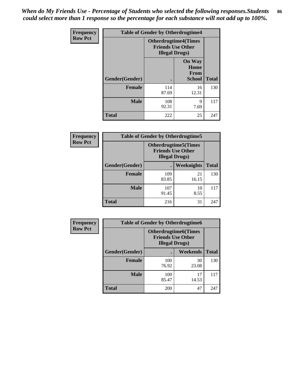*When do My Friends Use - Percentage of Students who selected the following responses.Students could select more than 1 response so the percentage for each substance will not add up to 100%.* **86**

| <b>Frequency</b> | <b>Table of Gender by Otherdrugtime4</b> |                                                    |                                                       |              |
|------------------|------------------------------------------|----------------------------------------------------|-------------------------------------------------------|--------------|
| <b>Row Pct</b>   |                                          | <b>Friends Use Other</b><br><b>Illegal Drugs</b> ) | <b>Otherdrugtime4(Times</b>                           |              |
|                  | Gender(Gender)                           |                                                    | <b>On Way</b><br>Home<br><b>From</b><br><b>School</b> | <b>Total</b> |
|                  | Female                                   | 114<br>87.69                                       | 16<br>12.31                                           | 130          |
|                  | <b>Male</b>                              | 108<br>92.31                                       | 9<br>7.69                                             | 117          |
|                  | <b>Total</b>                             | 222                                                | 25                                                    | 247          |

| Frequency      | <b>Table of Gender by Otherdrugtime5</b> |                                                                                    |             |              |
|----------------|------------------------------------------|------------------------------------------------------------------------------------|-------------|--------------|
| <b>Row Pct</b> |                                          | <b>Otherdrugtime5</b> (Times<br><b>Friends Use Other</b><br><b>Illegal Drugs</b> ) |             |              |
|                | Gender(Gender)                           |                                                                                    | Weeknights  | <b>Total</b> |
|                | <b>Female</b>                            | 109<br>83.85                                                                       | 21<br>16.15 | 130          |
|                | <b>Male</b>                              | 107<br>91.45                                                                       | 10<br>8.55  | 117          |
|                | <b>Total</b>                             | 216                                                                                | 31          | 247          |

| Frequency      | <b>Table of Gender by Otherdrugtime6</b> |                                                                                   |             |              |
|----------------|------------------------------------------|-----------------------------------------------------------------------------------|-------------|--------------|
| <b>Row Pct</b> |                                          | <b>Otherdrugtime6(Times</b><br><b>Friends Use Other</b><br><b>Illegal Drugs</b> ) |             |              |
|                | Gender(Gender)                           |                                                                                   | Weekends    | <b>Total</b> |
|                | <b>Female</b>                            | 100<br>76.92                                                                      | 30<br>23.08 | 130          |
|                | <b>Male</b>                              | 100<br>85.47                                                                      | 17<br>14.53 | 117          |
|                | <b>Total</b>                             | 200                                                                               | 47          | 247          |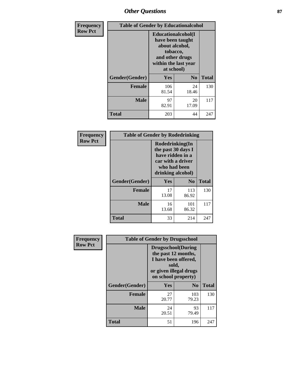# *Other Questions* **87**

| <b>Frequency</b> | <b>Table of Gender by Educationalcohol</b> |                                                                                                                                       |                |              |  |
|------------------|--------------------------------------------|---------------------------------------------------------------------------------------------------------------------------------------|----------------|--------------|--|
| <b>Row Pct</b>   |                                            | <b>Educationalcohol</b> (I<br>have been taught<br>about alcohol,<br>tobacco,<br>and other drugs<br>within the last year<br>at school) |                |              |  |
|                  | Gender(Gender)                             | <b>Yes</b>                                                                                                                            | N <sub>0</sub> | <b>Total</b> |  |
|                  | <b>Female</b>                              | 106<br>81.54                                                                                                                          | 24<br>18.46    | 130          |  |
|                  | <b>Male</b>                                | 97<br>82.91                                                                                                                           | 20<br>17.09    | 117          |  |
|                  | <b>Total</b>                               | 203                                                                                                                                   | 44             | 247          |  |

| Frequency      |                | <b>Table of Gender by Rodedrinking</b>                                                                              |                |              |
|----------------|----------------|---------------------------------------------------------------------------------------------------------------------|----------------|--------------|
| <b>Row Pct</b> |                | Rodedrinking(In<br>the past 30 days I<br>have ridden in a<br>car with a driver<br>who had been<br>drinking alcohol) |                |              |
|                | Gender(Gender) | Yes                                                                                                                 | N <sub>0</sub> | <b>Total</b> |
|                | <b>Female</b>  | 17<br>13.08                                                                                                         | 113<br>86.92   | 130          |
|                | <b>Male</b>    | 16<br>13.68                                                                                                         | 101<br>86.32   | 117          |
|                | <b>Total</b>   | 33                                                                                                                  | 214            | 247          |

| Frequency      | <b>Table of Gender by Drugsschool</b> |                                                                                                                                     |                |              |  |
|----------------|---------------------------------------|-------------------------------------------------------------------------------------------------------------------------------------|----------------|--------------|--|
| <b>Row Pct</b> |                                       | <b>Drugsschool</b> (During<br>the past 12 months,<br>I have been offered,<br>sold,<br>or given illegal drugs<br>on school property) |                |              |  |
|                | Gender(Gender)                        | Yes                                                                                                                                 | N <sub>0</sub> | <b>Total</b> |  |
|                | <b>Female</b>                         | 27<br>20.77                                                                                                                         | 103<br>79.23   | 130          |  |
|                | <b>Male</b>                           | 24<br>20.51                                                                                                                         | 93<br>79.49    | 117          |  |
|                | <b>Total</b>                          | 51                                                                                                                                  | 196            | 247          |  |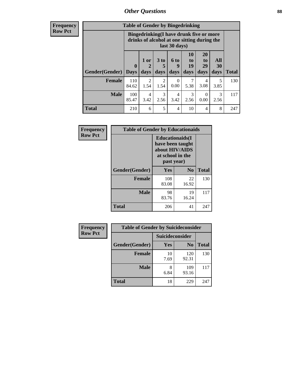# *Other Questions* **88**

**Frequency Row Pct**

| <b>Table of Gender by Bingedrinking</b> |                         |                                                                                                         |                        |                   |                               |                               |                   |              |
|-----------------------------------------|-------------------------|---------------------------------------------------------------------------------------------------------|------------------------|-------------------|-------------------------------|-------------------------------|-------------------|--------------|
|                                         |                         | Bingedrinking(I have drunk five or more<br>drinks of alcohol at one sitting during the<br>last 30 days) |                        |                   |                               |                               |                   |              |
| <b>Gender</b> (Gender)                  | $\bf{0}$<br><b>Days</b> | 1 or<br>days                                                                                            | 3 to<br>5<br>days      | 6 to<br>9<br>days | <b>10</b><br>to<br>19<br>days | <b>20</b><br>to<br>29<br>days | All<br>30<br>days | <b>Total</b> |
| <b>Female</b>                           | 110<br>84.62            | $\mathfrak{D}$<br>1.54                                                                                  | $\overline{2}$<br>1.54 | 0.00              | 7<br>5.38                     | 4<br>3.08                     | 5<br>3.85         | 130          |
| <b>Male</b>                             | 100<br>85.47            | 4<br>3.42                                                                                               | 3<br>2.56              | 4<br>3.42         | 3<br>2.56                     | $\Omega$<br>0.00              | 3<br>2.56         | 117          |
| <b>Total</b>                            | 210                     | 6                                                                                                       | 5                      | $\overline{4}$    | 10                            | 4                             | 8                 | 247          |

| Frequency      | <b>Table of Gender by Educationaids</b> |                                                                                                 |                |              |  |
|----------------|-----------------------------------------|-------------------------------------------------------------------------------------------------|----------------|--------------|--|
| <b>Row Pct</b> |                                         | <b>Educationaids</b> (I<br>have been taught<br>about HIV/AIDS<br>at school in the<br>past year) |                |              |  |
|                | Gender(Gender)                          | Yes                                                                                             | N <sub>0</sub> | <b>Total</b> |  |
|                | <b>Female</b>                           | 108<br>83.08                                                                                    | 22<br>16.92    | 130          |  |
|                | <b>Male</b>                             | 98<br>83.76                                                                                     | 19<br>16.24    | 117          |  |
|                | <b>Total</b>                            | 206                                                                                             | 41             | 247          |  |

| <b>Frequency</b> | <b>Table of Gender by Suicideconsider</b> |                 |                |              |  |
|------------------|-------------------------------------------|-----------------|----------------|--------------|--|
| <b>Row Pct</b>   |                                           | Suicideconsider |                |              |  |
|                  | Gender(Gender)                            | Yes             | N <sub>0</sub> | <b>Total</b> |  |
|                  | <b>Female</b>                             | 10<br>7.69      | 120<br>92.31   | 130          |  |
|                  | <b>Male</b>                               | 8<br>6.84       | 109<br>93.16   | 117          |  |
|                  | Total                                     | 18              | 229            | 247          |  |